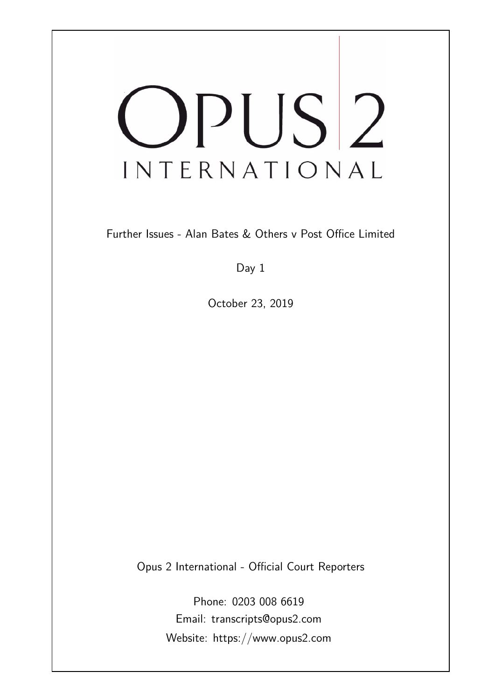# OPUS<sup>2</sup> INTERNATIONAL

Further Issues - Alan Bates & Others v Post Office Limited

Day 1

October 23, 2019

Opus 2 International - Official Court Reporters

Phone: 0203 008 6619 Email: transcripts@opus2.com Website: https://www.opus2.com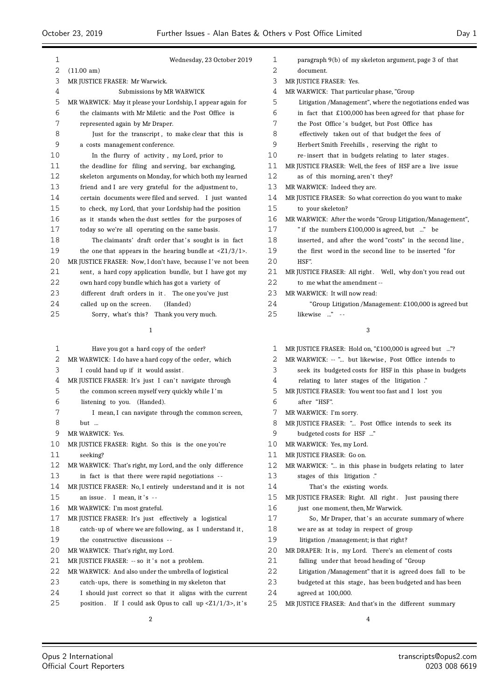| 1      | Wednesday, 23 October 2019                                                       | 1      |   |
|--------|----------------------------------------------------------------------------------|--------|---|
| 2      | (11.00 am)                                                                       | 2      |   |
| 3      | MR JUSTICE FRASER: Mr Warwick.                                                   | 3      | M |
| 4      | Submissions by MR WARWICK                                                        | 4      | M |
| 5      | MR WARWICK: May it please your Lordship, I appear again for                      | 5      |   |
| 6      | the claimants with Mr Miletic and the Post Office is                             | 6      |   |
| 7      | represented again by Mr Draper.                                                  | 7      |   |
| 8      | Just for the transcript, to make clear that this is                              | 8      |   |
| 9      | a costs management conference.                                                   | 9      |   |
| 10     | In the flurry of activity, my Lord, prior to                                     | 10     |   |
| 11     | the deadline for filing and serving, bar exchanging,                             | 11     | M |
| 12     | skeleton arguments on Monday, for which both my learned                          | 12     |   |
| 13     | friend and I are very grateful for the adjustment to,                            | 13     | M |
| 14     | certain documents were filed and served. I just wanted                           | 14     | M |
| 15     | to check, my Lord, that your Lordship had the position                           | 15     |   |
| 16     | as it stands when the dust settles for the purposes of                           | 16     | M |
| 17     | today so we're all operating on the same basis.                                  | 17     |   |
| 18     | The claimants' draft order that's sought is in fact                              | 18     |   |
| 19     | the one that appears in the hearing bundle at $\langle 21/3/1 \rangle$ .         | 19     |   |
| 20     | MR JUSTICE FRASER: Now, I don't have, because I've not been                      | 20     |   |
| 21     | sent, a hard copy application bundle, but I have got my                          | 21     | M |
| 22     | own hard copy bundle which has got a variety of                                  | 22     |   |
| 23     | different draft orders in it. The one you've just                                | 23     | M |
| 24     | called up on the screen.<br>(Handed)                                             | 24     |   |
| 25     | Sorry, what's this? Thank you very much.                                         | 25     |   |
|        | 1                                                                                |        |   |
|        |                                                                                  |        |   |
| 1      | Have you got a hard copy of the order?                                           | 1      | M |
| 2      | MR WARWICK: I do have a hard copy of the order, which                            | 2<br>3 | M |
| 3      | I could hand up if it would assist.                                              | 4      |   |
| 4<br>5 | MR JUSTICE FRASER: It's just I can't navigate through                            | 5      |   |
| 6      | the common screen myself very quickly while I'm                                  | 6      | M |
| 7      | listening to you. (Handed).<br>I mean, I can navigate through the common screen, | 7      |   |
| 8      |                                                                                  | 8      | M |
| 9      | but<br>MR WARWICK: Yes.                                                          | 9      | M |
| 10     | MR JUSTICE FRASER: Right. So this is the one you're                              | 10     | M |
| 11     | seeking?                                                                         | 11     | M |
| 12     | MR WARWICK: That's right, my Lord, and the only difference                       | 12     | Μ |
| 13     | in fact is that there were rapid negotiations --                                 | 13     |   |
| 14     | MR JUSTICE FRASER: No, I entirely understand and it is not                       | 14     |   |
| 15     | an issue. I mean, it's --                                                        | 15     | M |
| 16     | MR WARWICK: I'm most grateful.                                                   | 16     |   |
| 17     | MR JUSTICE FRASER: It's just effectively a logistical                            | 17     |   |
| 18     | catch-up of where we are following, as I understand it,                          | 18     |   |
| 19     | the constructive discussions --                                                  | 19     |   |
| 20     | MR WARWICK: That's right, my Lord.                                               | 20     | M |
| 21     | MR JUSTICE FRASER: -- so it's not a problem.                                     | 21     |   |
| 22     | MR WARWICK: And also under the umbrella of logistical                            | 22     |   |
| 23     | catch-ups, there is something in my skeleton that                                | 23     |   |
| 24     | I should just correct so that it aligns with the current                         | 24     |   |
| 25     | If I could ask Opus to call $up Z1/1/3, it'sposition.$                           | 25     | M |
|        |                                                                                  |        |   |

| 1              | paragraph 9(b) of my skeleton argument, page 3 of that                             |
|----------------|------------------------------------------------------------------------------------|
| 2              | document.                                                                          |
| 3              | MR JUSTICE FRASER: Yes.                                                            |
| 4              | MR WARWICK: That particular phase, "Group                                          |
| 5              | Litigation /Management", where the negotiations ended was                          |
| 6              | in fact that £100,000 has been agreed for that phase for                           |
| 7              | the Post Office's budget, but Post Office has                                      |
| 8              | effectively taken out of that budget the fees of                                   |
| 9              | Herbert Smith Freehills, reserving the right to                                    |
| 10             | re-insert that in budgets relating to later stages.                                |
| 11             | MR JUSTICE FRASER: Well, the fees of HSF are a live issue                          |
| 12             | as of this morning, aren't they?                                                   |
| 13             | MR WARWICK: Indeed they are.                                                       |
| 14             | MR JUSTICE FRASER: So what correction do you want to make                          |
| 15             | to your skeleton?                                                                  |
| 16             | MR WARWICK: After the words "Group Litigation/Management",                         |
| 17             | " if the numbers £100,000 is agreed, but " be                                      |
| 18             | inserted, and after the word "costs" in the second line,                           |
| 19             | the first word in the second line to be inserted "for                              |
| 20             | HSF".                                                                              |
| 21             | MR JUSTICE FRASER: All right. Well, why don't you read out                         |
| 22             | to me what the amendment --                                                        |
| 23             | MR WARWICK: It will now read:                                                      |
| 24             | "Group Litigation/Management: £100,000 is agreed but                               |
| 25             | likewise " --                                                                      |
|                | 3                                                                                  |
|                |                                                                                    |
| 1              | MR JUSTICE FRASER: Hold on, "£100,000 is agreed but "?                             |
| 2              | MR WARWICK: -- " but likewise, Post Office intends to                              |
| 3              | seek its budgeted costs for HSF in this phase in budgets                           |
| 4              | relating to later stages of the litigation ."                                      |
| 5              | MR JUSTICE FRASER: You went too fast and I lost you                                |
| 6              | after "HSF".                                                                       |
| 7              | MR WARWICK: I'm sorry.                                                             |
| 8              | MR JUSTICE FRASER: " Post Office intends to seek its                               |
| 9              | budgeted costs for HSF "                                                           |
| 1 <sub>0</sub> | $\overline{10}$ $\overline{111}$ $\overline{111}$ $\overline{111}$<br>$\mathbf{r}$ |

- IR WARWICK: Yes, my Lord.
- IR JUSTICE FRASER: Go on.
- IR WARWICK: "... in this phase in budgets relating to later
	- stages of this litigation ."
	- That's the existing words.
- MR JUSTICE FRASER: Right. All right . Just pausing there
- just one moment, then, Mr Warwick.
	- So, Mr Draper, that's an accurate summary of where
	- we are as at today in respect of group
- litigation /management; is that right?
- IR DRAPER: It is, my Lord. There's an element of costs
- falling under that broad heading of "Group
- Litigation /Management" that it is agreed does fall to be
- budgeted at this stage, has been budgeted and has been
- agreed at 100,000.
- MR JUSTICE FRASER: And that's in the different summary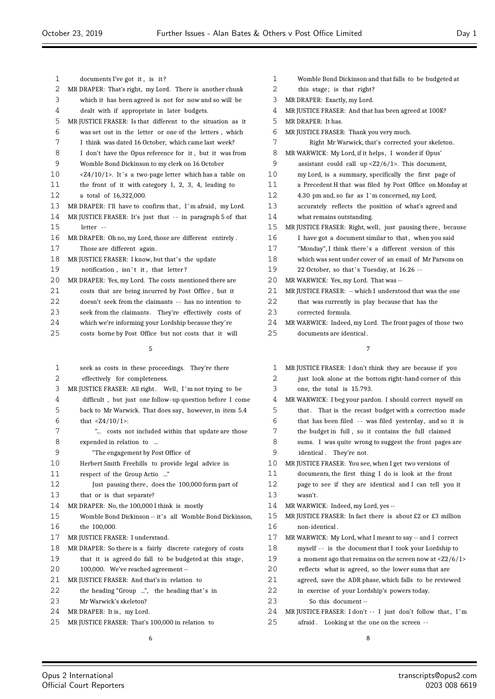| 1    |                                                                   |    |  |
|------|-------------------------------------------------------------------|----|--|
|      | documents I've got it, is it?                                     | 1  |  |
| 2    | MR DRAPER: That's right, my Lord. There is another chunk          | 2  |  |
| 3    | which it has been agreed is not for now and so will be            | 3  |  |
| 4    | dealt with if appropriate in later budgets.                       | 4  |  |
| 5    | MR JUSTICE FRASER: Is that different to the situation as it       | 5  |  |
| 6    | was set out in the letter or one of the letters, which            | 6  |  |
| 7    | I think was dated 16 October, which came last week?               | 7  |  |
| 8    | I don't have the Opus reference for it, but it was from           | 8  |  |
| 9    | Womble Bond Dickinson to my clerk on 16 October                   | 9  |  |
| 10   | <z4 1="" 10="">. It's a two-page letter which has a table on</z4> | 10 |  |
| 11   | the front of it with category $1, 2, 3, 4$ , leading to           | 11 |  |
| 12   | a total of 16,322,000.                                            | 12 |  |
| 13   | MR DRAPER: I'll have to confirm that, I'm afraid, my Lord.        | 13 |  |
| 14   | MR JUSTICE FRASER: It's just that -- in paragraph 5 of that       | 14 |  |
| 15   | letter --                                                         | 15 |  |
| 16   | MR DRAPER: Oh no, my Lord, those are different entirely.          | 16 |  |
| 17   | Those are different again.                                        | 17 |  |
| 18   | MR JUSTICE FRASER: I know, but that's the update                  | 18 |  |
| 19   | notification, isn't it, that letter?                              | 19 |  |
| 20   | MR DRAPER: Yes, my Lord. The costs mentioned there are            | 20 |  |
| 21   | costs that are being incurred by Post Office, but it              | 21 |  |
| 22   | doesn't seek from the claimants -- has no intention to            | 22 |  |
| 23   | seek from the claimants. They're effectively costs of             | 23 |  |
| 24   | which we're informing your Lordship because they're               | 24 |  |
| 25   | costs borne by Post Office but not costs that it will             | 25 |  |
|      | 5                                                                 |    |  |
|      |                                                                   |    |  |
|      |                                                                   |    |  |
| 1    | seek as costs in these proceedings. They're there                 | 1  |  |
| 2    | effectively for completeness.                                     | 2  |  |
| 3    | MR JUSTICE FRASER: All right. Well, I'm not trying to be          | 3  |  |
| 4    | difficult, but just one follow-up question before I come          | 4  |  |
| 5    | back to Mr Warwick. That does say, however, in item 5.4           | 5  |  |
| 6    | that $<24/10/1$ :                                                 | 6  |  |
| 7    | " costs not included within that update are those                 | 7  |  |
| 8    | expended in relation to …                                         | 8  |  |
| 9    | "The engagement by Post Office of                                 | 9  |  |
| $10$ | Herbert Smith Freehills to provide legal advice in                | 10 |  |
| 11   | respect of the Group Actio "                                      | 11 |  |
| 12   | Just pausing there, does the 100,000 form part of                 | 12 |  |
| 13   | that or is that separate?                                         | 13 |  |
| 14   | MR DRAPER: No, the 100,000 I think is mostly                      | 14 |  |
| 15   | Womble Bond Dickinson -- it's all Womble Bond Dickinson,          | 15 |  |
| 16   | the 100,000.                                                      | 16 |  |
| 17   | MR JUSTICE FRASER: I understand.                                  | 17 |  |
| 18   | MR DRAPER: So there is a fairly discrete category of costs        | 18 |  |
| 19   | that it is agreed do fall to be budgeted at this stage,           | 19 |  |
| 20   | 100,000. We've reached agreement --                               | 20 |  |
| 21   | MR JUSTICE FRASER: And that's in relation to                      | 21 |  |
| 22   | the heading "Group ", the heading that's in                       | 22 |  |

- 24 MR DRAPER: It is, my Lord.
- 25 MR JUSTICE FRASER: That's 100,000 in relation to
	- 6
- 1 Womble Bond Dickinson and that falls to be budgeted at this stage; is that right? MR DRAPER: Exactly, my Lord. MR JUSTICE FRASER: And that has been agreed at 100K? MR DRAPER: It has. 6 MR JUSTICE FRASER: Thank you very much. Right Mr Warwick, that's corrected your skeleton. 8 MR WARWICK: My Lord, if it helps, I wonder if Opus' assistant could call up  $\langle 22/6/1 \rangle$ . This document, my Lord, is a summary, specifically the first page of a Precedent H that was filed by Post Office on Monday at 12 4.30 pm and, so far as I 'm concerned, my Lord, accurately reflects the position of what's agreed and what remains outstanding. MR JUSTICE FRASER: Right, well, just pausing there, because I have got a document similar to that, when you said "Monday", I think there's a different version of this which was sent under cover of an email of Mr Parsons on 22 October, so that's Tuesday, at 16.26 --MR WARWICK: Yes, my Lord. That was --MR JUSTICE FRASER: -- which I understood that was the one that was currently in play because that has the corrected formula. MR WARWICK: Indeed, my Lord. The front pages of those two documents are identical. 7 1 MR JUSTICE FRASER: I don't think they are because if you just look alone at the bottom right-hand corner of this one, the total is 15.793. MR WARWICK: I beg your pardon. I should correct myself on
	- that. That is the recast budget with a correction made
	- that has been filed -- was filed yesterday, and so it is
	- 7 the budget in full , so it contains the full claimed
	- sums. I was quite wrong to suggest the front pages are identical . They're not.
	- MR JUSTICE FRASER: You see, when I get two versions of
	- documents, the first thing I do is look at the front page to see if they are identical and I can tell you it wasn't.
	- MR WARWICK: Indeed, my Lord, yes --
	- MR JUSTICE FRASER: In fact there is about £2 or £3 million 16 non-identical .
	- MR WARWICK: My Lord, what I meant to say -- and I correct
	- myself -- is the document that I took your Lordship to a moment ago that remains on the screen now at  $\langle 22/6/1 \rangle$
	- reflects what is agreed, so the lower sums that are
	- agreed, save the ADR phase, which falls to be reviewed
	- in exercise of your Lordship's powers today.
	- So this document --
	- 24 MR JUSTICE FRASER: I don't -- I just don't follow that, I'm
	- 25 afraid . Looking at the one on the screen -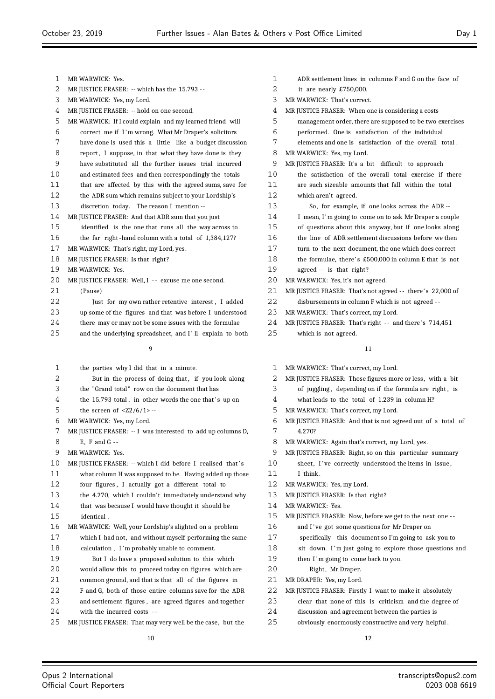| 1  | MR WARWICK: Yes.                                            | 1  | ADR <sub>s</sub> |
|----|-------------------------------------------------------------|----|------------------|
| 2  | MR JUSTICE FRASER: -- which has the 15.793 --               | 2  | it ar            |
| 3  | MR WARWICK: Yes, my Lord.                                   | 3  | <b>MR WARV</b>   |
| 4  | MR JUSTICE FRASER: -- hold on one second.                   | 4  | <b>MR JUSTI</b>  |
| 5  | MR WARWICK: If I could explain and my learned friend will   | 5  | mana             |
| 6  | correct me if I'm wrong. What Mr Draper's solicitors        | 6  | perfo:           |
| 7  | have done is used this a little like a budget discussion    | 7  | eleme            |
| 8  | report, I suppose, in that what they have done is they      | 8  | <b>MR WARV</b>   |
| 9  | have substituted all the further issues trial incurred      | 9  | MR JUSTI         |
| 10 | and estimated fees and then correspondingly the totals      | 10 | the s            |
| 11 | that are affected by this with the agreed sums, save for    | 11 | are st           |
| 12 | the ADR sum which remains subject to your Lordship's        | 12 | which            |
| 13 | discretion today. The reason I mention --                   | 13 | S                |
| 14 | MR JUSTICE FRASER: And that ADR sum that you just           | 14 | I mea            |
| 15 | identified is the one that runs all the way across to       | 15 | of qu            |
| 16 | the far right-hand column with a total of 1,384,127?        | 16 | the li           |
| 17 | MR WARWICK: That's right, my Lord, yes.                     | 17 | turn 1           |
| 18 | MR JUSTICE FRASER: Is that right?                           | 18 | the fo           |
| 19 | MR WARWICK: Yes.                                            | 19 | agree            |
| 20 | MR JUSTICE FRASER: Well, I -- excuse me one second.         | 20 | <b>MR WARV</b>   |
| 21 | (Pause)                                                     | 21 | <b>MR JUSTI</b>  |
| 22 | Just for my own rather retentive interest, I added          | 22 | disbu            |
| 23 | up some of the figures and that was before I understood     | 23 | <b>MR WARV</b>   |
| 24 | there may or may not be some issues with the formulae       | 24 | MR JUSTI         |
| 25 | and the underlying spreadsheet, and I'll explain to both    | 25 | which            |
|    | 9                                                           |    |                  |
| 1  | the parties why I did that in a minute.                     | 1  | MR WARV          |
| 2  | But in the process of doing that, if you look along         | 2  | MR JUSTI         |
| 3  | the "Grand total" row on the document that has              | 3  | of ju            |
| 4  | the 15.793 total, in other words the one that's up on       | 4  | what             |
| 5  | the screen of $\langle 22/6/1 \rangle$ --                   | 5  | <b>MR WARV</b>   |
| 6  | MR WARWICK: Yes, my Lord.                                   | 6  | <b>MR JUSTI</b>  |
| 7  | MR JUSTICE FRASER: -- I was interested to add up columns D, | 7  | 4.270            |
| 8  | E, F and $G -$                                              | 8  | MR WARV          |
| 9  | MR WARWICK: Yes.                                            | 9  | <b>MR JUSTI</b>  |
| 10 | MR JUSTICE FRASER: -- which I did before I realised that's  | 10 | sheet            |
| 11 | what column H was supposed to be. Having added up those     | 11 | I thir           |
| 12 | four figures, I actually got a different total to           | 12 | MR WARV          |
| 13 | the 4.270, which I couldn't immediately understand why      | 13 | <b>MR JUSTI</b>  |
| 14 | that was because I would have thought it should be          | 14 | <b>MR WARV</b>   |
| 15 | identical.                                                  | 15 | <b>MR JUSTI</b>  |
| 16 | MR WARWICK: Well, your Lordship's alighted on a problem     | 16 | and I            |
| 17 | which I had not and without myself performing the same      | 17 | sneci            |

- 17 which I had not, and without myself performing the same
- 18 calculation , I 'm probably unable to comment.
- 19 But I do have a proposed solution to this which
- 20 would allow this to proceed today on figures which are
- 21 common ground, and that is that all of the figures in
- 22 F and G, both of those entire columns save for the ADR 23 and settlement figures , are agreed figures and together
- 24 with the incurred costs -
- 25 MR JUSTICE FRASER: That may very well be the case, but the

 $\mathop{\rm set}$  then the incolumns  $\mathop{\rm F}\nolimits$  and  $\mathop{\rm G}\nolimits$  on the face of  $P$  nearly  $£750,000$ . VICK: That's correct. CE FRASER: When one is considering a costs gement order, there are supposed to be two exercises rmed. One is satisfaction of the individual  $\epsilon$  ents and one is  $\epsilon$  satisfaction  $\epsilon$  of the overall total . VICK: Yes, my Lord. CE FRASER: It's a bit difficult to approach satisfaction of the overall total exercise if there uch sizeable amounts that fall within the total h aren't agreed. 13 So, for example, if one looks across the ADR - an, I'm going to come on to ask Mr Draper a couple 16 assets about this anyway, but if one looks along ine of ADR settlement discussions before we then to the next document, the one which does correct  $\alpha$  ormulae, there's £500,000 in column E that is not  $d -$  is that right? WICK: Yes, it's not agreed. CE FRASER: That's not agreed -- there's 22,000 of rsements in column F which is not agreed --WICK: That's correct, my Lord. CE FRASER: That's right -- and there's 714,451 **h** is not agreed.

- VICK: That's correct, my Lord.
- CE FRASER: Those figures more or less, with a bit
- ggling, depending on if the formula are right, is
- leads to the total of 1.239 in column H?
- VICK: That's correct, my Lord.
- CE FRASER: And that is not agreed out of a total of 7 4.270?
- WICK: Again that's correct, my Lord, yes.
- CE FRASER: Right, so on this particular summary ., I've correctly understood the items in issue,
- nk.
- WICK: Yes, my Lord.
- ICE FRASER: Is that right?
- WICK: Yes.
- CE FRASER: Now, before we get to the next one --
- ' ve got some questions for Mr Draper on
- ifically this document so I'm going to ask you to
- 18 sit down. I 'm just going to explore those questions and
- 19 then I'm going to come back to you.
- 20 Right, Mr Draper.
- 21 MR DRAPER: Yes, my Lord.
- 22 MR JUSTICE FRASER: Firstly I want to make it absolutely
- 23 clear that none of this is criticism and the degree of
- 24 discussion and agreement between the parties is
- 25 obviously enormously constructive and very helpful .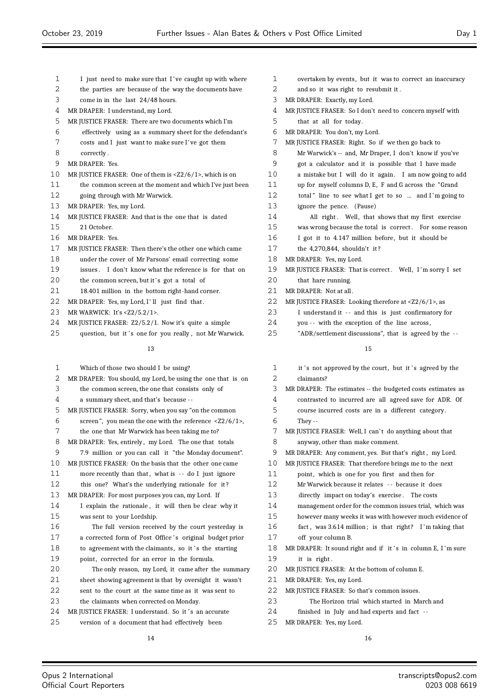| 1  | I just need to make sure that I've caught up with where                 |
|----|-------------------------------------------------------------------------|
| 2  | the parties are because of the way the documents have                   |
| 3  | come in in the last 24/48 hours.                                        |
| 4  | MR DRAPER: I understand, my Lord.                                       |
| 5  | MR JUSTICE FRASER: There are two documents which I'm                    |
| 6  | effectively using as a summary sheet for the defendant's                |
| 7  | costs and I just want to make sure I've got them                        |
| 8  | correctly.                                                              |
| 9  | MR DRAPER: Yes.                                                         |
| 10 | MR JUSTICE FRASER: One of them is <z2 1="" 6="">, which is on</z2>      |
| 11 | the common screen at the moment and which I've just been                |
| 12 | going through with Mr Warwick.                                          |
| 13 | MR DRAPER: Yes, my Lord.                                                |
| 14 | MR JUSTICE FRASER: And that is the one that is dated                    |
| 15 | 21 October.                                                             |
| 16 | MR DRAPER: Yes.                                                         |
| 17 | MR JUSTICE FRASER: Then there's the other one which came                |
| 18 | under the cover of Mr Parsons' email correcting some                    |
| 19 | issues. I don't know what the reference is for that on                  |
| 20 | the common screen, but it's got a total of                              |
| 21 | 18.401 million in the bottom right-hand corner.                         |
| 22 | MR DRAPER: Yes, my Lord, I'll just find that.                           |
| 23 | MR WARWICK: It's <z2 1="" 5.2="">.</z2>                                 |
| 24 | MR JUSTICE FRASER: Z2/5.2/1. Now it's quite a simple                    |
| 25 | question, but it's one for you really, not Mr Warwick.                  |
|    |                                                                         |
|    | 13                                                                      |
| 1  | Which of those two should I be using?                                   |
| 2  | MR DRAPER: You should, my Lord, be using the one that is on             |
| 3  | the common screen, the one that consists only of                        |
| 4  | a summary sheet, and that's because --                                  |
| 5  | MR JUSTICE FRASER: Sorry, when you say "on the common                   |
| 6  | screen", you mean the one with the reference $\langle 22/6/1 \rangle$ , |
| 7  | the one that Mr Warwick has been taking me to?                          |
| 8  | MR DRAPER: Yes, entirely, my Lord. The one that totals                  |
| 9  | 7.9 million or you can call it "the Monday document".                   |
| 10 | MR JUSTICE FRASER: On the basis that the other one came                 |
| 11 | more recently than that, what is -- do I just ignore                    |
| 12 | this one? What's the underlying rationale for it?                       |
| 13 | MR DRAPER: For most purposes you can, my Lord. If                       |
| 14 | I explain the rationale, it will then be clear why it                   |
| 15 | was sent to your Lordship.                                              |
|    |                                                                         |

- The full version received by the court yesterday is 17 a corrected form of Post Office's original budget prior 18 to agreement with the claimants, so it's the starting 19 point, corrected for an error in the formula.
- The only reason, my Lord, it came after the summary sheet showing agreement is that by oversight it wasn't sent to the court at the same time as it was sent to
- the claimants when corrected on Monday.
- 24 MR JUSTICE FRASER: I understand. So it 's an accurate version of a document that had effectively been
	-

| 1  | overtaken by events, but it was to correct an inaccuracy              |
|----|-----------------------------------------------------------------------|
| 2  | and so it was right to resubmit it.                                   |
| 3  | MR DRAPER: Exactly, my Lord.                                          |
| 4  | MR JUSTICE FRASER: So I don't need to concern myself with             |
| 5  | that at all for today.                                                |
| 6  | MR DRAPER: You don't, my Lord.                                        |
| 7  | MR JUSTICE FRASER: Right. So if we then go back to                    |
| 8  | Mr Warwick's -- and, Mr Draper, I don't know if you've                |
| 9  | got a calculator and it is possible that I have made                  |
| 10 | a mistake but I will do it again. I am now going to add               |
| 11 | up for myself columns D, E, F and G across the "Grand"                |
| 12 | total" line to see what I get to so  and I'm going to                 |
| 13 | ignore the pence. (Pause)                                             |
| 14 | All right. Well, that shows that my first exercise                    |
| 15 | was wrong because the total is correct. For some reason               |
| 16 | I got it to 4.147 million before, but it should be                    |
| 17 | the 4,270,844, shouldn't it?                                          |
| 18 | MR DRAPER: Yes, my Lord.                                              |
| 19 | MR JUSTICE FRASER: That is correct. Well, I'm sorry I set             |
| 20 | that hare running.                                                    |
| 21 | MR DRAPER: Not at all.                                                |
| 22 | MR JUSTICE FRASER: Looking therefore at $\langle 22/6/1 \rangle$ , as |
| 23 | I understand it -- and this is just confirmatory for                  |
| 24 | you -- with the exception of the line across,                         |
| 25 | "ADR/settlement discussions", that is agreed by the --                |

- 1 it 's not approved by the court, but it 's agreed by the claimants?
- MR DRAPER: The estimates -- the budgeted costs estimates as
- contrasted to incurred are all agreed save for ADR. Of
- course incurred costs are in a different category.
- They --
- 7 MR JUSTICE FRASER: Well, I can't do anything about that
- anyway, other than make comment.
- MR DRAPER: Any comment, yes. But that's right , my Lord.
- MR JUSTICE FRASER: That therefore brings me to the next
- 11 point, which is one for you first and then for
- Mr Warwick because it relates - because it does
- directly impact on today's exercise . The costs
- management order for the common issues trial, which was
- however many weeks it was with however much evidence of
- fact , was 3.614 million ; is that right? I 'm taking that
- off your column B.
- 18 MR DRAPER: It sound right and if it's in column E, I'm sure 19 it is right.
- MR JUSTICE FRASER: At the bottom of column E.
- MR DRAPER: Yes, my Lord.
- MR JUSTICE FRASER: So that's common issues.
- The Horizon trial which started in March and
- finished in July and had experts and fact -
- MR DRAPER: Yes, my Lord.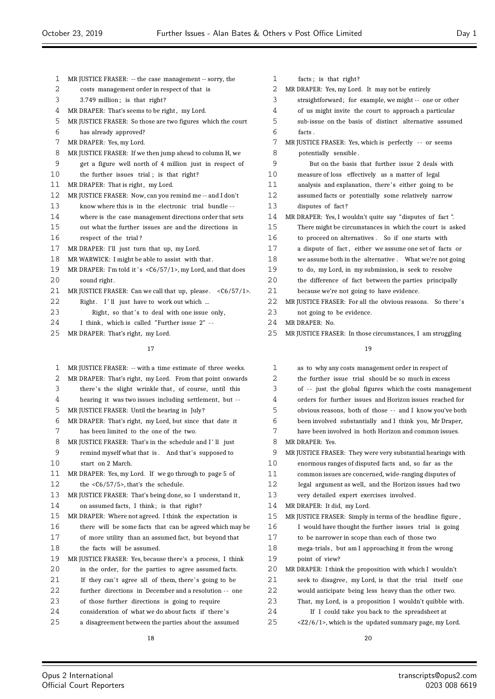| $\mathbf{1}$ | MR JUSTICE FRASER: -- the case management -- sorry, the               |
|--------------|-----------------------------------------------------------------------|
| 2            | costs management order in respect of that is                          |
| 3            | 3.749 million; is that right?                                         |
| 4            | MR DRAPER: That's seems to be right, my Lord.                         |
| 5            | MR JUSTICE FRASER: So those are two figures which the court           |
| 6            | has already approved?                                                 |
| 7            | MR DRAPER: Yes, my Lord.                                              |
| 8            | MR JUSTICE FRASER: If we then jump ahead to column H, we              |
| 9            | get a figure well north of 4 million just in respect of               |
| 10           | the further issues trial; is that right?                              |
| 11           | MR DRAPER: That is right, my Lord.                                    |
| 12           | MR JUSTICE FRASER: Now, can you remind me -- and I don't              |
| 13           | know where this is in the electronic trial bundle --                  |
| 14           | where is the case management directions order that sets               |
| 15           | out what the further issues are and the directions in                 |
| 16           | respect of the trial?                                                 |
| 17           | MR DRAPER: I'll just turn that up, my Lord.                           |
| 18           | MR WARWICK: I might be able to assist with that.                      |
| 19           | MR DRAPER: I'm told it's <c6 1="" 57="">, my Lord, and that does</c6> |
| 20           | sound right.                                                          |
| 21           | MR JUSTICE FRASER: Can we call that up, please. $<\frac{C6}{57}/1$ .  |
| 22           | Right. I'll just have to work out which                               |
| 23           | Right, so that's to deal with one issue only,                         |
| 24           | I think, which is called "Further issue 2" --                         |
| 25           | MR DRAPER: That's right, my Lord.                                     |
|              | 17                                                                    |
|              |                                                                       |
| 1            | MR JUSTICE FRASER: -- with a time estimate of three weeks.            |
| 2            | MR DRAPER: That's right, my Lord. From that point onwards             |
| 3            | there's the slight wrinkle that, of course, until this                |
|              |                                                                       |

hearing it was two issues including settlement, but - -

MR JUSTICE FRASER: Until the hearing in July ?

 MR DRAPER: That's right, my Lord, but since that date it has been limited to the one of the two.

8 MR JUSTICE FRASER: That's in the schedule and I'll just

 remind myself what that is . And that's supposed to start on 2 March.

 MR DRAPER: Yes, my Lord. If we go through to page 5 of the <C6/57/5>, that's the schedule.

 MR JUSTICE FRASER: That's being done, so I understand it , on assumed facts, I think; is that right?

MR DRAPER: Where not agreed. I think the expectation is

there will be some facts that can be agreed which may be

 of more utility than an assumed fact, but beyond that 18 the facts will be assumed.

MR JUSTICE FRASER: Yes, because there's a process, I think

20 in the order, for the parties to agree assumed facts.

21 If they can't agree all of them, there's going to be

further directions in December and a resolution - - one

of those further directions is going to require

consideration of what we do about facts if there' s

a disagreement between the parties about the assumed

| 1       | facts; is that right?                                      |
|---------|------------------------------------------------------------|
| 2       | MR DRAPER: Yes, my Lord. It may not be entirely            |
| 3       | straightforward; for example, we might -- one or other     |
| 4       | of us might invite the court to approach a particular      |
| 5       | sub-issue on the basis of distinct alternative assumed     |
| 6       | facts.                                                     |
| 7       | MR JUSTICE FRASER: Yes, which is perfectly -- or seems     |
| 8       | potentially sensible.                                      |
| 9       | But on the basis that further issue 2 deals with           |
| 10      | measure of loss effectively as a matter of legal           |
| 11      | analysis and explanation, there's either going to be       |
| 12      | assumed facts or potentially some relatively narrow        |
| 13      | disputes of fact?                                          |
| 14      | MR DRAPER: Yes, I wouldn't quite say "disputes of fact".   |
| 15      | There might be circumstances in which the court is asked   |
| 16      | to proceed on alternatives. So if one starts with          |
| 17      | a dispute of fact, either we assume one set of facts or    |
| 18      | we assume both in the alternative. What we're not going    |
| 19      | to do, my Lord, in my submission, is seek to resolve       |
| $20 \,$ | the difference of fact between the parties principally     |
| 21      | because we're not going to have evidence.                  |
| 22      | MR JUSTICE FRASER: For all the obvious reasons. So there's |
| 23      | not going to be evidence.                                  |
| 24      | MR DRAPER: No.                                             |

25 MR JUSTICE FRASER: In those circumstances, I am struggling

| as to why any costs management order in respect of               |
|------------------------------------------------------------------|
| the further issue trial should be so much in excess              |
| of -- just the global figures which the costs management         |
| orders for further issues and Horizon issues reached for         |
| obvious reasons, both of those -- and I know you've both         |
| been involved substantially and I think you, Mr Draper,          |
| have been involved in both Horizon and common issues.            |
| MR DRAPER: Yes.                                                  |
| MR JUSTICE FRASER: They were very substantial hearings with      |
| enormous ranges of disputed facts and, so far as the             |
| common issues are concerned, wide-ranging disputes of            |
| legal argument as well, and the Horizon issues had two           |
| very detailed expert exercises involved.                         |
| MR DRAPER: It did, my Lord.                                      |
| MR JUSTICE FRASER: Simply in terms of the headline figure,       |
| I would have thought the further issues trial is going           |
| to be narrower in scope than each of those two                   |
| mega-trials, but am I approaching it from the wrong              |
| point of view?                                                   |
| MR DRAPER: I think the proposition with which I wouldn't         |
| seek to disagree, my Lord, is that the trial itself one          |
| would anticipate being less heavy than the other two.            |
| That, my Lord, is a proposition I wouldn't quibble with.         |
| If I could take you back to the spreadsheet at                   |
| <z2 1="" 6="">, which is the updated summary page, my Lord.</z2> |
|                                                                  |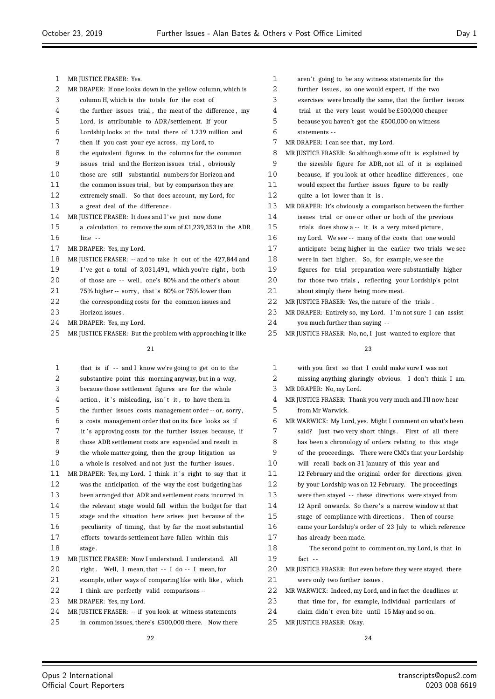| $\mathbf{1}$ | MR JUSTICE FRASER: Yes.                                     |
|--------------|-------------------------------------------------------------|
| 2            | MR DRAPER: If one looks down in the yellow column, which is |
| 3            | column H, which is the totals for the cost of               |
| 4            | the further issues trial, the meat of the difference, my    |
| 5            | Lord, is attributable to ADR/settlement. If your            |
| 6            | Lordship looks at the total there of 1.239 million and      |
| 7            | then if you cast your eye across, my Lord, to               |
| 8            | the equivalent figures in the columns for the common        |
| 9            | issues trial and the Horizon issues trial, obviously        |
| 10           | those are still substantial numbers for Horizon and         |
| 11           | the common issues trial, but by comparison they are         |
| 12           | extremely small. So that does account, my Lord, for         |
| 13           | a great deal of the difference.                             |
| 14           | MR JUSTICE FRASER: It does and I've just now done           |
| 15           | a calculation to remove the sum of £1,239,353 in the ADR    |
| 16           | $line -$                                                    |
| 17           | MR DRAPER: Yes, my Lord.                                    |
| 18           | MR JUSTICE FRASER: -- and to take it out of the 427,844 and |
| 19           | I've got a total of 3,031,491, which you're right, both     |
| 20           | of those are -- well, one's 80% and the other's about       |
| 21           | 75% higher -- sorry, that's 80% or 75% lower than           |
| 22           | the corresponding costs for the common issues and           |
| 23           | Horizon issues.                                             |
| 24           | MR DRAPER: Yes, my Lord.                                    |

MR JUSTICE FRASER: But the problem with approaching it like

| 1  | that is if -- and I know we're going to get on to the      |
|----|------------------------------------------------------------|
| 2  | substantive point this morning anyway, but in a way,       |
| 3  | because those settlement figures are for the whole         |
| 4  | action, it's misleading, isn't it, to have them in         |
| 5  | the further issues costs management order -- or, sorry,    |
| 6  | a costs management order that on its face looks as if      |
| 7  | it's approving costs for the further issues because, if    |
| 8  | those ADR settlement costs are expended and result in      |
| 9  | the whole matter going, then the group litigation as       |
| 10 | a whole is resolved and not just the further issues.       |
| 11 | MR DRAPER: Yes, my Lord. I think it's right to say that it |
| 12 | was the anticipation of the way the cost budgeting has     |
| 13 | been arranged that ADR and settlement costs incurred in    |
| 14 | the relevant stage would fall within the budget for that   |
| 15 | stage and the situation here arises just because of the    |
| 16 | peculiarity of timing, that by far the most substantial    |
| 17 | efforts towards settlement have fallen within this         |
| 18 | stage.                                                     |
| 19 | MR JUSTICE FRASER: Now I understand. I understand. All     |
| 20 | right. Well, I mean, that -- I do -- I mean, for           |
| 21 | example, other ways of comparing like with like, which     |
| 22 | I think are perfectly valid comparisons --                 |
| 23 | MR DRAPER: Yes, my Lord.                                   |
| 24 | MR JUSTICE FRASER: -- if you look at witness statements    |
| 25 | in common issues, there's £500,000 there. Now there        |

| 1  | aren't going to be any witness statements for the          |
|----|------------------------------------------------------------|
| 2  | further issues, so one would expect, if the two            |
| 3  | exercises were broadly the same, that the further issues   |
| 4  | trial at the very least would be £500,000 cheaper          |
| 5  | because you haven't got the £500,000 on witness            |
| 6  | statements --                                              |
| 7  | MR DRAPER: I can see that, my Lord.                        |
| 8  | MR JUSTICE FRASER: So although some of it is explained by  |
| 9  | the sizeable figure for ADR, not all of it is explained    |
| 10 | because, if you look at other headline differences, one    |
| 11 | would expect the further issues figure to be really        |
| 12 | quite a lot lower than it is.                              |
| 13 | MR DRAPER: It's obviously a comparison between the further |
| 14 | issues trial or one or other or both of the previous       |
| 15 | trials does show a -- it is a very mixed picture,          |
| 16 | my Lord. We see -- many of the costs that one would        |
| 17 | anticipate being higher in the earlier two trials we see   |
| 18 | were in fact higher. So, for example, we see the           |
| 19 | figures for trial preparation were substantially higher    |
| 20 | for those two trials, reflecting your Lordship's point     |
| 21 | about simply there being more meat.                        |
| 22 | MR JUSTICE FRASER: Yes, the nature of the trials.          |
| 23 | MR DRAPER: Entirely so, my Lord. I'm not sure I can assist |
| 24 | you much further than saying --                            |
| 25 | MR JUSTICE FRASER: No, no, I just wanted to explore that   |
|    | 23                                                         |
| 1  | with you first so that I could make sure I was not         |
|    |                                                            |

| 2 | missing anything glaringly obvious. I don't think I am. |  |  |  |  |  |
|---|---------------------------------------------------------|--|--|--|--|--|
|---|---------------------------------------------------------|--|--|--|--|--|

- MR DRAPER: No, my Lord.
- MR JUSTICE FRASER: Thank you very much and I'll now hear from Mr Warwick.
- MR WARWICK: My Lord, yes. Might I comment on what's been said? Just two very short things . First of all there has been a chronology of orders relating to this stage of the proceedings. There were CMCs that your Lordship will recall back on 31 January of this year and 12 February and the original order for directions given by your Lordship was on 12 February. The proceedings were then stayed - - these directions were stayed from 14 12 April onwards. So there's a narrow window at that stage of compliance with directions . Then of course came your Lordship's order of 23 July to which reference has already been made. The second point to comment on, my Lord, is that in fact - - MR JUSTICE FRASER: But even before they were stayed, there were only two further issues . MR WARWICK: Indeed, my Lord, and in fact the deadlines at that time for , for example, individual particulars of
- 24 claim didn't even bite until 15 May and so on.
- MR JUSTICE FRASER: Okay.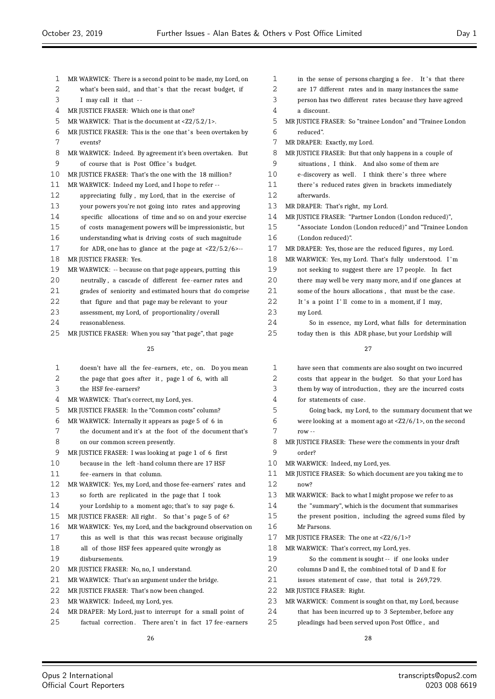| 1  | MR WARWICK: There is a second point to be made, my Lord, on             | 1  | in the sense of person     |
|----|-------------------------------------------------------------------------|----|----------------------------|
| 2  | what's been said, and that's that the recast budget, if                 | 2  | are 17 different rates     |
| 3  | I may call it that --                                                   | 3  | person has two differer    |
| 4  | MR JUSTICE FRASER: Which one is that one?                               | 4  | a discount.                |
| 5  | MR WARWICK: That is the document at <z2 1="" 5.2="">.</z2>              | 5  | MR JUSTICE FRASER: So "tr  |
| 6  | MR JUSTICE FRASER: This is the one that's been overtaken by             | 6  | reduced".                  |
| 7  | events?                                                                 | 7  | MR DRAPER: Exactly, my Lo  |
| 8  | MR WARWICK: Indeed. By agreement it's been overtaken. But               | 8  | MR JUSTICE FRASER: But th  |
| 9  | of course that is Post Office's budget.                                 | 9  | situations, I think.       |
| 10 | MR JUSTICE FRASER: That's the one with the 18 million?                  | 10 | e-discovery as well.       |
| 11 | MR WARWICK: Indeed my Lord, and I hope to refer --                      | 11 | there's reduced rates g    |
| 12 | appreciating fully, my Lord, that in the exercise of                    | 12 | afterwards.                |
| 13 | your powers you're not going into rates and approving                   | 13 | MR DRAPER: That's right, 1 |
| 14 | specific allocations of time and so on and your exercise                | 14 | MR JUSTICE FRASER: "Parti  |
| 15 | of costs management powers will be impressionistic, but                 | 15 | "Associate London (Lor     |
| 16 | understanding what is driving costs of such magnitude                   | 16 | (London reduced)".         |
| 17 | for ADR, one has to glance at the page at $\langle 22/5.2/6 \rangle$ -- | 17 | MR DRAPER: Yes, those are  |
| 18 | MR JUSTICE FRASER: Yes.                                                 | 18 | MR WARWICK: Yes, my Loro   |
| 19 | MR WARWICK: -- because on that page appears, putting this               | 19 | not seeking to suggest     |
| 20 | neutrally, a cascade of different fee-earner rates and                  | 20 | there may well be very     |
| 21 | grades of seniority and estimated hours that do comprise                | 21 | some of the hours alloo    |
| 22 | that figure and that page may be relevant to your                       | 22 | It's a point I'll come     |
| 23 | assessment, my Lord, of proportionality/overall                         | 23 | my Lord.                   |
| 24 | reasonableness.                                                         | 24 | So in essence, my          |
| 25 | MR JUSTICE FRASER: When you say "that page", that page                  | 25 | today then is this ADI     |
|    | 25                                                                      |    |                            |
|    |                                                                         |    |                            |
| 1  | doesn't have all the fee-earners, etc, on. Do you mean                  | 1  | have seen that commer      |
| 2  | the page that goes after it, page 1 of 6, with all                      | 2  | costs that appear in th    |
| 3  | the HSF fee-earners?                                                    | 3  | them by way of introdu     |
| 4  | MR WARWICK: That's correct, my Lord, yes.                               | 4  | for statements of case.    |
| 5  | MR JUSTICE FRASER: In the "Common costs" column?                        | 5  | Going back, my Lor         |
| 6  | MR WARWICK: Internally it appears as page 5 of 6 in                     | 6  | were looking at a mon      |
| 7  | the document and it's at the foot of the document that's                | 7  | $row - -$                  |
| 8  | on our common screen presently.                                         | 8  | MR JUSTICE FRASER: These   |
| 9  | MR JUSTICE FRASER: I was looking at page 1 of 6 first                   | 9  | order?                     |
| 10 | because in the left -hand column there are 17 HSF                       | 10 | MR WARWICK: Indeed, my     |
| 11 | fee-earners in that column.                                             | 11 | MR JUSTICE FRASER: So wh   |
| 12 | MR WARWICK: Yes, my Lord, and those fee-earners' rates and              | 12 | now?                       |
| 13 | so forth are replicated in the page that I took                         | 13 | MR WARWICK: Back to wha    |
| 14 | your Lordship to a moment ago; that's to say page 6.                    | 14 | the "summary", which i     |
| 15 | MR JUSTICE FRASER: All right. So that's page 5 of 6?                    | 15 | the present position, i    |
| 16 | MR WARWICK: Yes, my Lord, and the background observation on             | 16 | Mr Parsons.                |
| 17 | this as well is that this was recast because originally                 | 17 | MR JUSTICE FRASER: The o   |
| 18 | all of those HSF fees appeared quite wrongly as                         | 18 | MR WARWICK: That's corre   |
| 19 | disbursements.                                                          | 19 | So the comment is          |
| 20 | MR JUSTICE FRASER: No, no, I understand.                                | 20 | columns D and E, the co    |
| 21 | MR WARWICK: That's an argument under the bridge.                        | 21 | issues statement of cas    |
| 22 | MR JUSTICE FRASER: That's now been changed.                             | 22 | MR JUSTICE FRASER: Right.  |
| 23 | MR WARWICK: Indeed, my Lord, yes.                                       | 23 | MR WARWICK: Comment is     |
| 24 | MR DRAPER: My Lord, just to interrupt for a small point of              | 24 | that has been incurred     |
| 25 | factual correction. There aren't in fact 17 fee-earners                 | 25 | pleadings had been ser     |
|    |                                                                         |    |                            |

ns charging a fee. It 's that there and in many instances the same nt rates because they have agreed rainee London" and "Trainee London 7 MR DRAPER: Exactly, my Lord. hat only happens in a couple of And also some of them are I think there's three where given in brackets immediately my Lord. ner London (London reduced)", ndon reduced)" and "Trainee London the reduced figures, my Lord. d. That's fully understood. I'm there are 17 people. In fact many more, and if one glances at cations, that must be the case. e to in a moment, if I may, Lord, what falls for determination R phase, but your Lordship will 27 nts are also sought on two incurred he budget. So that your Lord has action, they are the incurred costs 4 for statements of case. rd, to the summary document that we ment ago at  $<$ Z2/6/1>, on the second e were the comments in your draft Lord, yes. hich document are you taking me to at I might propose we refer to as is the document that summarises including the agreed sums filed by one at  $\langle 22/6/1\rangle$ ?

- ect, my Lord, yes. sought -- if one looks under ombined total of D and E, for
- restates total is 269,729.
- s sought on that, my Lord, because
- up to 3 September, before any
- ved upon Post Office , and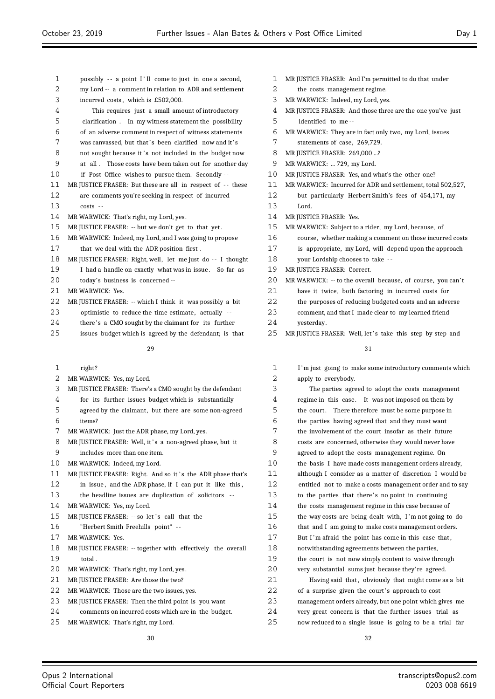- possibly - a point I ' ll come to just in one a second, my Lord -- a comment in relation to ADR and settlement incurred costs , which is £502,000. This requires just a small amount of introductory clarification . In my witness statement the possibility of an adverse comment in respect of witness statements 7 was canvassed, but that's been clarified now and it's 8 not sought because it's not included in the budget now at all . Those costs have been taken out for another day if Post Office wishes to pursue them. Secondly - - MR JUSTICE FRASER: But these are all in respect of - - these are comments you're seeking in respect of incurred costs - - MR WARWICK: That's right, my Lord, yes. MR JUSTICE FRASER: -- but we don't get to that yet . MR WARWICK: Indeed, my Lord, and I was going to propose that we deal with the ADR position first . MR JUSTICE FRASER: Right, well, let me just do - - I thought I had a handle on exactly what was in issue . So far as today's business is concerned -- MR WARWICK: Yes. MR JUSTICE FRASER: -- which I think it was possibly a bit 23 optimistic to reduce the time estimate, actually --24 there's a CMO sought by the claimant for its further issues budget which is agreed by the defendant; is that right? MR WARWICK: Yes, my Lord. MR JUSTICE FRASER: There's a CMO sought by the defendant for its further issues budget which is substantially agreed by the claimant, but there are some non-agreed items? MR WARWICK: Just the ADR phase, my Lord, yes. 8 MR JUSTICE FRASER: Well, it's a non-agreed phase, but it includes more than one item. MR WARWICK: Indeed, my Lord. 11 MR JUSTICE FRASER: Right. And so it's the ADR phase that's in issue , and the ADR phase, if I can put it like this , the headline issues are duplication of solicitors - - MR WARWICK: Yes, my Lord. 15 MR JUSTICE FRASER: -- so let's call that the "Herbert Smith Freehills point" - - MR WARWICK: Yes. MR JUSTICE FRASER: -- together with effectively the overall 19 total MR WARWICK: That's right, my Lord, yes. MR JUSTICE FRASER: Are those the two? MR WARWICK: Those are the two issues, yes. MR JUSTICE FRASER: Then the third point is you want identified to me -- statements of case, 269,729. MR JUSTICE FRASER: 269,000 ...? 9 MR WARWICK: ... 729, my Lord. Lord. MR JUSTICE FRASER: Yes. MR JUSTICE FRASER: Correct. yesterday. apply to everybody.
- comments on incurred costs which are in the budget.
- MR WARWICK: That's right, my Lord.
- MR JUSTICE FRASER: And I'm permitted to do that under
- the costs management regime.
- MR WARWICK: Indeed, my Lord, yes.
- MR JUSTICE FRASER: And those three are the one you've just
- MR WARWICK: They are in fact only two, my Lord, issues
- 
- 
- MR JUSTICE FRASER: Yes, and what's the other one?
- MR WARWICK: Incurred for ADR and settlement, total 502,527,
- but particularly Herbert Smith's fees of 454,171, my
- MR WARWICK: Subject to a rider, my Lord, because, of
- course, whether making a comment on those incurred costs
- is appropriate, my Lord, will depend upon the approach
- your Lordship chooses to take -
- 20 MR WARWICK: -- to the overall because, of course, you can't
- have it twice, both factoring in incurred costs for
- the purposes of reducing budgeted costs and an adverse
- comment, and that I made clear to my learned friend
- 25 MR JUSTICE FRASER: Well, let's take this step by step and

| 1  | I'm just going to make some introductory comments which  |
|----|----------------------------------------------------------|
| 2  | apply to everybody.                                      |
| 3  | The parties agreed to adopt the costs management         |
| 4  | regime in this case. It was not imposed on them by       |
| 5  | the court. There therefore must be some purpose in       |
| 6  | the parties having agreed that and they must want        |
| 7  | the involvement of the court insofar as their future     |
| 8  | costs are concerned, otherwise they would never have     |
| 9  | agreed to adopt the costs management regime. On          |
| 10 | the basis I have made costs management orders already,   |
| 11 | although I consider as a matter of discretion I would be |
| 12 | entitled not to make a costs management order and to say |
| 13 | to the parties that there's no point in continuing       |
| 14 | the costs management regime in this case because of      |
| 15 | the way costs are being dealt with, I'm not going to do  |
| 16 | that and I am going to make costs management orders.     |
| 17 | But I'm afraid the point has come in this case that,     |
| 18 | notwithstanding agreements between the parties,          |
| 19 | the court is not now simply content to waive through     |
| 20 | very substantial sums just because they're agreed.       |
| 21 | Having said that, obviously that might come as a bit     |
| 22 | of a surprise given the court's approach to cost         |
| 23 | management orders already, but one point which gives me  |
| 24 | very great concern is that the further issues trial as   |
| 25 | now reduced to a single issue is going to be a trial far |
|    |                                                          |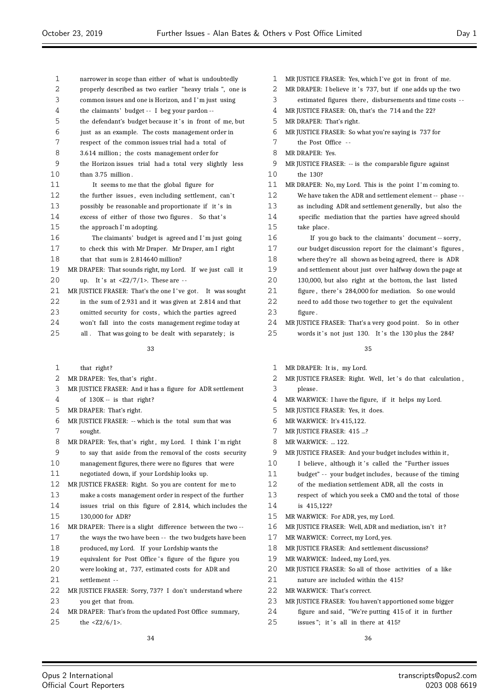narrower in scope than either of what is undoubtedly properly described as two earlier "heavy trials ", one is common issues and one is Horizon, and I 'm just using 4 the claimants' budget -- I beg your pardon --5 the defendant's budget because it 's in front of me, but just as an example. The costs management order in respect of the common issues trial had a total of 3.614 million ; the costs management order for the Horizon issues trial had a total very slightly less than 3.75 million . It seems to me that the global figure for 12 the further issues, even including settlement, can't 13 possibly be reasonable and proportionate if it's in 14 excess of either of those two figures. So that's the approach I'm adopting. The claimants' budget is agreed and I 'm just going to check this with Mr Draper. Mr Draper, am I right that that sum is 2.814640 million? MR DRAPER: That sounds right, my Lord. If we just call it 20 up. It 's at  $\langle 22/7/1 \rangle$ . These are  $-$ 21 MR JUSTICE FRASER: That's the one I've got. It was sought in the sum of 2.931 and it was given at 2.814 and that 23 omitted security for costs, which the parties agreed won't fall into the costs management regime today at 25 all . That was going to be dealt with separately: is MR JUSTICE FRASER: Yes, which I've got in front of me. 2. MR DRAPER: I believe it 's 737 but if one adds up the two estimated figures there , disbursements and time costs - - MR JUSTICE FRASER: Oh, that's the 714 and the 22? MR DRAPER: That's right. the Post Office - - MR DRAPER: Yes. take place . 

#### 

- that right?
- MR DRAPER: Yes, that's right .
- MR JUSTICE FRASER: And it has a figure for ADR settlement
- of 130K -- is that right?
- MR DRAPER: That's right.
- MR JUSTICE FRASER: -- which is the total sum that was sought.
- 8 MR DRAPER: Yes, that's right, my Lord. I think I'm right
- to say that aside from the removal of the costs security
- management figures, there were no figures that were
- negotiated down, if your Lordship looks up.
- MR JUSTICE FRASER: Right. So you are content for me to
- make a costs management order in respect of the further
- issues trial on this figure of 2.814, which includes the 130,000 for ADR?
- MR DRAPER: There is a slight difference between the two --
- 17 the ways the two have been -- the two budgets have been produced, my Lord. If your Lordship wants the
- 19 equivalent for Post Office's figure of the figure you
- 20 were looking at, 737, estimated costs for ADR and settlement - -
- MR JUSTICE FRASER: Sorry, 737? I don't understand where 23 vou get that from.
- MR DRAPER: That's from the updated Post Office summary,
	-
- 

| 5  | MR DRAPER: That's right.                                 |
|----|----------------------------------------------------------|
| 6  | MR JUSTICE FRASER: So what you're saying is 737 for      |
| 7  | the Post Office --                                       |
| 8  | MR DRAPER: Yes.                                          |
| 9  | MR JUSTICE FRASER: -- is the comparable figure against   |
| 10 | the 130?                                                 |
| 11 | MR DRAPER: No, my Lord. This is the point I'm coming to. |
| 12 | We have taken the ADR and settlement element -- phase -- |
| 13 | as including ADR and settlement generally, but also the  |
| 14 | specific mediation that the parties have agreed should   |
| 15 | take place.                                              |
| 16 | If you go back to the claimants' document -- sorry,      |
| 17 | our budget discussion report for the claimant's figures, |
| 18 | where they're all shown as being agreed, there is ADR    |
| 19 | and settlement about just over halfway down the page at  |
| 20 | 130,000, but also right at the bottom, the last listed   |
| 21 | figure, there's 284,000 for mediation. So one would      |
| 22 | need to add those two together to get the equivalent     |
| 23 | figure .                                                 |

- MR JUSTICE FRASER: That's a very good point. So in other
- 25 words it's not just 130. It's the 130 plus the 284?

#### 

- 1 MR DRAPER: It is, my Lord.
- 2 MR JUSTICE FRASER: Right. Well, let's do that calculation, please .
- MR WARWICK: I have the figure, if it helps my Lord.
- MR JUSTICE FRASER: Yes, it does.
- MR WARWICK: It's 415,122.
- 7 MR JUSTICE FRASER: 415 ...?
- MR WARWICK: ... 122.
- 9 MR JUSTICE FRASER: And your budget includes within it,
- 10 I believe, although it's called the "Further issues
- budget" - your budget includes , because of the timing
- of the mediation settlement ADR, all the costs in
- respect of which you seek a CMO and the total of those is 415,122?
- MR WARWICK: For ADR, yes, my Lord.
- MR JUSTICE FRASER: Well, ADR and mediation, isn't it ?
- MR WARWICK: Correct, my Lord, yes.
- MR JUSTICE FRASER: And settlement discussions?
- MR WARWICK: Indeed, my Lord, yes.
- 20 MR JUSTICE FRASER: So all of those activities of a like
- nature are included within the 415?
- MR WARWICK: That's correct.
- MR JUSTICE FRASER: You haven't apportioned some bigger
- figure and said , "We're putting 415 of it in further
- 25 issues"; it's all in there at 415?

25 the  $\frac{25}{12}$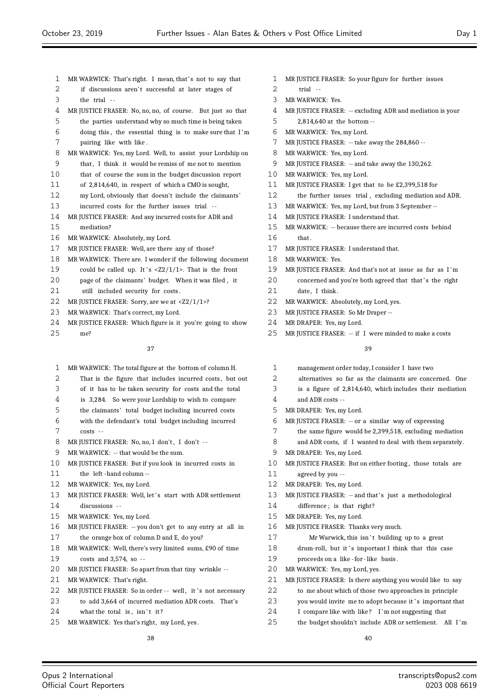- 1 MR WARWICK: That's right. I mean, that's not to say that
- 2 if discussions aren't successful at later stages of
- the trial  $-$
- MR JUSTICE FRASER: No, no, no, of course. But just so that
- the parties understand why so much time is being taken
- doing this , the essential thing is to make sure that I 'm pairing like with like .
- MR WARWICK: Yes, my Lord. Well, to assist your Lordship on
- that , I think it would be remiss of me not to mention
- that of course the sum in the budget discussion report
- of 2,814,640, in respect of which a CMO is sought,
- my Lord, obviously that doesn't include the claimants'
- incurred costs for the further issues trial -
- MR JUSTICE FRASER: And any incurred costs for ADR and mediation?
- MR WARWICK: Absolutely, my Lord.
- MR JUSTICE FRASER: Well, are there any of those?
- MR WARWICK: There are. I wonder if the following document
- 19 could be called up. It 's  $\langle 22/1/1 \rangle$ . That is the front
- page of the claimants' budget. When it was filed , it
- 21 still included security for costs.
- 22 MR JUSTICE FRASER: Sorry, are we at <Z2/1/1>?
- MR WARWICK: That's correct, my Lord.
- MR JUSTICE FRASER: Which figure is it you're going to show me?

- MR WARWICK: The total figure at the bottom of column H.
- 2 That is the figure that includes incurred costs, but out
- of it has to be taken security for costs and the total
- is 3,284. So were your Lordship to wish to compare
- the claimants' total budget including incurred costs
- with the defendant's total budget including incurred costs - -
- 8 MR JUSTICE FRASER: No, no, I don't, I don't --
- MR WARWICK: -- that would be the sum.
- MR JUSTICE FRASER: But if you look in incurred costs in
- the left -hand column --
- MR WARWICK: Yes, my Lord.
- 13 MR JUSTICE FRASER: Well, let's start with ADR settlement discussions - -
- MR WARWICK: Yes, my Lord.
- MR JUSTICE FRASER: -- you don't get to any entry at all in the orange box of column D and E, do you?
- MR WARWICK: Well, there's very limited sums, £90 of time costs and 3,574, so - -
- MR JUSTICE FRASER: So apart from that tiny wrinkle -
- MR WARWICK: That's right.

Opus 2 International Official Court Reporters

- 22 MR JUSTICE FRASER: So in order -- well, it 's not necessary
- to add 3,664 of incurred mediation ADR costs. That's
- 24 what the total is, isn't it?
- MR WARWICK: Yes that's right, my Lord, yes.
- MR JUSTICE FRASER: So your figure for further issues
- trial -
- MR WARWICK: Yes.
- MR JUSTICE FRASER: -- excluding ADR and mediation is your
- 2,814,640 at the bottom --
- MR WARWICK: Yes, my Lord.
- 7 MR JUSTICE FRASER: -- take away the 284,860 --
- MR WARWICK: Yes, my Lord.
- MR JUSTICE FRASER: -- and take away the 130,262.
- MR WARWICK: Yes, my Lord.
- MR JUSTICE FRASER: I get that to be £2,399,518 for
- the further issues trial , excluding mediation and ADR.
- MR WARWICK: Yes, my Lord, but from 3 September --
- 14 MR JUSTICE FRASER: I understand that.
- MR WARWICK: -- because there are incurred costs behind
- that .
- 17 MR JUSTICE FRASER: I understand that.
- MR WARWICK: Yes.
- MR JUSTICE FRASER: And that's not at issue as far as I 'm
- 20 concerned and you're both agreed that that's the right
- 21 date, I think.
- MR WARWICK: Absolutely, my Lord, yes.
- 23 MR JUSTICE FRASER: So Mr Draper --
- MR DRAPER: Yes, my Lord.
- 25 MR JUSTICE FRASER: -- if I were minded to make a costs

#### 

- management order today, I consider I have two
- alternatives so far as the claimants are concerned. One
- is a figure of 2,814,640, which includes their mediation
- and ADR costs -
- MR DRAPER: Yes, my Lord.
- MR JUSTICE FRASER: -- or a similar way of expressing
- the same figure would be 2,399,518, excluding mediation
- and ADR costs, if I wanted to deal with them separately.
- MR DRAPER: Yes, my Lord.
- 10 MR JUSTICE FRASER: But on either footing, those totals are
- agreed by you -
- MR DRAPER: Yes, my Lord.
- 13 MR JUSTICE FRASER: -- and that's just a methodological
- 14 difference: is that right?
- MR DRAPER: Yes, my Lord.
- MR JUSTICE FRASER: Thanks very much.
- 17 Mr Warwick, this isn't building up to a great
- 18 drum-roll, but it 's important I think that this case
- 19 proceeds on a like for like basis.
- MR WARWICK: Yes, my Lord, yes.
- 21 MR JUSTICE FRASER: Is there anything you would like to say
- to me about which of those two approaches in principle
- 23 you would invite me to adopt because it's important that
- 24 I compare like with like? I'm not suggesting that
- the budget shouldn't include ADR or settlement. All I 'm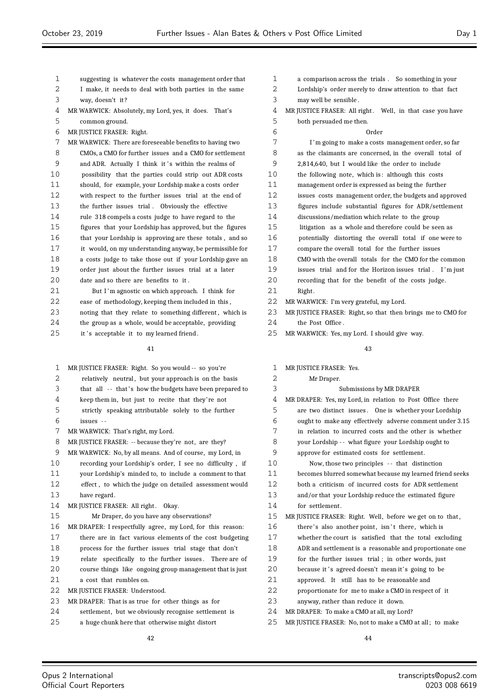| $\mathbf{1}$ | suggesting is whatever the costs management order that   |
|--------------|----------------------------------------------------------|
| 2            | I make, it needs to deal with both parties in the same   |
| 3            | way, doesn't it?                                         |
| 4            | MR WARWICK: Absolutely, my Lord, yes, it does. That's    |
| 5            | common ground.                                           |
| 6            | MR JUSTICE FRASER: Right.                                |
| 7            | MR WARWICK: There are foreseeable benefits to having two |
| 8            | CMOs, a CMO for further issues and a CMO for settlement  |
| 9            | and ADR. Actually I think it's within the realms of      |
| 10           | possibility that the parties could strip out ADR costs   |
| 11           | should, for example, your Lordship make a costs order    |
| 12           | with respect to the further issues trial at the end of   |
| 13           | the further issues trial. Obviously the effective        |
| 14           | rule 318 compels a costs judge to have regard to the     |
| 15           | figures that your Lordship has approved, but the figures |
| 16           | that your Lordship is approving are these totals, and so |
| 17           | it would, on my understanding anyway, be permissible for |
| 18           | a costs judge to take those out if your Lordship gave an |
| 19           | order just about the further issues trial at a later     |
| 20           | date and so there are benefits to it.                    |
| 21           | But I'm agnostic on which approach. I think for          |
| 22           | ease of methodology, keeping them included in this,      |
| 23           | noting that they relate to something different, which is |

23 noting that they relate to something different, which is the group as a whole, would be acceptable, providing

25 it 's acceptable it to my learned friend.

#### 

| 1  | MR JUSTICE FRASER: Right. So you would -- so you're        |
|----|------------------------------------------------------------|
| 2  | relatively neutral, but your approach is on the basis      |
| 3  | that all -- that's how the budgets have been prepared to   |
| 4  | keep them in, but just to recite that they're not          |
| 5  | strictly speaking attributable solely to the further       |
| 6  | issues --                                                  |
| 7  | MR WARWICK: That's right, my Lord.                         |
| 8  | MR JUSTICE FRASER: -- because they're not, are they?       |
| 9  | MR WARWICK: No, by all means. And of course, my Lord, in   |
| 10 | recording your Lordship's order, I see no difficulty, if   |
| 11 | your Lordship's minded to, to include a comment to that    |
| 12 | effect, to which the judge on detailed assessment would    |
| 13 | have regard.                                               |
| 14 | MR JUSTICE FRASER: All right. Okay.                        |
| 15 | Mr Draper, do you have any observations?                   |
| 16 | MR DRAPER: I respectfully agree, my Lord, for this reason: |
| 17 | there are in fact various elements of the cost budgeting   |
| 18 | process for the further issues trial stage that don't      |
| 19 | relate specifically to the further issues. There are of    |
| 20 | course things like ongoing group management that is just   |
| 21 | a cost that rumbles on.                                    |
| 22 | MR JUSTICE FRASER: Understood.                             |
| 23 | MR DRAPER: That is as true for other things as for         |
| 24 | settlement, but we obviously recognise settlement is       |
| 25 | a huge chunk here that otherwise might distort             |

- a comparison across the trials . So something in your Lordship's order merely to draw attention to that fact
- may well be sensible .
- 4 MR JUSTICE FRASER: All right. Well, in that case you have both persuaded me then.

# Order I 'm going to make a costs management order, so far as the claimants are concerned, in the overall total of

- 2,814,640, but I would like the order to include
- 10 the following note, which is: although this costs management order is expressed as being the further
- issues costs management order, the budgets and approved
- figures include substantial figures for ADR/settlement
- discussions/mediation which relate to the group
- litigation as a whole and therefore could be seen as
- potentially distorting the overall total if one were to
- compare the overall total for the further issues
- CMO with the overall totals for the CMO for the common
- issues trial and for the Horizon issues trial . I 'm just
- recording that for the benefit of the costs judge.
- 2.1 Right
- MR WARWICK: I'm very grateful, my Lord.
- MR JUSTICE FRASER: Right, so that then brings me to CMO for 24 the Post Office.
- MR WARWICK: Yes, my Lord. I should give way.

## 

 MR JUSTICE FRASER: Yes. Mr Draper. Submissions by MR DRAPER MR DRAPER: Yes, my Lord, in relation to Post Office there are two distinct issues . One is whether your Lordship ought to make any effectively adverse comment under 3.15 in relation to incurred costs and the other is whether your Lordship - - what figure your Lordship ought to approve for estimated costs for settlement. Now, those two principles - - that distinction becomes blurred somewhat because my learned friend seeks both a criticism of incurred costs for ADR settlement and/or that your Lordship reduce the estimated figure for settlement. MR JUSTICE FRASER: Right. Well, before we get on to that , 16 there's also another point, isn't there, which is whether the court is satisfied that the total excluding ADR and settlement is a reasonable and proportionate one for the further issues trial ; in other words, just 20 because it's agreed doesn't mean it's going to be approved. It still has to be reasonable and proportionate for me to make a CMO in respect of it anyway, rather than reduce it down. MR DRAPER: To make a CMO at all, my Lord? MR JUSTICE FRASER: No, not to make a CMO at all ; to make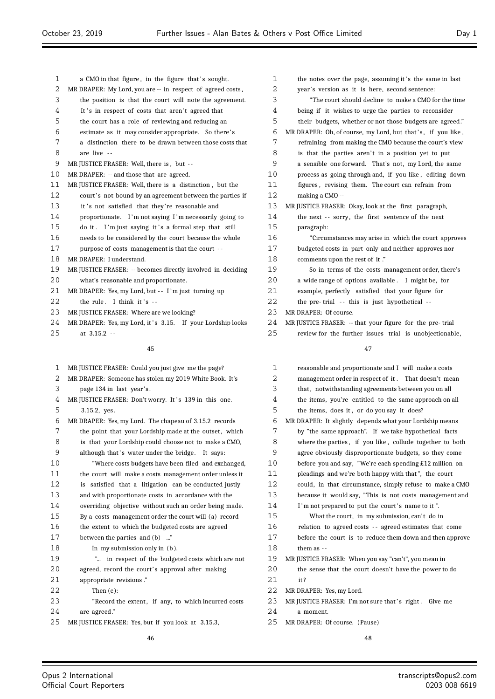1 a CMO in that figure, in the figure that's sought. MR DRAPER: My Lord, you are -- in respect of agreed costs , the position is that the court will note the agreement. 4 It's in respect of costs that aren't agreed that the court has a role of reviewing and reducing an estimate as it may consider appropriate. So there' s a distinction there to be drawn between those costs that are live - - MR JUSTICE FRASER: Well, there is , but - - MR DRAPER: -- and those that are agreed. MR JUSTICE FRASER: Well, there is a distinction , but the 12 court's not bound by an agreement between the parties if 13 it 's not satisfied that they're reasonable and proportionate. I 'm not saying I 'm necessarily going to 15 do it. I'm just saying it's a formal step that still needs to be considered by the court because the whole purpose of costs management is that the court - - MR DRAPER: I understand. MR JUSTICE FRASER: -- becomes directly involved in deciding what's reasonable and proportionate. 21 MR DRAPER: Yes, my Lord, but -- I'm just turning up the rule. I think it's  $-$ 23 MR JUSTICE FRASER: Where are we looking? 24 MR DRAPER: Yes, my Lord, it's 3.15. If your Lordship looks at 3.15.2 - - paragraph:

| $\mathbf 1$ | MR JUSTICE FRASER: Could you just give me the page?    |
|-------------|--------------------------------------------------------|
| 2           | MR DRAPER: Someone has stolen my 2019 White Book. It's |
| 3           | page 134 in last year's.                               |
| 4           | MR JUSTICE FRASER: Don't worry. It's 139 in this one.  |
| 5           | 3.15.2, yes.                                           |
| 6           | MR DRAPER: Yes, my Lord. The chapeau of 3.15.2 records |
| 7           | the point that your Lordship made at the outset, which |
| 8           | is that your Lordship could choose not to make a CMO,  |
| 9           | although that's water under the bridge.<br>It says:    |
| 10          | "Where costs budgets have been filed and exchanged,    |
| 11          | the court will make a costs management order unless it |
| 12          | is satisfied that a litigation can be conducted justly |
| 13          | and with proportionate costs in accordance with the    |
| 14          | overriding objective without such an order being made. |
| 15          | By a costs management order the court will (a) record  |
| 16          | the extent to which the budgeted costs are agreed      |
| 17          | between the parties and (b) "                          |
| 18          | In my submission only in $(b)$ .                       |
| 19          | " in respect of the budgeted costs which are not       |
| 20          | agreed, record the court's approval after making       |
| 21          | appropriate revisions."                                |
| 22          | Then $(c)$ :                                           |
| 23          | "Record the extent, if any, to which incurred costs    |
| 24          | are agreed."                                           |
| 25          | MR JUSTICE FRASER: Yes, but if you look at 3.15.3,     |
|             | 46                                                     |

| $\mathbf 1$ | the notes over the page, assuming it's the same in last     |
|-------------|-------------------------------------------------------------|
| 2           | year's version as it is here, second sentence:              |
| 3           | "The court should decline to make a CMO for the time        |
| 4           | being if it wishes to urge the parties to reconsider        |
| 5           | their budgets, whether or not those budgets are agreed."    |
| 6           | MR DRAPER: Oh, of course, my Lord, but that's, if you like, |
| 7           | refraining from making the CMO because the court's view     |
| 8           | is that the parties aren't in a position yet to put         |
| 9           | a sensible one forward. That's not, my Lord, the same       |
| 10          | process as going through and, if you like, editing down     |
| 11          | figures, revising them. The court can refrain from          |
| 12          | making a CMO --                                             |
| 13          | MR JUSTICE FRASER: Okay, look at the first paragraph,       |
| 14          | the next -- sorry, the first sentence of the next           |
| 15          | paragraph:                                                  |
| 16          | "Circumstances may arise in which the court approves"       |
| 17          | budgeted costs in part only and neither approves nor        |
| 18          | comments upon the rest of it."                              |
| 19          | So in terms of the costs management order, there's          |
| 20          | a wide range of options available. I might be, for          |
| 21          | example, perfectly satisfied that your figure for           |
| 22          | the pre-trial -- this is just hypothetical --               |
| 23          | MR DRAPER: Of course.                                       |
| 24          | MR JUSTICE FRASER: -- that your figure for the pre-trial    |
| 25          | review for the further issues trial is unobjectionable,     |

| 1  | reasonable and proportionate and I will make a costs     |
|----|----------------------------------------------------------|
| 2  | management order in respect of it. That doesn't mean     |
| 3  | that, notwithstanding agreements between you on all      |
| 4  | the items, you're entitled to the same approach on all   |
| 5  | the items, does it, or do you say it does?               |
| 6  | MR DRAPER: It slightly depends what your Lordship means  |
| 7  | by "the same approach". If we take hypothetical facts    |
| 8  | where the parties, if you like, collude together to both |
| 9  | agree obviously disproportionate budgets, so they come   |
| 10 | before you and say, "We're each spending £12 million on  |
| 11 | pleadings and we're both happy with that", the court     |
| 12 | could, in that circumstance, simply refuse to make a CMO |
| 13 | because it would say, "This is not costs management and  |
| 14 | I'm not prepared to put the court's name to it".         |
| 15 | What the court, in my submission, can't do in            |
| 16 | relation to agreed costs -- agreed estimates that come   |
| 17 | before the court is to reduce them down and then approve |
| 18 | them as $-$                                              |
| 19 | MR JUSTICE FRASER: When you say "can't", you mean in     |
| 20 | the sense that the court doesn't have the power to do    |
| 21 | it?                                                      |
| 22 | MR DRAPER: Yes, my Lord.                                 |
| 23 | MR JUSTICE FRASER: I'm not sure that's right. Give me    |
| 24 | a moment.                                                |
| 25 | MR DRAPER: Of course. (Pause)                            |
|    |                                                          |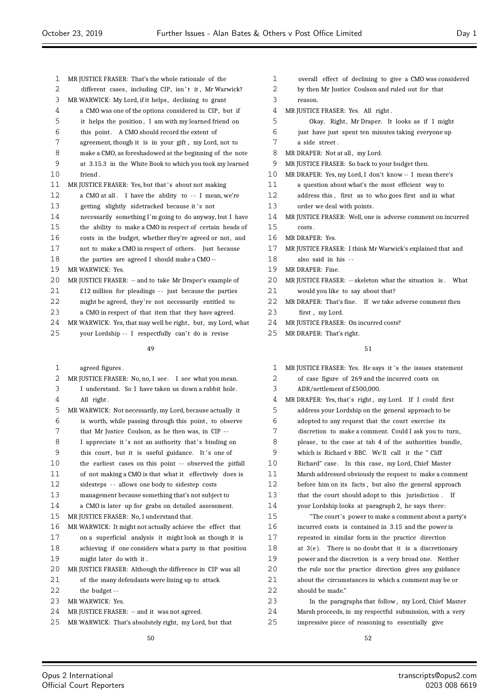- MR JUSTICE FRASER: That's the whole rationale of the 2 different cases, including CIP, isn't it, Mr Warwick? MR WARWICK: My Lord, if it helps, declining to grant a CMO was one of the options considered in CIP, but if it helps the position , I am with my learned friend on this point . A CMO should record the extent of agreement, though it is in your gift , my Lord, not to make a CMO, as foreshadowed at the beginning of the note at 3.15.3 in the White Book to which you took my learned friend . 11 MR JUSTICE FRASER: Yes, but that's about not making 12 a CMO at all. I have the ability to -- I mean, we're 13 getting slightly sidetracked because it's not necessarily something I'm going to do anyway, but I have the ability to make a CMO in respect of certain heads of costs in the budget, whether they're agreed or not, and not to make a CMO in respect of others. Just because the parties are agreed I should make a CMO -- MR WARWICK: Yes. 20 MR JUSTICE FRASER: -- and to take Mr Draper's example of £12 million for pleadings  $-$  just because the parties might be agreed, they're not necessarily entitled to a CMO in respect of that item that they have agreed. 24 MR WARWICK: Yes, that may well be right, but, my Lord, what 25 vour Lordship -- I respectfully can't do is revise
	- agreed figures .
- 2 MR JUSTICE FRASER: No, no, I see. I see what you mean. I understand. So I have taken us down a rabbit hole. All right . MR WARWICK: Not necessarily, my Lord, because actually it 6 is worth, while passing through this point, to observe 7 that Mr Justice Coulson, as he then was, in CIP --8 I appreciate it 's not an authority that 's binding on 9 this court, but it is useful guidance. It's one of 10 the earliest cases on this point -- observed the pitfall of not making a CMO is that what it effectively does is sidesteps - - allows one body to sidestep costs management because something that's not subject to a CMO is later up for grabs on detailed assessment. MR JUSTICE FRASER: No, I understand that. MR WARWICK: It might not actually achieve the effect that on a superficial analysis it might look as though it is achieving if one considers what a party in that position might later do with it . MR JUSTICE FRASER: Although the difference in CIP was all of the many defendants were lining up to attack 22 the budget -- MR WARWICK: Yes. MR JUSTICE FRASER: -- and it was not agreed. MR WARWICK: That's absolutely right, my Lord, but that
- overall effect of declining to give a CMO was considered
- by then Mr Justice Coulson and ruled out for that
- reason.
- MR JUSTICE FRASER: Yes. All right .
- 5 Okay. Right, Mr Draper. It looks as if I might
- just have just spent ten minutes taking everyone up
- a side street .
- 8 MR DRAPER: Not at all, my Lord.
- MR JUSTICE FRASER: So back to your budget then.
- MR DRAPER: Yes, my Lord, I don't know -- I mean there's
- a question about what's the most efficient way to
- 12 address this, first as to who goes first and in what 13 order we deal with points.
- MR JUSTICE FRASER: Well, one is adverse comment on incurred
- costs .
- MR DRAPER: Yes.
- MR JUSTICE FRASER: I think Mr Warwick's explained that and
- also said in his - MR DRAPER: Fine.
	-
- 20 MR JUSTICE FRASER: -- skeleton what the situation is . What would you like to say about that?
- MR DRAPER: That's fine. If we take adverse comment then 23 first my Lord.
- 24 MR JUSTICE FRASER: On incurred costs?
- MR DRAPER: That's right.

- 1 MR JUSTICE FRASER: Yes. He says it 's the issues statement
- of case figure of 269 and the incurred costs on
- ADR/settlement of £500,000.

| 4  | MR DRAPER: Yes, that's right, my Lord. If I could first  |
|----|----------------------------------------------------------|
| 5  | address your Lordship on the general approach to be      |
| 6  | adopted to any request that the court exercise its       |
| 7  | discretion to make a comment. Could I ask you to turn,   |
| 8  | please, to the case at tab 4 of the authorities bundle,  |
| 9  | which is Richard v BBC. We'll call it the "Cliff         |
| 10 | Richard" case. In this case, my Lord, Chief Master       |
| 11 | Marsh addressed obviously the request to make a comment  |
| 12 | before him on its facts, but also the general approach   |
| 13 | that the court should adopt to this jurisdiction. If     |
| 14 | your Lordship looks at paragraph 2, he says there:       |
| 15 | "The court's power to make a comment about a party's     |
| 16 | incurred costs is contained in 3.15 and the power is     |
| 17 | repeated in similar form in the practice direction       |
| 18 | at $3(e)$ . There is no doubt that it is a discretionary |
| 19 | power and the discretion is a very broad one. Neither    |
| 20 | the rule nor the practice direction gives any guidance   |
| 21 | about the circumstances in which a comment may be or     |
| 22 | should be made."                                         |
| 23 | In the paragraphs that follow, my Lord, Chief Master     |
| 24 | Marsh proceeds, in my respectful submission, with a very |
| 25 | impressive piece of reasoning to essentially give        |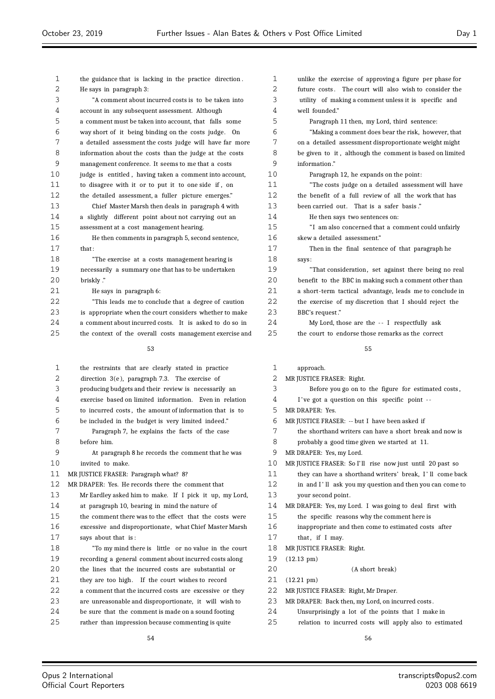| 1        | the guidance that is lacking in the practice direction.                                                   | 1        | unlike the exercise of approving a figure per phase for                                                      |
|----------|-----------------------------------------------------------------------------------------------------------|----------|--------------------------------------------------------------------------------------------------------------|
| 2        | He says in paragraph 3:                                                                                   | 2        | future costs. The court will also wish to consider the                                                       |
| 3        | "A comment about incurred costs is to be taken into                                                       | 3        | utility of making a comment unless it is specific and                                                        |
| 4        | account in any subsequent assessment. Although                                                            | 4        | well founded."                                                                                               |
| 5        | a comment must be taken into account, that falls some                                                     | 5        | Paragraph 11 then, my Lord, third sentence:                                                                  |
| 6        | way short of it being binding on the costs judge. On                                                      | 6        | "Making a comment does bear the risk, however, that                                                          |
| 7        | a detailed assessment the costs judge will have far more                                                  | 7        | on a detailed assessment disproportionate weight might                                                       |
| 8        | information about the costs than the judge at the costs                                                   | 8        | be given to it, although the comment is based on limited                                                     |
| 9        | management conference. It seems to me that a costs                                                        | 9        | information."                                                                                                |
| 10       | judge is entitled, having taken a comment into account,                                                   | 10       | Paragraph 12, he expands on the point:                                                                       |
| 11       | to disagree with it or to put it to one side if, on                                                       | 11       | "The costs judge on a detailed assessment will have                                                          |
| 12       | the detailed assessment, a fuller picture emerges."                                                       | 12       | the benefit of a full review of all the work that has                                                        |
| 13       | Chief Master Marsh then deals in paragraph 4 with                                                         | 13       | been carried out. That is a safer basis."                                                                    |
| 14       | a slightly different point about not carrying out an                                                      | 14       | He then says two sentences on:                                                                               |
| 15       | assessment at a cost management hearing.                                                                  | 15       | "I am also concerned that a comment could unfairly                                                           |
| 16       | He then comments in paragraph 5, second sentence,                                                         | 16       | skew a detailed assessment."                                                                                 |
| 17       | that:                                                                                                     | 17       | Then in the final sentence of that paragraph he                                                              |
| 18       | "The exercise at a costs management hearing is                                                            | 18       | says:                                                                                                        |
| 19       | necessarily a summary one that has to be undertaken                                                       | 19       | "That consideration, set against there being no real                                                         |
| 20       | briskly."                                                                                                 | 20       | benefit to the BBC in making such a comment other than                                                       |
| 21       | He says in paragraph 6:                                                                                   | 21       | a short-term tactical advantage, leads me to conclude in                                                     |
| 22       | "This leads me to conclude that a degree of caution                                                       | 22       | the exercise of my discretion that I should reject the                                                       |
| 23       | is appropriate when the court considers whether to make                                                   | 23       | BBC's request."                                                                                              |
| 24       | a comment about incurred costs. It is asked to do so in                                                   | 24       | My Lord, those are the -- I respectfully ask                                                                 |
| 25       | the context of the overall costs management exercise and                                                  | 25       | the court to endorse those remarks as the correct                                                            |
|          |                                                                                                           |          |                                                                                                              |
|          |                                                                                                           |          |                                                                                                              |
|          | 53                                                                                                        |          | 55                                                                                                           |
|          |                                                                                                           |          |                                                                                                              |
| 1        | the restraints that are clearly stated in practice                                                        | 1        | approach.                                                                                                    |
| 2        | direction $3(e)$ , paragraph 7.3. The exercise of                                                         | 2        | MR JUSTICE FRASER: Right.                                                                                    |
| 3        | producing budgets and their review is necessarily an                                                      | 3        | Before you go on to the figure for estimated costs,                                                          |
| 4        | exercise based on limited information. Even in relation                                                   | 4        | I've got a question on this specific point --                                                                |
| 5        | to incurred costs, the amount of information that is to                                                   | 5        | MR DRAPER: Yes.                                                                                              |
| 6        | be included in the budget is very limited indeed."                                                        | 6        | MR JUSTICE FRASER: -- but I have been asked if                                                               |
| 7        | Paragraph 7, he explains the facts of the case                                                            | 7        | the shorthand writers can have a short break and now is                                                      |
| 8        | before him.                                                                                               | 8        | probably a good time given we started at 11.                                                                 |
| 9        | At paragraph 8 he records the comment that he was                                                         | 9        | MR DRAPER: Yes, my Lord.                                                                                     |
| 10       | invited to make.                                                                                          | 10       | MR JUSTICE FRASER: So I'll rise now just until 20 past so                                                    |
| 11       | MR JUSTICE FRASER: Paragraph what? 8?                                                                     | 11       | they can have a shorthand writers' break, I'll come back                                                     |
| 12       | MR DRAPER: Yes. He records there the comment that                                                         | 12       | in and I'll ask you my question and then you can come to                                                     |
| 13       | Mr Eardley asked him to make. If I pick it up, my Lord,                                                   | 13       | your second point.                                                                                           |
| 14       | at paragraph 10, bearing in mind the nature of                                                            | 14       | MR DRAPER: Yes, my Lord. I was going to deal first with                                                      |
| 15       | the comment there was to the effect that the costs were                                                   | 15       | the specific reasons why the comment here is                                                                 |
| 16       | excessive and disproportionate, what Chief Master Marsh                                                   | 16       | inappropriate and then come to estimated costs after                                                         |
| $17$     | says about that is:                                                                                       | 17       | that, if I may.                                                                                              |
| 18       | "To my mind there is little or no value in the court                                                      | 18       | MR JUSTICE FRASER: Right.                                                                                    |
| 19       | recording a general comment about incurred costs along                                                    | 19       | $(12.13 \text{ pm})$                                                                                         |
| 20       | the lines that the incurred costs are substantial or                                                      | 20       | (A short break)                                                                                              |
| 21       | they are too high. If the court wishes to record                                                          | 21       | $(12.21 \text{ pm})$                                                                                         |
| 22       | a comment that the incurred costs are excessive or they                                                   | 22       | MR JUSTICE FRASER: Right, Mr Draper.                                                                         |
| 23       | are unreasonable and disproportionate, it will wish to                                                    | 23       | MR DRAPER: Back then, my Lord, on incurred costs.                                                            |
| 24<br>25 | be sure that the comment is made on a sound footing<br>rather than impression because commenting is quite | 24<br>25 | Unsurprisingly a lot of the points that I make in<br>relation to incurred costs will apply also to estimated |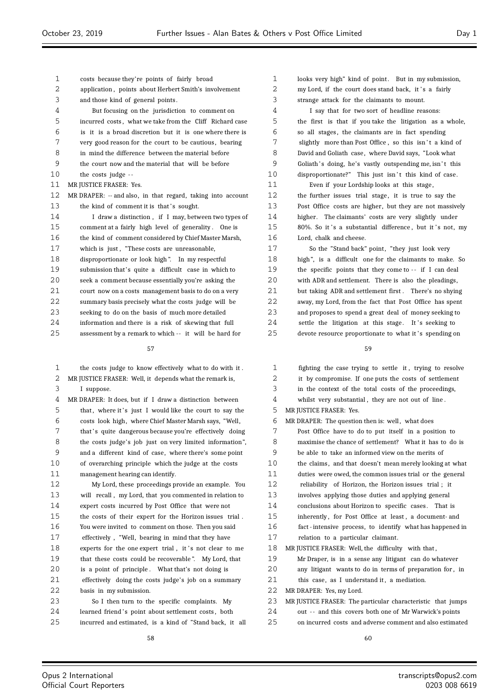| 1           | costs because they're points of fairly broad                | 1    | looks very high" kind of point. But in my submission,    |
|-------------|-------------------------------------------------------------|------|----------------------------------------------------------|
| 2           | application, points about Herbert Smith's involvement       | 2    | my Lord, if the court does stand back, it's a fairly     |
| 3           | and those kind of general points.                           | 3    | strange attack for the claimants to mount.               |
| 4           | But focusing on the jurisdiction to comment on              | 4    | I say that for two sort of headline reasons:             |
| 5           | incurred costs, what we take from the Cliff Richard case    | 5    | the first is that if you take the litigation as a whole, |
| 6           | is it is a broad discretion but it is one where there is    | 6    | so all stages, the claimants are in fact spending        |
| 7           | very good reason for the court to be cautious, bearing      | 7    | slightly more than Post Office, so this isn't a kind of  |
| 8           | in mind the difference between the material before          | 8    | David and Goliath case, where David says, "Look what     |
| 9           | the court now and the material that will be before          | 9    | Goliath's doing, he's vastly outspending me, isn't this  |
| 10          | the costs judge --                                          | 10   | disproportionate?" This just isn't this kind of case.    |
| 11          | MR JUSTICE FRASER: Yes.                                     | 11   | Even if your Lordship looks at this stage,               |
| 12          | MR DRAPER: -- and also, in that regard, taking into account | 12   | the further issues trial stage, it is true to say the    |
| 13          | the kind of comment it is that's sought.                    | 13   | Post Office costs are higher, but they are not massively |
| 14          | I draw a distinction, if I may, between two types of        | 14   | higher. The claimants' costs are very slightly under     |
| 15          | comment at a fairly high level of generality. One is        | 15   | 80%. So it's a substantial difference, but it's not, my  |
| 16          | the kind of comment considered by Chief Master Marsh,       | 16   | Lord, chalk and cheese.                                  |
| 17          | which is just, "These costs are unreasonable,               | 17   | So the "Stand back" point, "they just look very          |
| 18          | disproportionate or look high". In my respectful            | 18   | high", is a difficult one for the claimants to make. So  |
| 19          | submission that's quite a difficult case in which to        | 19   | the specific points that they come to -- if I can deal   |
| 20          | seek a comment because essentially you're asking the        | 20   | with ADR and settlement. There is also the pleadings,    |
| 21          | court now on a costs management basis to do on a very       | 21   | but taking ADR and settlement first. There's no shying   |
| 22          | summary basis precisely what the costs judge will be        | 22   | away, my Lord, from the fact that Post Office has spent  |
| 23          | seeking to do on the basis of much more detailed            | 23   | and proposes to spend a great deal of money seeking to   |
| 24          | information and there is a risk of skewing that full        | 24   | settle the litigation at this stage. It's seeking to     |
| 25          | assessment by a remark to which -- it will be hard for      | 25   | devote resource proportionate to what it's spending on   |
|             |                                                             |      |                                                          |
|             | 57                                                          |      | 59                                                       |
| 1           | the costs judge to know effectively what to do with it.     | 1    | fighting the case trying to settle it, trying to resolve |
| 2           | MR JUSTICE FRASER: Well, it depends what the remark is,     | 2    | it by compromise. If one puts the costs of settlement    |
| 3           | I suppose.                                                  | 3    | in the context of the total costs of the proceedings,    |
| 4           | MR DRAPER: It does, but if I draw a distinction between     | 4    | whilst very substantial, they are not out of line.       |
| 5           | that, where it's just I would like the court to say the     | 5    | MR JUSTICE FRASER: Yes.                                  |
| 6           | costs look high, where Chief Master Marsh says, "Well,      | 6    | MR DRAPER: The question then is: well, what does         |
| 7           | that's quite dangerous because you're effectively doing     | 7    | Post Office have to do to put itself in a position to    |
| 8           | the costs judge's job just on very limited information",    | 8    | maximise the chance of settlement? What it has to do is  |
| $\mathsf 9$ | and a different kind of case, where there's some point      | 9    | be able to take an informed view on the merits of        |
| $10$        | of overarching principle which the judge at the costs       | $10$ | the claims, and that doesn't mean merely looking at what |
| 11          | management hearing can identify.                            | 11   | duties were owed, the common issues trial or the general |
| 12          | My Lord, these proceedings provide an example. You          | 12   | reliability of Horizon, the Horizon issues trial; it     |
| 13          | will recall, my Lord, that you commented in relation to     | 13   | involves applying those duties and applying general      |
| 14          | expert costs incurred by Post Office that were not          | 14   | conclusions about Horizon to specific cases. That is     |
| 15          | the costs of their expert for the Horizon issues trial.     | 15   | inherently, for Post Office at least, a document- and    |
| 16          | You were invited to comment on those. Then you said         | 16   | fact-intensive process, to identify what has happened in |
| 17          | effectively, "Well, bearing in mind that they have          | 17   | relation to a particular claimant.                       |
| 18          | experts for the one expert trial, it's not clear to me      | 18   | MR JUSTICE FRASER: Well, the difficulty with that,       |
| 19          | that these costs could be recoverable". My Lord, that       | 19   | Mr Draper, is in a sense any litigant can do whatever    |

- 19 Mr Draper, is in a sense any litigant can do whatever
- 20 any litigant wants to do in terms of preparation for , in
- 21 this case, as I understand it, a mediation.
- 22 MR DRAPER: Yes, my Lord.
- 23 MR JUSTICE FRASER: The particular characteristic that jumps
- 24 out -- and this covers both one of Mr Warwick's points
- 25 on incurred costs and adverse comment and also estimated 60

20 is a point of principle . What that's not doing is 21 effectively doing the costs judge's job on a summary

23 So I then turn to the specific complaints. My 24 learned friend's point about settlement costs, both 25 incurred and estimated, is a kind of "Stand back, it all 58

22 basis in my submission.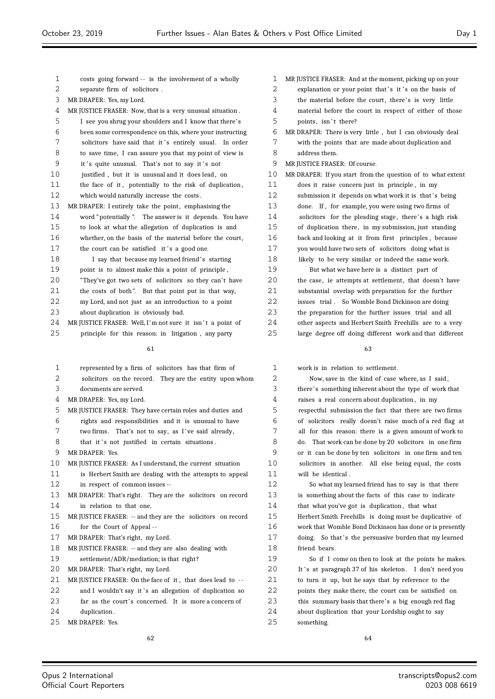| 1        | costs going forward -- is the involvement of a wholly       |
|----------|-------------------------------------------------------------|
| 2        | separate firm of solicitors.                                |
| 3        | MR DRAPER: Yes, my Lord.                                    |
| 4        | MR JUSTICE FRASER: Now, that is a very unusual situation.   |
| 5        | I see you shrug your shoulders and I know that there's      |
| 6        | been some correspondence on this, where your instructing    |
| 7        | solicitors have said that it's entirely usual. In order     |
| 8        | to save time, I can assure you that my point of view is     |
| 9        | it's quite unusual. That's not to say it's not              |
| 10       | justified, but it is unusual and it does lead, on           |
| 11       | the face of it, potentially to the risk of duplication,     |
| 12       | which would naturally increase the costs.                   |
| 13       | MR DRAPER: I entirely take the point, emphasising the       |
| 14       | word "potentially". The answer is it depends. You have      |
| 15       | to look at what the allegation of duplication is and        |
| 16       | whether, on the basis of the material before the court,     |
| 17       | the court can be satisfied it's a good one.                 |
| 18       | I say that because my learned friend's starting             |
| 19       | point is to almost make this a point of principle,          |
| 20       | "They've got two sets of solicitors so they can't have      |
| 21       | the costs of both". But that point put in that way,         |
| 22       | my Lord, and not just as an introduction to a point         |
| 23       | about duplication is obviously bad.                         |
| 24       | MR JUSTICE FRASER: Well, I'm not sure it isn't a point of   |
| 25       | principle for this reason: in litigation, any party         |
|          | 61                                                          |
|          |                                                             |
| 1        | represented by a firm of solicitors has that firm of        |
| 2        | solicitors on the record. They are the entity upon whom     |
| 3        | documents are served.                                       |
| 4        | MR DRAPER: Yes, my Lord.                                    |
| 5        | MR JUSTICE FRASER: They have certain roles and duties and   |
| 6        | rights and responsibilities and it is unusual to have       |
| 7        | two firms. That's not to say, as I've said already,         |
| 8        | that it's not justified in certain situations.              |
| 9        | MR DRAPER: Yes.                                             |
| 10       | MR JUSTICE FRASER: As I understand, the current situation   |
| 11       | is Herbert Smith are dealing with the attempts to appeal    |
| 12       |                                                             |
| 13       | in respect of common issues --                              |
|          | MR DRAPER: That's right. They are the solicitors on record  |
| 14       | in relation to that one.                                    |
| 15       | MR JUSTICE FRASER: -- and they are the solicitors on record |
| 16       | for the Court of Appeal --                                  |
|          | MR DRAPER: That's right, my Lord.                           |
| 17<br>18 | MR JUSTICE FRASER: -- and they are also dealing with        |
| 19       | settlement/ADR/mediation; is that right?                    |
| 20       | MR DRAPER: That's right, my Lord.                           |
| 21       | MR JUSTICE FRASER: On the face of it, that does lead to --  |

- 23 far as the court's concerned. It is more a concern of
- duplication .
- MR DRAPER: Yes.

 MR JUSTICE FRASER: And at the moment, picking up on your 2 explanation or your point that's it's on the basis of 3 the material before the court, there's is very little material before the court in respect of either of those 5 points, isn't there? MR DRAPER: There is very little , but I can obviously deal with the points that are made about duplication and address them. MR JUSTICE FRASER: Of course. MR DRAPER: If you start from the question of to what extent does it raise concern just in principle , in my 12 submission it depends on what work it is that's being done. If , for example, you were using two firms of 14 solicitors for the pleading stage, there's a high risk of duplication there , in my submission, just standing back and looking at it from first principles , because you would have two sets of solicitors doing what is likely to be very similar or indeed the same work. But what we have here is a distinct part of the case, ie attempts at settlement, that doesn't have substantial overlap with preparation for the further issues trial . So Womble Bond Dickinson are doing the preparation for the further issues trial and all other aspects and Herbert Smith Freehills are to a very large degree off doing different work and that different

work is in relation to settlement.

 Now, save in the kind of case where, as I said , there' s something inherent about the type of work that raises a real concern about duplication , in my respectful submission the fact that there are two firms of solicitors really doesn't raise much of a red flag at all for this reason: there is a given amount of work to do. That work can be done by 20 solicitors in one firm or it can be done by ten solicitors in one firm and ten solicitors in another. All else being equal, the costs will be identical .

 So what my learned friend has to say is that there is something about the facts of this case to indicate that what you've got is duplication , that what Herbert Smith Freehills is doing must be duplicative of work that Womble Bond Dickinson has done or is presently 17 doing. So that's the persuasive burden that my learned friend bears.

 So if I come on then to look at the points he makes. 20 It 's at paragraph 37 of his skeleton. I don't need you to turn it up, but he says that by reference to the points they make there, the court can be satisfied on this summary basis that there's a big enough red flag about duplication that your Lordship ought to say something.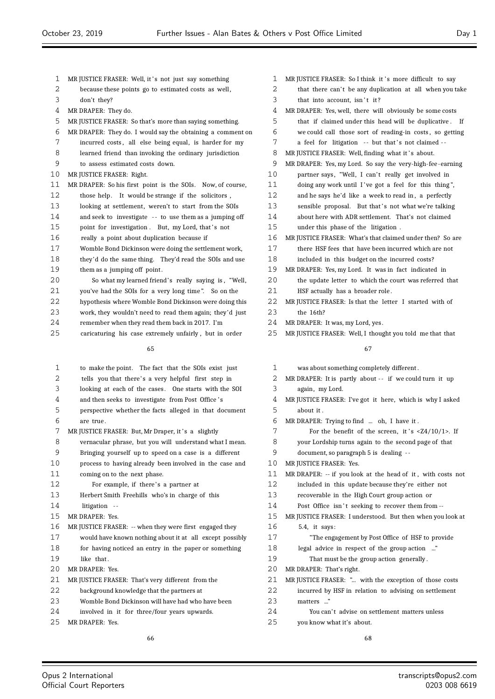| 1  | MR JUSTICE FRASER: Well, it's not just say something       | 1            | MR JUSTICE FRASER: So I think it's more difficult to say           |
|----|------------------------------------------------------------|--------------|--------------------------------------------------------------------|
| 2  | because these points go to estimated costs as well,        | 2            | that there can't be any duplication at all when you take           |
| 3  | don't they?                                                | 3            | that into account, isn't it?                                       |
| 4  | MR DRAPER: They do.                                        | 4            | MR DRAPER: Yes, well, there will obviously be some costs           |
| 5  | MR JUSTICE FRASER: So that's more than saying something.   | 5            | that if claimed under this head will be duplicative. If            |
| 6  | MR DRAPER: They do. I would say the obtaining a comment on | 6            | we could call those sort of reading-in costs, so getting           |
| 7  | incurred costs, all else being equal, is harder for my     | 7            | a feel for litigation -- but that's not claimed --                 |
| 8  | learned friend than invoking the ordinary jurisdiction     | 8            | MR JUSTICE FRASER: Well, finding what it's about.                  |
| 9  | to assess estimated costs down.                            | 9            | MR DRAPER: Yes, my Lord. So say the very-high-fee-earning          |
| 10 | MR JUSTICE FRASER: Right.                                  | 10           | partner says, "Well, I can't really get involved in                |
| 11 | MR DRAPER: So his first point is the SOIs. Now, of course, | 11           | doing any work until I've got a feel for this thing",              |
| 12 | those help. It would be strange if the solicitors,         | 12           | and he says he'd like a week to read in, a perfectly               |
| 13 | looking at settlement, weren't to start from the SOIs      | 13           | sensible proposal. But that's not what we're talking               |
| 14 | and seek to investigate -- to use them as a jumping off    | 14           | about here with ADR settlement. That's not claimed                 |
| 15 | point for investigation. But, my Lord, that's not          | 15           | under this phase of the litigation.                                |
| 16 | really a point about duplication because if                | 16           | MR JUSTICE FRASER: What's that claimed under then? So are          |
| 17 | Womble Bond Dickinson were doing the settlement work,      | 17           | there HSF fees that have been incurred which are not               |
| 18 | they'd do the same thing. They'd read the SOIs and use     | 18           | included in this budget on the incurred costs?                     |
| 19 | them as a jumping off point.                               | 19           | MR DRAPER: Yes, my Lord. It was in fact indicated in               |
| 20 | So what my learned friend's really saying is, "Well,       | 20           | the update letter to which the court was referred that             |
| 21 | you've had the SOIs for a very long time". So on the       | 21           | HSF actually has a broader role.                                   |
| 22 | hypothesis where Womble Bond Dickinson were doing this     | 22           | MR JUSTICE FRASER: Is that the letter I started with of            |
| 23 | work, they wouldn't need to read them again; they'd just   | 23           | the 16th?                                                          |
| 24 | remember when they read them back in 2017. I'm             | 24           | MR DRAPER: It was, my Lord, yes.                                   |
| 25 | caricaturing his case extremely unfairly, but in order     | 25           | MR JUSTICE FRASER: Well, I thought you told me that that           |
|    | 65                                                         |              | 67                                                                 |
| 1  | to make the point. The fact that the SOIs exist just       | $\mathbf{1}$ | was about something completely different.                          |
| 2  | tells you that there's a very helpful first step in        | 2            | MR DRAPER: It is partly about -- if we could turn it up            |
| 3  | looking at each of the cases. One starts with the SOI      | 3            | again, my Lord.                                                    |
| 4  | and then seeks to investigate from Post Office's           | 4            | MR JUSTICE FRASER: I've got it here, which is why I asked          |
| 5  | perspective whether the facts alleged in that document     | 5            | about it.                                                          |
| 6  | are true.                                                  | 6            | MR DRAPER: Trying to find  oh, I have it.                          |
| 7  | MR JUSTICE FRASER: But, Mr Draper, it's a slightly         | 7            | For the benefit of the screen, it's $\langle 24/10/1 \rangle$ . If |
| 8  | vernacular phrase, but you will understand what I mean.    | 8            | your Lordship turns again to the second page of that               |
| 9  | Bringing yourself up to speed on a case is a different     | 9            | document, so paragraph 5 is dealing --                             |
| 10 | process to having already been involved in the case and    | 10           | MR JUSTICE FRASER: Yes.                                            |
| 11 | coming on to the next phase.                               | 11           | MR DRAPER: -- if you look at the head of it, with costs not        |
| 12 | For example, if there's a partner at                       | 12           | included in this update because they're either not                 |
| 13 | Herbert Smith Freehills who's in charge of this            | 13           | recoverable in the High Court group action or                      |
| 14 | litigation --                                              | 14           | Post Office isn't seeking to recover them from --                  |
| 15 | MR DRAPER: Yes.                                            | 15           | MR JUSTICE FRASER: I understood. But then when you look at         |
| 16 | MR JUSTICE FRASER: -- when they were first engaged they    | 16           | $5.4$ , it says:                                                   |
| 17 | would have known nothing about it at all except possibly   | 17           | "The engagement by Post Office of HSF to provide                   |
| 18 | for having noticed an entry in the paper or something      | 18           | legal advice in respect of the group action "                      |
| 19 | like that.                                                 | 19           | That must be the group action generally.                           |
| 20 | MR DRAPER: Yes.                                            | 20           | MR DRAPER: That's right.                                           |
| 21 | MR JUSTICE FRASER: That's very different from the          | 21           | MR JUSTICE FRASER: " with the exception of those costs             |
| 22 | background knowledge that the partners at                  | 22           | incurred by HSF in relation to advising on settlement              |
| 23 | Womble Bond Dickinson will have had who have been          | 23           | matters "                                                          |
| 24 | involved in it for three/four years upwards.               | 24           | You can't advise on settlement matters unless                      |
| 25 | MR DRAPER: Yes.                                            | 25           | you know what it's about.                                          |
|    |                                                            |              |                                                                    |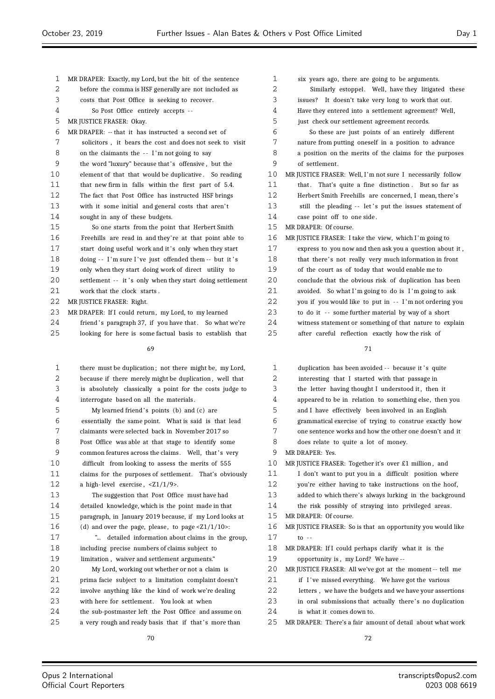| 1          | MR DRAPER: Exactly, my Lord, but the bit of the sentence | 1  | six years         |
|------------|----------------------------------------------------------|----|-------------------|
| 2          | before the comma is HSF generally are not included as    | 2  | Simila            |
| 3          | costs that Post Office is seeking to recover.            | 3  | issues? I         |
| 4          | So Post Office entirely accepts --                       | 4  | Have they         |
| 5          | MR JUSTICE FRASER: Okay.                                 | 5  | just check        |
| $\epsilon$ | MR DRAPER: -- that it has instructed a second set of     | 6  | So the            |
| 7          | solicitors, it bears the cost and does not seek to visit | 7  | nature fro        |
| 8          | on the claimants the -- I'm not going to say             | 8  | a position        |
| 9          | the word "luxury" because that's offensive, but the      | 9  | of settlem        |
| 10         | element of that that would be duplicative. So reading    | 10 | MR JUSTICE FI     |
| 11         | that new firm in falls within the first part of 5.4.     | 11 | that.<br>Tha      |
| 12         | The fact that Post Office has instructed HSF brings      | 12 | Herbert Sr        |
| 13         | with it some initial and general costs that aren't       | 13 | still the         |
| 14         | sought in any of these budgets.                          | 14 | case point        |
| 15         | So one starts from the point that Herbert Smith          | 15 | MR DRAPER: 0      |
| 16         | Freehills are read in and they're at that point able to  | 16 | MR JUSTICE FI     |
| 17         | start doing useful work and it's only when they start    | 17 | express to        |
| 18         | doing -- I'm sure I've just offended them -- but it's    | 18 | that there        |
| 19         | only when they start doing work of direct utility to     | 19 | of the cou        |
| 20         | settlement -- it's only when they start doing settlement | 20 | conclude t        |
| 21         | work that the clock starts.                              | 21 | avoided.          |
| 22         | MR JUSTICE FRASER: Right.                                | 22 | you if you        |
| 23         | MR DRAPER: If I could return, my Lord, to my learned     | 23 | to do it -        |
| 24         | friend's paragraph 37, if you have that. So what we're   | 24 | witness st        |
| 25         | looking for here is some factual basis to establish that | 25 | after care        |
|            | 69                                                       |    |                   |
| 1          | there must be duplication; not there might be, my Lord,  | 1  | duplication       |
| 2          | because if there merely might be duplication, well that  | 2  | interesting       |
| 3          | is absolutely classically a point for the costs judge to | 3  | the letter        |
| 4          | interrogate based on all the materials.                  | 4  | appeared t        |
| 5          | My learned friend's points (b) and (c) are               | 5  | and I have        |
| 6          | essentially the same point. What is said is that lead    | 6  | grammatic         |
| 7          | claimants were selected back in November 2017 so         | 7  | one senter        |
| 8          | Post Office was able at that stage to identify some      | 8  | does relat        |
| 9          | common features across the claims. Well, that's very     | 9  | <b>MR DRAPER:</b> |
| 10         | difficult from looking to assess the merits of 555       | 10 | MR JUSTICE FI     |
| 11         | claims for the purposes of settlement. That's obviously  | 11 | I don't w         |
| 12         | a high-level exercise, $\langle 21/1/9 \rangle$ .        | 12 | you're eit        |
|            |                                                          | 13 |                   |
| 13         | The suggestion that Post Office must have had            |    | added to v        |

 detailed knowledge, which is the point made in that paragraph, in January 2019 because, if my Lord looks at 16 (d) and over the page, please, to page  $\langle 21/1/10 \rangle$ :

 "... detailed information about claims in the group, including precise numbers of claims subject to 19 limitation, waiver and settlement arguments."

| 20 | My Lord, working out whether or not a claim is        |
|----|-------------------------------------------------------|
| 21 | prima facie subject to a limitation complaint doesn't |
| 22 | involve anything like the kind of work we're dealing  |
| 23 | with here for settlement. You look at when            |
| 24 | the sub-postmaster left the Post Office and assume on |
| 25 | a very rough and ready basis that if that's more than |

| $\mathbf 1$ | six years ago, there are going to be arguments.            |
|-------------|------------------------------------------------------------|
| 2           | Similarly estoppel. Well, have they litigated these        |
| 3           | issues? It doesn't take very long to work that out.        |
| 4           | Have they entered into a settlement agreement? Well,       |
| 5           | just check our settlement agreement records.               |
| 6           | So these are just points of an entirely different          |
| 7           | nature from putting oneself in a position to advance       |
| 8           | a position on the merits of the claims for the purposes    |
| 9           | of settlement.                                             |
| 10          | MR JUSTICE FRASER: Well, I'm not sure I necessarily follow |
| 11          | that. That's quite a fine distinction. But so far as       |
| 12          | Herbert Smith Freehills are concerned, I mean, there's     |
| 13          | still the pleading -- let's put the issues statement of    |
| 14          | case point off to one side.                                |
| 15          | MR DRAPER: Of course.                                      |
| 16          | MR JUSTICE FRASER: I take the view, which I'm going to     |
| 17          | express to you now and then ask you a question about it,   |
| 18          | that there's not really very much information in front     |
| 19          | of the court as of today that would enable me to           |
| 20          | conclude that the obvious risk of duplication has been     |
| 21          | avoided. So what I'm going to do is I'm going to ask       |
| 22          | you if you would like to put in -- I'm not ordering you    |
| 23          | to do it -- some further material by way of a short        |
| 24          | witness statement or something of that nature to explain   |
| 25          | after careful reflection exactly how the risk of           |

| 1  | duplication has been avoided -- because it's quite          |
|----|-------------------------------------------------------------|
| 2  | interesting that I started with that passage in             |
| 3  | the letter having thought I understood it, then it          |
| 4  | appeared to be in relation to something else, then you      |
| 5  | and I have effectively been involved in an English          |
| 6  | grammatical exercise of trying to construe exactly how      |
| 7  | one sentence works and how the other one doesn't and it     |
| 8  | does relate to quite a lot of money.                        |
| 9  | MR DRAPER: Yes.                                             |
| 10 | MR JUSTICE FRASER: Together it's over £1 million, and       |
| 11 | I don't want to put you in a difficult position where       |
| 12 | you're either having to take instructions on the hoof,      |
| 13 | added to which there's always lurking in the background     |
| 14 | the risk possibly of straying into privileged areas.        |
| 15 | MR DRAPER: Of course.                                       |
| 16 | MR JUSTICE FRASER: So is that an opportunity you would like |
| 17 | $10 - -$                                                    |
| 18 | MR DRAPER: If I could perhaps clarify what it is the        |
| 19 | opportunity is, my Lord? We have --                         |
| 20 | MR JUSTICE FRASER: All we've got at the moment -- tell me   |
| 21 | if I've missed everything. We have got the various          |
| 22 | letters, we have the budgets and we have your assertions    |
| 23 | in oral submissions that actually there's no duplication    |
| 24 | is what it comes down to.                                   |
| 25 | MR DRAPER: There's a fair amount of detail about what work  |
|    |                                                             |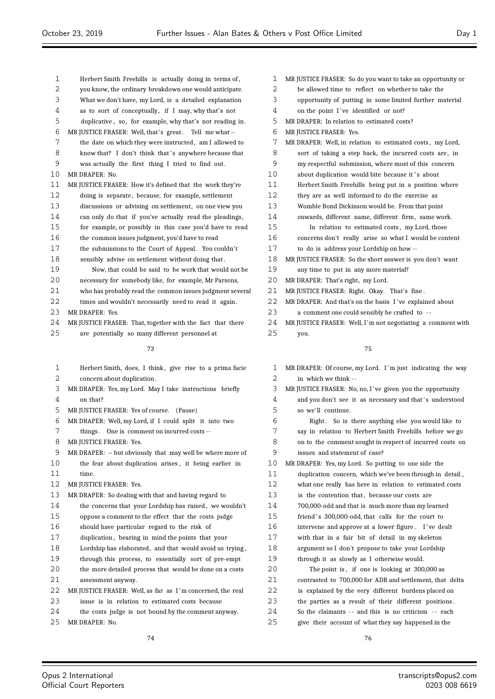| 1  | Herbert Smith Freehills is actually doing in terms of,                                                            |                   |
|----|-------------------------------------------------------------------------------------------------------------------|-------------------|
| 2  | you know, the ordinary breakdown one would anticipate.                                                            |                   |
| 3  | What we don't have, my Lord, is a detailed explanation                                                            |                   |
| 4  | as to sort of conceptually, if I may, why that's not                                                              |                   |
| 5  | duplicative, so, for example, why that's not reading in.                                                          |                   |
| 6  |                                                                                                                   |                   |
| 7  | MR JUSTICE FRASER: Well, that's great. Tell me what --                                                            |                   |
| 8  | the date on which they were instructed, am I allowed to                                                           |                   |
| 9  | know that? I don't think that's anywhere because that                                                             |                   |
| 10 | was actually the first thing I tried to find out.<br>MR DRAPER: No.                                               | 1                 |
| 11 |                                                                                                                   | 1                 |
| 12 | MR JUSTICE FRASER: How it's defined that the work they're<br>doing is separate, because, for example, settlement  | 1                 |
| 13 |                                                                                                                   | 1                 |
| 14 | discussions or advising on settlement, on one view you<br>can only do that if you've actually read the pleadings, | $\mathbf{1}$      |
| 15 |                                                                                                                   |                   |
| 16 | for example, or possibly in this case you'd have to read                                                          | $\mathbf{1}$<br>1 |
| 17 | the common issues judgment, you'd have to read<br>the submissions to the Court of Appeal. You couldn't            | 1                 |
| 18 |                                                                                                                   | 1                 |
| 19 | sensibly advise on settlement without doing that.                                                                 |                   |
|    | Now, that could be said to be work that would not be                                                              | $\mathbf{1}$      |
| 20 | necessary for somebody like, for example, Mr Parsons,                                                             | 2                 |
| 21 | who has probably read the common issues judgment several                                                          | 2                 |
| 22 | times and wouldn't necessarily need to read it again.                                                             | 2                 |
| 23 | MR DRAPER: Yes.                                                                                                   | 2                 |
| 24 | MR JUSTICE FRASER: That, together with the fact that there                                                        | 2                 |
| 25 | are potentially so many different personnel at                                                                    | 2                 |
|    | 73                                                                                                                |                   |
| 1  | Herbert Smith, does, I think, give rise to a prima facie                                                          |                   |
| 2  | concern about duplication.                                                                                        |                   |
| 3  | MR DRAPER: Yes, my Lord. May I take instructions briefly                                                          |                   |
| 4  | on that?                                                                                                          |                   |
| 5  | MR JUSTICE FRASER: Yes of course. (Pause)                                                                         |                   |
| 6  | MR DRAPER: Well, my Lord, if I could split it into two                                                            |                   |
| 7  | things. One is comment on incurred costs --                                                                       |                   |
| 8  | MR JUSTICE FRASER: Yes.                                                                                           |                   |
| 9  | MR DRAPER: -- but obviously that may well be where more of                                                        |                   |
| 10 | the fear about duplication arises, it being earlier in                                                            | 1                 |
| 11 | time.                                                                                                             | $\mathbf{1}$      |
| 12 | MR JUSTICE FRASER: Yes.                                                                                           | 1                 |
| 13 | MR DRAPER: So dealing with that and having regard to                                                              | 1                 |
| 14 | the concerns that your Lordship has raised, we wouldn't                                                           | $\mathbf{1}$      |
| 15 | oppose a comment to the effect that the costs judge                                                               | 1                 |

- should have particular regard to the risk of
- duplication , bearing in mind the points that your
- Lordship has elaborated, and that would avoid us trying ,
- through this process, to essentially sort of pre-empt
- the more detailed process that would be done on a costs assessment anyway.
- MR JUSTICE FRASER: Well, as far as I 'm concerned, the real issue is in relation to estimated costs because
- the costs judge is not bound by the comment anyway. MR DRAPER: No.
	-

| 1  | MR JUSTICE FRASER: So do you want to take an opportunity or |
|----|-------------------------------------------------------------|
| 2  | be allowed time to reflect on whether to take the           |
| 3  | opportunity of putting in some limited further material     |
| 4  | on the point I've identified or not?                        |
| 5  | MR DRAPER: In relation to estimated costs?                  |
| 6  | MR JUSTICE FRASER: Yes.                                     |
| 7  | MR DRAPER: Well, in relation to estimated costs, my Lord,   |
| 8  | sort of taking a step back, the incurred costs are, in      |
| 9  | my respectful submission, where most of this concern        |
| 10 | about duplication would bite because it's about             |
| 11 | TTankand Costel, Tosakilla, katu wande turun maatdan makana |

- Herbert Smith Freehills being put in a position where
- they are as well informed to do the exercise as Womble Bond Dickinson would be. From that point
- onwards, different name, different firm , same work.
- In relation to estimated costs , my Lord, those
- concerns don't really arise so what I would be content
- to do is address your Lordship on how --
- MR JUSTICE FRASER: So the short answer is you don't want
- any time to put in any more material?
- MR DRAPER: That's right, my Lord.
- MR JUSTICE FRASER: Right. Okay. That's fine .
- MR DRAPER: And that's on the basis I ' ve explained about
- a comment one could sensibly be crafted to -
- MR JUSTICE FRASER: Well, I'm not negotiating a comment with you.

- MR DRAPER: Of course, my Lord. I 'm just indicating the way in which we think - -
- MR JUSTICE FRASER: No, no, I ' ve given you the opportunity 4 and you don't see it as necessary and that's understood
- so we'll continue. Right . So is there anything else you would like to say in relation to Herbert Smith Freehills before we go on to the comment sought in respect of incurred costs on issues and statement of case?
- MR DRAPER: Yes, my Lord. So putting to one side the
- duplication concern, which we've been through in detail ,
- what one really has here in relation to estimated costs
- 13 is the contention that, because our costs are
- 700,000-odd and that is much more than my learned
- friend ' s 300,000-odd, that calls for the court to
- 16 intervene and approve at a lower figure. I've dealt
- with that in a fair bit of detail in my skeleton argument so I don't propose to take your Lordship
- through it as slowly as I otherwise would.
- The point is , if one is looking at 300,000 as contrasted to 700,000 for ADR and settlement, that delta is explained by the very different burdens placed on the parties as a result of their different positions . 24 So the claimants -- and this is no criticism -- each give their account of what they say happened in the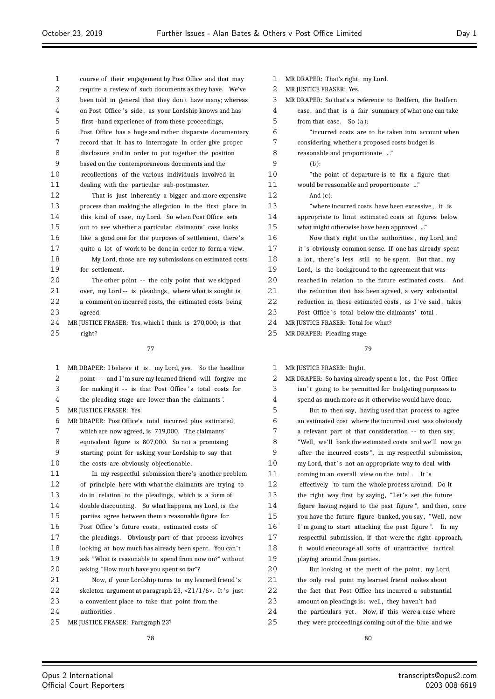| 2        | require a review of such documents as they have. We've                    | 2        |  |  |
|----------|---------------------------------------------------------------------------|----------|--|--|
| 3        | been told in general that they don't have many; whereas                   |          |  |  |
| 4        | on Post Office's side, as your Lordship knows and has                     |          |  |  |
| 5        | first -hand experience of from these proceedings,                         |          |  |  |
| 6        | Post Office has a huge and rather disparate documentary                   |          |  |  |
| 7        | record that it has to interrogate in order give proper                    |          |  |  |
| 8        | disclosure and in order to put together the position                      |          |  |  |
| 9        | based on the contemporaneous documents and the                            | 9        |  |  |
| 10       | recollections of the various individuals involved in                      | 10       |  |  |
| 11       | dealing with the particular sub-postmaster.                               | 11       |  |  |
| 12       | That is just inherently a bigger and more expensive                       | 12       |  |  |
| 13       | process than making the allegation in the first place in                  | 13       |  |  |
| 14       | this kind of case, my Lord. So when Post Office sets                      | 14       |  |  |
| 15       | out to see whether a particular claimants' case looks                     | 15       |  |  |
| 16       | like a good one for the purposes of settlement, there's                   | 16       |  |  |
| 17       | quite a lot of work to be done in order to form a view.                   | 17       |  |  |
| 18       | My Lord, those are my submissions on estimated costs                      | 18       |  |  |
| 19       | for settlement.                                                           | 19       |  |  |
| 20       | The other point -- the only point that we skipped                         | 20       |  |  |
| 21       | over, my Lord -- is pleadings, where what is sought is                    | 21       |  |  |
| 22       | a comment on incurred costs, the estimated costs being                    | 22       |  |  |
| 23       | agreed.                                                                   | 23       |  |  |
| 24       | MR JUSTICE FRASER: Yes, which I think is 270,000; is that                 | 24       |  |  |
| 25       | right?                                                                    | 25       |  |  |
|          |                                                                           |          |  |  |
|          | 77                                                                        |          |  |  |
| 1        | MR DRAPER: I believe it is, my Lord, yes. So the headline                 | 1        |  |  |
| 2        | point -- and I'm sure my learned friend will forgive me                   | 2        |  |  |
| 3        | for making it -- is that Post Office's total costs for                    | 3        |  |  |
| 4        | the pleading stage are lower than the claimants'.                         | 4        |  |  |
| 5        | MR JUSTICE FRASER: Yes.                                                   | 5        |  |  |
| 6        | MR DRAPER: Post Office's total incurred plus estimated,                   | 6        |  |  |
| 7        | which are now agreed, is 719,000. The claimants'                          | 7        |  |  |
| 8        | equivalent figure is 807,000. So not a promising                          | 8        |  |  |
| 9        | starting point for asking your Lordship to say that                       | 9        |  |  |
| 10       |                                                                           |          |  |  |
|          |                                                                           |          |  |  |
|          | the costs are obviously objectionable.                                    | 10       |  |  |
| 11       | In my respectful submission there's another problem                       | 11       |  |  |
| 12       | of principle here with what the claimants are trying to                   | 12       |  |  |
| 13       | do in relation to the pleadings, which is a form of                       | 13       |  |  |
| 14       | double discounting. So what happens, my Lord, is the                      | 14       |  |  |
| 15       | parties agree between them a reasonable figure for                        | 15       |  |  |
| 16       | Post Office's future costs, estimated costs of                            | 16       |  |  |
| 17       | the pleadings. Obviously part of that process involves                    | 17       |  |  |
| 18       | looking at how much has already been spent. You can't                     | 18       |  |  |
| 19       | ask "What is reasonable to spend from now on?" without                    | 19       |  |  |
| 20       | asking "How much have you spent so far"?                                  | 20       |  |  |
| 21       | Now, if your Lordship turns to my learned friend's                        | 21       |  |  |
| 22       | skeleton argument at paragraph 23, $\langle Z_1/1/6 \rangle$ . It 's just | 22       |  |  |
| 23       | a convenient place to take that point from the                            | 23       |  |  |
| 24<br>25 | authorities.<br>MR JUSTICE FRASER: Paragraph 23?                          | 24<br>25 |  |  |

course of their engagement by Post Office and that may

 MR DRAPER: That's right, my Lord. MR JUSTICE FRASER: Yes. MR DRAPER: So that's a reference to Redfern, the Redfern case, and that is a fair summary of what one can take from that case. So (a): "incurred costs are to be taken into account when considering whether a proposed costs budget is reasonable and proportionate ..."  $(b):$ "the point of departure is to fix a figure that would be reasonable and proportionate ..." And  $(c)$ : "where incurred costs have been excessive, it is appropriate to limit estimated costs at figures below what might otherwise have been approved ..." Now that's right on the authorities, my Lord, and it 's obviously common sense. If one has already spent a lot, there's less still to be spent. But that, my Lord, is the background to the agreement that was

reached in relation to the future estimated costs. And

the reduction that has been agreed, a very substantial reduction in those estimated costs, as I've said, takes

Post Office's total below the claimants' total.

MR JUSTICE FRASER: Total for what?

MR DRAPER: Pleading stage.

| 1  | MR JUSTICE FRASER: Right.                                 |
|----|-----------------------------------------------------------|
| 2  | MR DRAPER: So having already spent a lot, the Post Office |
| 3  | isn't going to be permitted for budgeting purposes to     |
| 4  | spend as much more as it otherwise would have done.       |
| 5  | But to then say, having used that process to agree        |
| 6  | an estimated cost where the incurred cost was obviously   |
| 7  | a relevant part of that consideration -- to then say,     |
| 8  | "Well, we'll bank the estimated costs and we'll now go    |
| 9  | after the incurred costs", in my respectful submission,   |
| 10 | my Lord, that's not an appropriate way to deal with       |
| 11 | coming to an overall view on the total. It's              |
| 12 | effectively to turn the whole process around. Do it       |
| 13 | the right way first by saying, "Let's set the future      |
| 14 | figure having regard to the past figure", and then, once  |
| 15 | you have the future figure banked, you say, "Well, now    |
| 16 | I'm going to start attacking the past figure". In my      |
| 17 | respectful submission, if that were the right approach,   |
| 18 | it would encourage all sorts of unattractive tactical     |
| 19 | playing around from parties.                              |
| 20 | But looking at the merit of the point, my Lord,           |
| 21 | the only real point my learned friend makes about         |
| 22 | the fact that Post Office has incurred a substantial      |
| 23 | amount on pleadings is: well, they haven't had            |
|    |                                                           |

the particulars yet. Now, if this were a case where they were proceedings coming out of the blue and we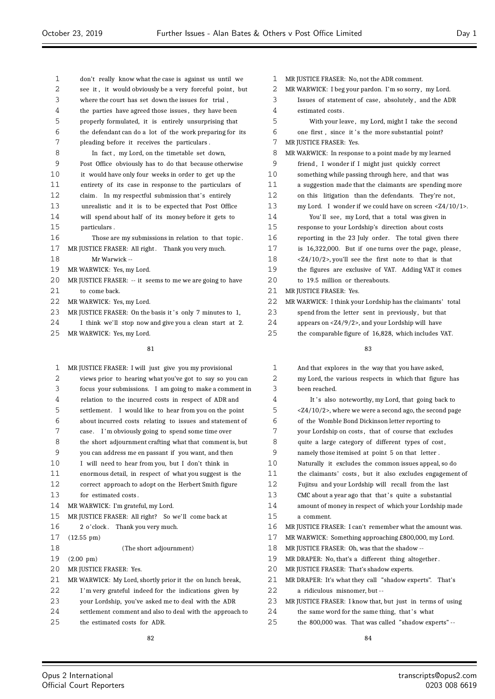| $\mathbf{1}$ | don't really know what the case is against us until we    | 1  | MR JUSTICE FRASER: No, n                |
|--------------|-----------------------------------------------------------|----|-----------------------------------------|
| 2            | see it, it would obviously be a very forceful point, but  | 2  | MR WARWICK: I beg your p                |
| 3            | where the court has set down the issues for trial,        | 3  | Issues of statement of                  |
| 4            | the parties have agreed those issues, they have been      | 4  | estimated costs.                        |
| 5            | properly formulated, it is entirely unsurprising that     | 5  | With your leave, n                      |
| 6            | the defendant can do a lot of the work preparing for its  | 6  | one first, since it's                   |
| 7            | pleading before it receives the particulars.              | 7  | MR JUSTICE FRASER: Yes.                 |
| 8            | In fact, my Lord, on the timetable set down,              | 8  | MR WARWICK: In response                 |
| 9            | Post Office obviously has to do that because otherwise    | 9  | friend, I wonder if I                   |
| 10           | it would have only four weeks in order to get up the      | 10 | something while passin                  |
| 11           | entirety of its case in response to the particulars of    | 11 | a suggestion made that                  |
| 12           | claim. In my respectful submission that's entirely        | 12 | on this litigation tha                  |
| 13           | unrealistic and it is to be expected that Post Office     | 13 | my Lord. I wonder if                    |
| 14           | will spend about half of its money before it gets to      | 14 | You'll see, my Lo                       |
| 15           | particulars.                                              | 15 | response to your Lords                  |
| 16           | Those are my submissions in relation to that topic.       | 16 | reporting in the 23 Ju                  |
| 17           | MR JUSTICE FRASER: All right. Thank you very much.        | 17 | is 16,322,000. But if                   |
| 18           | Mr Warwick --                                             | 18 | $\langle 24/10/2 \rangle$ , you'll see  |
| 19           | MR WARWICK: Yes, my Lord.                                 | 19 | the figures are exclus                  |
| 20           | MR JUSTICE FRASER: -- it seems to me we are going to have | 20 | to 19.5 million or the                  |
| 21           | to come back.                                             | 21 | MR JUSTICE FRASER: Yes.                 |
| 22           | MR WARWICK: Yes, my Lord.                                 | 22 | MR WARWICK: I think your                |
| 23           | MR JUSTICE FRASER: On the basis it's only 7 minutes to 1, | 23 | spend from the letter                   |
| 24           | I think we'll stop now and give you a clean start at 2.   | 24 | appears on $\langle 24/9/2 \rangle$ , a |
| 25           | MR WARWICK: Yes, my Lord.                                 | 25 | the comparable figure                   |

| $\mathbf 1$ | MR JUSTICE FRASER: I will just give you my provisional    |
|-------------|-----------------------------------------------------------|
| 2           | views prior to hearing what you've got to say so you can  |
| 3           | focus your submissions. I am going to make a comment in   |
| 4           | relation to the incurred costs in respect of ADR and      |
| 5           | settlement. I would like to hear from you on the point    |
| 6           | about incurred costs relating to issues and statement of  |
| 7           | case. I'm obviously going to spend some time over         |
| 8           | the short adjournment crafting what that comment is, but  |
| 9           | you can address me en passant if you want, and then       |
| 10          | I will need to hear from you, but I don't think in        |
| 11          | enormous detail, in respect of what you suggest is the    |
| 12          | correct approach to adopt on the Herbert Smith figure     |
| 13          | for estimated costs.                                      |
| 14          | MR WARWICK: I'm grateful, my Lord.                        |
| 15          | MR JUSTICE FRASER: All right? So we'll come back at       |
| 16          | 2 o'clock. Thank you very much.                           |
| 17          | $(12.55 \text{ pm})$                                      |
| 18          | (The short adjournment)                                   |
| 19          | $(2.00 \text{ pm})$                                       |
| 20          | MR JUSTICE FRASER: Yes.                                   |
| 21          | MR WARWICK: My Lord, shortly prior it the on lunch break, |
| 22          | I'm very grateful indeed for the indications given by     |
| 23          | your Lordship, you've asked me to deal with the ADR       |
| 24          | settlement comment and also to deal with the approach to  |
| 25          | the estimated costs for ADR.                              |

| $\mathbf{1}$ | MR JUSTICE FRASER: No, not the ADR comment.                              |
|--------------|--------------------------------------------------------------------------|
| 2            | MR WARWICK: I beg your pardon. I'm so sorry, my Lord.                    |
| 3            | Issues of statement of case, absolutely, and the ADR                     |
| 4            | estimated costs.                                                         |
| 5            | With your leave, my Lord, might I take the second                        |
| 6            | one first, since it's the more substantial point?                        |
| 7            | MR JUSTICE FRASER: Yes.                                                  |
| 8            | MR WARWICK: In response to a point made by my learned                    |
| 9            | friend, I wonder if I might just quickly correct                         |
| 10           | something while passing through here, and that was                       |
| 11           | a suggestion made that the claimants are spending more                   |
| 12           | on this litigation than the defendants. They're not,                     |
| 13           | my Lord. I wonder if we could have on screen $\langle Z4/10/1 \rangle$ . |
| 14           | You'll see, my Lord, that a total was given in                           |
| 15           | response to your Lordship's direction about costs                        |
| 16           | reporting in the 23 July order. The total given there                    |
| 17           | is 16,322,000. But if one turns over the page, please,                   |
| 18           | $\langle 24/10/2 \rangle$ , you'll see the first note to that is that    |
| 19           | the figures are exclusive of VAT. Adding VAT it comes                    |
| 20           | to 19.5 million or thereabouts.                                          |
| 21           | MR JUSTICE FRASER: Yes.                                                  |
| 22           | MR WARWICK: I think your Lordship has the claimants' total               |
| 23           | spend from the letter sent in previously, but that                       |
| 24           | appears on $<$ Z4/9/2>, and your Lordship will have                      |
| 25           | the comparable figure of 16,828, which includes VAT.                     |

# 

| $\mathbf 1$ | And that explores in the way that you have asked,                 |  |  |  |  |  |
|-------------|-------------------------------------------------------------------|--|--|--|--|--|
| 2           | my Lord, the various respects in which that figure has            |  |  |  |  |  |
| 3           | been reached.                                                     |  |  |  |  |  |
| 4           | It's also noteworthy, my Lord, that going back to                 |  |  |  |  |  |
| 5           | <z4 10="" 2="">, where we were a second ago, the second page</z4> |  |  |  |  |  |
| 6           | of the Womble Bond Dickinson letter reporting to                  |  |  |  |  |  |
| 7           | your Lordship on costs, that of course that excludes              |  |  |  |  |  |
| 8           | quite a large category of different types of cost,                |  |  |  |  |  |
| 9           | namely those itemised at point 5 on that letter.                  |  |  |  |  |  |
| 10          | Naturally it excludes the common issues appeal, so do             |  |  |  |  |  |
| 11          | the claimants' costs, but it also excludes engagement of          |  |  |  |  |  |
| 12          | Fujitsu and your Lordship will recall from the last               |  |  |  |  |  |
| 13          | CMC about a year ago that that's quite a substantial              |  |  |  |  |  |
| 14          | amount of money in respect of which your Lordship made            |  |  |  |  |  |
| 15          | a comment.                                                        |  |  |  |  |  |
| 16          | MR JUSTICE FRASER: I can't remember what the amount was.          |  |  |  |  |  |
| 17          | MR WARWICK: Something approaching £800,000, my Lord.              |  |  |  |  |  |
| 18          | MR JUSTICE FRASER: Oh, was that the shadow --                     |  |  |  |  |  |
| 19          | MR DRAPER: No, that's a different thing altogether.               |  |  |  |  |  |
| 20          | MR JUSTICE FRASER: That's shadow experts.                         |  |  |  |  |  |
| 21          | MR DRAPER: It's what they call "shadow experts". That's           |  |  |  |  |  |
| 22          | a ridiculous misnomer, but --                                     |  |  |  |  |  |
| 23          | MR JUSTICE FRASER: I know that, but just in terms of using        |  |  |  |  |  |
| 24          | the same word for the same thing, that's what                     |  |  |  |  |  |
| 25          | the 800,000 was. That was called "shadow experts" --              |  |  |  |  |  |
|             |                                                                   |  |  |  |  |  |

 $\equiv$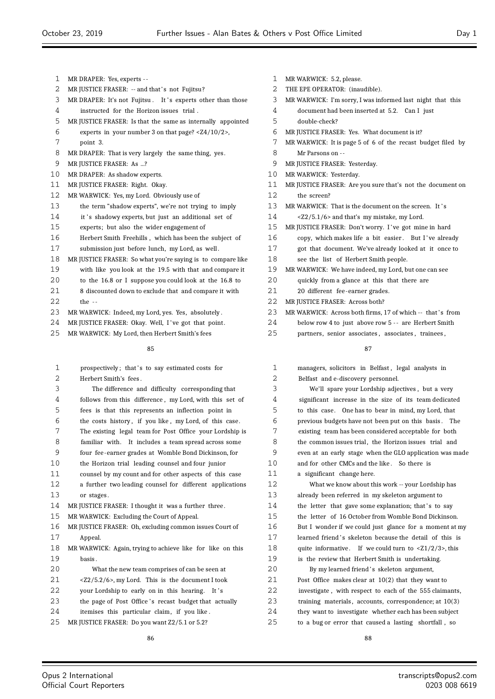- MR DRAPER: Yes, experts -
- 2 MR JUSTICE FRASER: -- and that's not Fujitsu?
- 3 MR DRAPER: It's not Fujitsu. It's experts other than those
- instructed for the Horizon issues trial .
- MR JUSTICE FRASER: Is that the same as internally appointed
- experts in your number 3 on that page? <Z4/10/2>,
- point 3.
- MR DRAPER: That is very largely the same thing, yes.
- 9 MR JUSTICE FRASER: As ...?
- MR DRAPER: As shadow experts.
- MR JUSTICE FRASER: Right. Okay.
- MR WARWICK: Yes, my Lord. Obviously use of
- the term "shadow experts", we're not trying to imply
- 14 it 's shadowy experts, but just an additional set of
- experts; but also the wider engagement of
- Herbert Smith Freehills , which has been the subject of submission just before lunch, my Lord, as well .
- MR JUSTICE FRASER: So what you're saying is to compare like
- with like you look at the 19.5 with that and compare it
- to the 16.8 or I suppose you could look at the 16.8 to
- 21 8 discounted down to exclude that and compare it with
- 22 the --
- MR WARWICK: Indeed, my Lord, yes. Yes, absolutely .
- 24 MR JUSTICE FRASER: Okay. Well, I've got that point.
- MR WARWICK: My Lord, then Herbert Smith's fees

- 1 prospectively; that's to say estimated costs for Herbert Smith's fees . The difference and difficulty corresponding that follows from this difference , my Lord, with this set of fees is that this represents an inflection point in the costs history , if you like , my Lord, of this case. The existing legal team for Post Office your Lordship is familiar with. It includes a team spread across some four fee -earner grades at Womble Bond Dickinson, for the Horizon trial leading counsel and four junior counsel by my count and for other aspects of this case a further two leading counsel for different applications or stages . 14 MR JUSTICE FRASER: I thought it was a further three. MR WARWICK: Excluding the Court of Appeal. MR JUSTICE FRASER: Oh, excluding common issues Court of Appeal. MR WARWICK: Again, trying to achieve like for like on this basis . What the new team comprises of can be seen at <Z2/5.2/6>, my Lord. This is the document I took 22 your Lordship to early on in this hearing. It's 23 the page of Post Office's recast budget that actually itemises this particular claim, if you like .
- MR JUSTICE FRASER: Do you want Z2/5.1 or 5.2?
- MR WARWICK: 5.2, please.
- THE EPE OPERATOR: (inaudible).
- MR WARWICK: I'm sorry, I was informed last night that this document had been inserted at 5.2. Can I just
- double-check?
- MR JUSTICE FRASER: Yes. What document is it?
- MR WARWICK: It is page 5 of 6 of the recast budget filed by
- Mr Parsons on --
- MR JUSTICE FRASER: Yesterday.
- MR WARWICK: Yesterday.
- MR JUSTICE FRASER: Are you sure that's not the document on the screen?
- 13 MR WARWICK: That is the document on the screen. It's <Z2/5.1/6> and that's my mistake, my Lord.
- 15 MR JUSTICE FRASER: Don't worry. I've got mine in hard 16 copy, which makes life a bit easier. But I've already
- got that document. We've already looked at it once to
- see the list of Herbert Smith people.
- MR WARWICK: We have indeed, my Lord, but one can see
- 20 quickly from a glance at this that there are
- 20 different fee -earner grades.
- 22 MR JUSTICE FRASER: Across both?
- 23 MR WARWICK: Across both firms, 17 of which -- that's from
- 24 below row 4 to just above row 5 -- are Herbert Smith
- partners, senior associates , associates , trainees ,

| $\mathbf{1}$ | managers, solicitors in Belfast, legal analysts in                     |  |  |  |  |  |  |
|--------------|------------------------------------------------------------------------|--|--|--|--|--|--|
| 2            | Belfast and e-discovery personnel.                                     |  |  |  |  |  |  |
| 3            | We'll spare your Lordship adjectives, but a very                       |  |  |  |  |  |  |
| 4            | significant increase in the size of its team dedicated                 |  |  |  |  |  |  |
| 5            | to this case. One has to bear in mind, my Lord, that                   |  |  |  |  |  |  |
| 6            | previous budgets have not been put on this basis. The                  |  |  |  |  |  |  |
| 7            | existing team has been considered acceptable for both                  |  |  |  |  |  |  |
| 8            | the common issues trial, the Horizon issues trial and                  |  |  |  |  |  |  |
| 9            | even at an early stage when the GLO application was made               |  |  |  |  |  |  |
| 10           | and for other CMCs and the like. So there is                           |  |  |  |  |  |  |
| 11           | a significant change here.                                             |  |  |  |  |  |  |
| 12           | What we know about this work -- your Lordship has                      |  |  |  |  |  |  |
| 13           | already been referred in my skeleton argument to                       |  |  |  |  |  |  |
| 14           | the letter that gave some explanation; that's to say                   |  |  |  |  |  |  |
| 15           | the letter of 16 October from Womble Bond Dickinson.                   |  |  |  |  |  |  |
| 16           | But I wonder if we could just glance for a moment at my                |  |  |  |  |  |  |
| 17           | learned friend's skeleton because the detail of this is                |  |  |  |  |  |  |
| 18           | quite informative. If we could turn to $\langle 21/2/3 \rangle$ , this |  |  |  |  |  |  |
| 19           | is the review that Herbert Smith is undertaking.                       |  |  |  |  |  |  |
| 20           | By my learned friend's skeleton argument,                              |  |  |  |  |  |  |
| 21           | Post Office makes clear at $10(2)$ that they want to                   |  |  |  |  |  |  |
| 22           | investigate, with respect to each of the 555 claimants,                |  |  |  |  |  |  |
| 23           | training materials, accounts, correspondence; at $10(3)$               |  |  |  |  |  |  |
| 24           | they want to investigate whether each has been subject                 |  |  |  |  |  |  |
| 25           | to a bug or error that caused a lasting shortfall, so                  |  |  |  |  |  |  |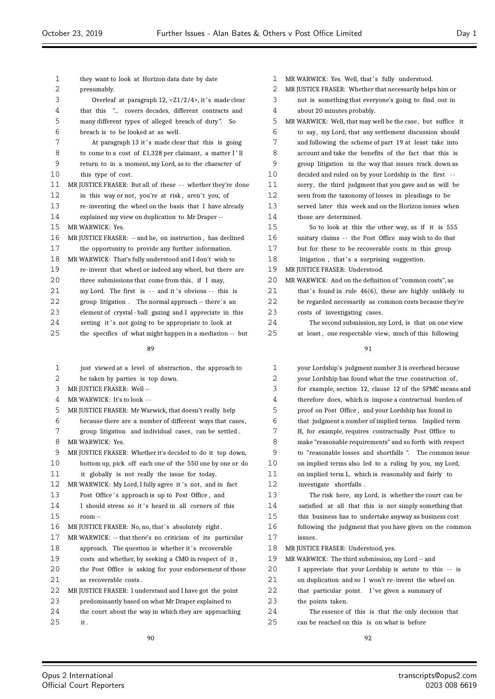| 1  | they want to look at Horizon data date by date                          |    |  |  |  |
|----|-------------------------------------------------------------------------|----|--|--|--|
| 2  | presumably.                                                             |    |  |  |  |
| 3  | Overleaf at paragraph $12$ , $\langle 21/2/4 \rangle$ , it's made clear |    |  |  |  |
| 4  | that this " covers decades, different contracts and                     |    |  |  |  |
| 5  | many different types of alleged breach of duty". So                     |    |  |  |  |
| 6  | breach is to be looked at as well.                                      |    |  |  |  |
| 7  | At paragraph 13 it's made clear that this is going                      | 7  |  |  |  |
| 8  | to come to a cost of £1,328 per claimant, a matter I'll                 | 8  |  |  |  |
| 9  | return to in a moment, my Lord, as to the character of                  | 9  |  |  |  |
| 10 | this type of cost.                                                      | 10 |  |  |  |
| 11 | MR JUSTICE FRASER: But all of these -- whether they're done             | 11 |  |  |  |
| 12 | in this way or not, you're at risk, aren't you, of                      | 12 |  |  |  |
| 13 | re-inventing the wheel on the basis that I have already                 | 13 |  |  |  |
| 14 | explained my view on duplication to Mr Draper --                        | 14 |  |  |  |
| 15 | MR WARWICK: Yes.                                                        | 15 |  |  |  |
| 16 | MR JUSTICE FRASER: -- and he, on instruction, has declined              | 16 |  |  |  |
| 17 | the opportunity to provide any further information.                     | 17 |  |  |  |
| 18 | MR WARWICK: That's fully understood and I don't wish to                 | 18 |  |  |  |
| 19 | re-invent that wheel or indeed any wheel, but there are                 | 19 |  |  |  |
| 20 | three submissions that come from this, if I may,                        | 20 |  |  |  |
| 21 | my Lord. The first is -- and it's obvious -- this is                    | 21 |  |  |  |
| 22 | group litigation. The normal approach -- there's an                     | 22 |  |  |  |
| 23 | element of crystal - ball gazing and I appreciate in this               | 23 |  |  |  |
| 24 | setting it's not going to be appropriate to look at                     | 24 |  |  |  |
| 25 | the specifics of what might happen in a mediation -- but                | 25 |  |  |  |
|    | 89                                                                      |    |  |  |  |
| 1  | just viewed at a level of abstraction, the approach to                  | 1  |  |  |  |
| 2  | be taken by parties is top down.                                        | 2  |  |  |  |
| 3  | MR JUSTICE FRASER: Well --                                              | 3  |  |  |  |
| 4  | MR WARWICK: It's to look --                                             | 4  |  |  |  |
| ц. | MR HISTICE ERASER: Mr Warwick, that doesn't really, help                | Б. |  |  |  |

- MR JUSTICE FRASER: Mr Warwick, that doesn't really help
- because there are a number of different ways that cases ,
- 7 group litigation and individual cases, can be settled.
- MR WARWICK: Yes.
- MR JUSTICE FRASER: Whether it's decided to do it top down,
- bottom up, pick off each one of the 550 one by one or do it globally is not really the issue for today.
- 12 MR WARWICK: My Lord, I fully agree it's not, and in fact
- 13 Post Office's approach is up to Post Office, and
- 14 I should stress so it's heard in all corners of this room --
- 16 MR JUSTICE FRASER: No, no, that's absolutely right.
- MR WARWICK: -- that there's no criticism of its particular
- 18 approach. The question is whether it's recoverable costs and whether, by seeking a CMO in respect of it ,
- the Post Office is asking for your endorsement of those as recoverable costs .
- MR JUSTICE FRASER: I understand and I have got the point predominantly based on what Mr Draper explained to the court about the way in which they are approaching
- it .
- MR WARWICK: Yes. Well, that's fully understood.
- MR JUSTICE FRASER: Whether that necessarily helps him or
- not is something that everyone's going to find out in
- about 20 minutes probably.
- MR WARWICK: Well, that may well be the case, but suffice it to say, my Lord, that any settlement discussion should and following the scheme of part 19 at least take into account and take the benefits of the fact that this is group litigation in the way that issues track down as decided and ruled on by your Lordship in the first -sorry, the third judgment that you gave and as will be seen from the taxonomy of losses in pleadings to be served later this week and on the Horizon issues when those are determined. So to look at this the other way, as if it is 555 unitary claims -- the Post Office may wish to do that but for these to be recoverable costs in this group litigation, that's a surprising suggestion. MR JUSTICE FRASER: Understood.  $MR$  WARWICK: And on the definition of "common costs", as that's found in rule  $46(6)$ , these are highly unlikely to be regarded necessarily as common costs because they're costs of investigating cases. The second submission, my Lord, is that on one view
	- at least, one respectable view, much of this following

| 1  | your Lordship's judgment number 3 is overhead because    |  |  |  |  |  |
|----|----------------------------------------------------------|--|--|--|--|--|
| 2  | your Lordship has found what the true construction of,   |  |  |  |  |  |
| 3  | for example, section 12, clause 12 of the SPMC means and |  |  |  |  |  |
| 4  | therefore does, which is impose a contractual burden of  |  |  |  |  |  |
| 5  | proof on Post Office, and your Lordship has found in     |  |  |  |  |  |
| 6  | that judgment a number of implied terms. Implied term    |  |  |  |  |  |
| 7  | H, for example, requires contractually Post Office to    |  |  |  |  |  |
| 8  | make "reasonable requirements" and so forth with respect |  |  |  |  |  |
| 9  | to "reasonable losses and shortfalls". The common issue  |  |  |  |  |  |
| 10 | on implied terms also led to a ruling by you, my Lord,   |  |  |  |  |  |
| 11 | on implied term L, which is reasonably and fairly to     |  |  |  |  |  |
| 12 | investigate shortfalls.                                  |  |  |  |  |  |
| 13 | The risk here, my Lord, is whether the court can be      |  |  |  |  |  |
| 14 | satisfied at all that this is not simply something that  |  |  |  |  |  |
| 15 | this business has to undertake anyway as business cost   |  |  |  |  |  |
| 16 | following the judgment that you have given on the common |  |  |  |  |  |
| 17 | issues.                                                  |  |  |  |  |  |
| 18 | MR JUSTICE FRASER: Understood, yes.                      |  |  |  |  |  |
| 19 | MR WARWICK: The third submission, my Lord -- and         |  |  |  |  |  |
| 20 | I appreciate that your Lordship is astute to this -- is  |  |  |  |  |  |
| 21 | on duplication and so I won't re-invent the wheel on     |  |  |  |  |  |
| 22 | that particular point. I've given a summary of           |  |  |  |  |  |
| 23 | the points taken.                                        |  |  |  |  |  |
| 24 | The essence of this is that the only decision that       |  |  |  |  |  |
| 25 | can be reached on this is on what is before              |  |  |  |  |  |
|    |                                                          |  |  |  |  |  |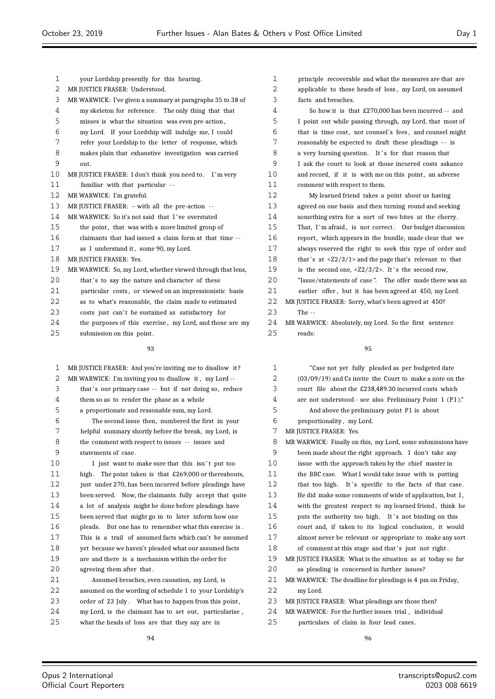| $\mathbf 1$ | your Lordship presently for this hearing.                  |  |  |  |  |  |
|-------------|------------------------------------------------------------|--|--|--|--|--|
| 2           | MR JUSTICE FRASER: Understood.                             |  |  |  |  |  |
| 3           | MR WARWICK: I've given a summary at paragraphs 35 to 38 of |  |  |  |  |  |
| 4           | my skeleton for reference. The only thing that that        |  |  |  |  |  |
| 5           | misses is what the situation was even pre-action,          |  |  |  |  |  |
| 6           | my Lord. If your Lordship will indulge me, I could         |  |  |  |  |  |
| 7           | refer your Lordship to the letter of response, which       |  |  |  |  |  |
| 8           | makes plain that exhaustive investigation was carried      |  |  |  |  |  |
| 9           | out.                                                       |  |  |  |  |  |
| 10          | MR JUSTICE FRASER: I don't think you need to. I'm very     |  |  |  |  |  |
| 11          | familiar with that particular --                           |  |  |  |  |  |
| 12          | MR WARWICK: I'm grateful.                                  |  |  |  |  |  |
| 13          | MR JUSTICE FRASER: -- with all the pre-action --           |  |  |  |  |  |
| 14          | MR WARWICK: So it's not said that I've overstated          |  |  |  |  |  |
| 15          | the point, that was with a more limited group of           |  |  |  |  |  |
| 16          | claimants that had issued a claim form at that time --     |  |  |  |  |  |
| 17          | as I understand it, some 90, my Lord.                      |  |  |  |  |  |
| 18          | MR JUSTICE FRASER: Yes.                                    |  |  |  |  |  |
| 19          | MR WARWICK: So, my Lord, whether viewed through that lens, |  |  |  |  |  |
| 20          | that's to say the nature and character of these            |  |  |  |  |  |
| 21          | particular costs, or viewed on an impressionistic basis    |  |  |  |  |  |
| 22          | as to what's reasonable, the claim made to estimated       |  |  |  |  |  |
| 23          | costs just can't be sustained as satisfactory for          |  |  |  |  |  |
| 2.4         | the purposes of this exercise, my Lord, and those are my   |  |  |  |  |  |
| 25          | submission on this point.                                  |  |  |  |  |  |

| 1  | MR JUSTICE FRASER: And you're inviting me to disallow it? |  |  |  |  |  |
|----|-----------------------------------------------------------|--|--|--|--|--|
| 2  | MR WARWICK: I'm inviting you to disallow it, my Lord --   |  |  |  |  |  |
| 3  | that's our primary case -- but if not doing so, reduce    |  |  |  |  |  |
| 4  | them so as to render the phase as a whole                 |  |  |  |  |  |
| 5  | a proportionate and reasonable sum, my Lord.              |  |  |  |  |  |
| 6  | The second issue then, numbered the first in your         |  |  |  |  |  |
| 7  | helpful summary shortly before the break, my Lord, is     |  |  |  |  |  |
| 8  | the comment with respect to issues -- issues and          |  |  |  |  |  |
| 9  | statements of case.                                       |  |  |  |  |  |
| 10 | I just want to make sure that this isn't put too          |  |  |  |  |  |
| 11 | high. The point taken is that £269,000 or thereabouts,    |  |  |  |  |  |
| 12 | just under 270, has been incurred before pleadings have   |  |  |  |  |  |
| 13 | been served. Now, the claimants fully accept that quite   |  |  |  |  |  |
| 14 | a lot of analysis might be done before pleadings have     |  |  |  |  |  |
| 15 | been served that might go in to later inform how one      |  |  |  |  |  |
| 16 | pleads. But one has to remember what this exercise is.    |  |  |  |  |  |
| 17 | This is a trail of assumed facts which can't be assumed   |  |  |  |  |  |
| 18 | yet because we haven't pleaded what our assumed facts     |  |  |  |  |  |
| 19 | are and there is a mechanism within the order for         |  |  |  |  |  |
| 20 | agreeing them after that.                                 |  |  |  |  |  |
| 21 | Assumed breaches, even causation, my Lord, is             |  |  |  |  |  |
| 22 | assumed on the wording of schedule 1 to your Lordship's   |  |  |  |  |  |
| つつ | order of 22 July What has to happen from this point       |  |  |  |  |  |

23 order of 23 July. What has to happen from this point, my Lord, is the claimant has to set out, particularise ,

what the heads of loss are that they say are in

| $\mathbf{1}$ | principle recoverable and what the measures are that are                |  |  |  |  |  |
|--------------|-------------------------------------------------------------------------|--|--|--|--|--|
| 2            | applicable to those heads of loss, my Lord, on assumed                  |  |  |  |  |  |
| 3            | facts and breaches.                                                     |  |  |  |  |  |
| 4            | So how it is that £270,000 has been incurred -- and                     |  |  |  |  |  |
| 5            | I point out while passing through, my Lord, that most of                |  |  |  |  |  |
| 6            | that is time cost, not counsel's fees, and counsel might                |  |  |  |  |  |
| 7            | reasonably be expected to draft these pleadings -- is                   |  |  |  |  |  |
| 8            | a very burning question. It's for that reason that                      |  |  |  |  |  |
| 9            | I ask the court to look at those incurred costs askance                 |  |  |  |  |  |
| 10           | and record, if it is with me on this point, an adverse                  |  |  |  |  |  |
| 11           | comment with respect to them.                                           |  |  |  |  |  |
| 12           | My learned friend takes a point about us having                         |  |  |  |  |  |
| 13           | agreed on one basis and then turning round and seeking                  |  |  |  |  |  |
| 14           | something extra for a sort of two bites at the cherry.                  |  |  |  |  |  |
| 15           | That, I'm afraid, is not correct. Our budget discussion                 |  |  |  |  |  |
| 16           | report, which appears in the bundle, made clear that we                 |  |  |  |  |  |
| 17           | always reserved the right to seek this type of order and                |  |  |  |  |  |
| 18           | that's at $\langle 22/3/1 \rangle$ and the page that's relevant to that |  |  |  |  |  |
| 19           | is the second one, $\langle Z2/3/2 \rangle$ . It's the second row,      |  |  |  |  |  |
| 20           | "Issue/statements of case". The offer made there was an                 |  |  |  |  |  |
| 21           | earlier offer, but it has been agreed at 450, my Lord.                  |  |  |  |  |  |
| 22           | MR JUSTICE FRASER: Sorry, what's been agreed at 450?                    |  |  |  |  |  |
| 23           | The $-$                                                                 |  |  |  |  |  |

 MR WARWICK: Absolutely, my Lord. So the first sentence reads:

| 1  | "Case not yet fully pleaded as per budgeted date            |
|----|-------------------------------------------------------------|
| 2  | $(03/09/19)$ and Cs invite the Court to make a note on the  |
| 3  | court file about the £238,489.30 incurred costs which       |
| 4  | are not understood - see also Preliminary Point 1 (P1)."    |
| 5  | And above the preliminary point P1 is about                 |
| 6  | proportionality, my Lord.                                   |
| 7  | MR JUSTICE FRASER: Yes.                                     |
| 8  | MR WARWICK: Finally on this, my Lord, some submissions have |
| 9  | been made about the right approach. I don't take any        |
| 10 | issue with the approach taken by the chief master in        |
| 11 | the BBC case. What I would take issue with is putting       |
| 12 | that too high. It's specific to the facts of that case.     |
| 13 | He did make some comments of wide of application, but I,    |
| 14 | with the greatest respect to my learned friend, think he    |
| 15 | puts the authority too high. It's not binding on this       |
| 16 | court and, if taken to its logical conclusion, it would     |
| 17 | almost never be relevant or appropriate to make any sort    |
| 18 | of comment at this stage and that's just not right.         |
| 19 | MR JUSTICE FRASER: What is the situation as at today so far |
| 20 | as pleading is concerned in further issues?                 |
| 21 | MR WARWICK: The deadline for pleadings is 4 pm on Friday,   |
| 22 | my Lord.                                                    |
| 23 | MR JUSTICE FRASER: What pleadings are those then?           |
| 24 | MR WARWICK: For the further issues trial, individual        |
| 25 | particulars of claim in four lead cases.                    |
|    |                                                             |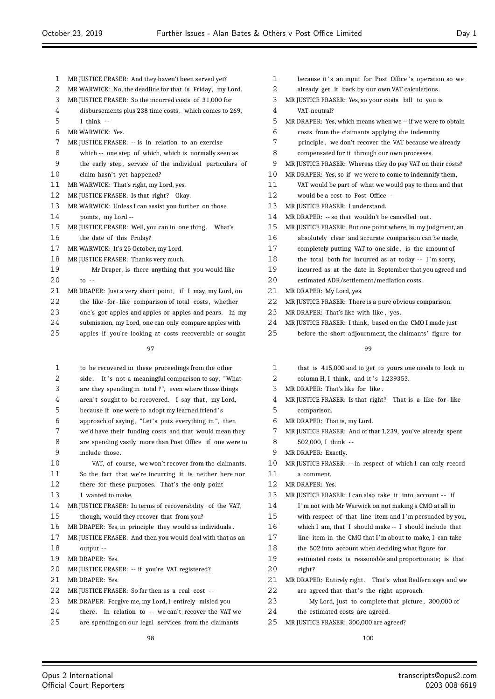- MR JUSTICE FRASER: And they haven't been served yet?
- 2 MR WARWICK: No, the deadline for that is Friday, my Lord.
- MR JUSTICE FRASER: So the incurred costs of 31,000 for
- disbursements plus 238 time costs , which comes to 269, I think - -
- MR WARWICK: Yes.
- MR JUSTICE FRASER: -- is in relation to an exercise
- which -- one step of which, which is normally seen as
- 9 the early step, service of the individual particulars of claim hasn't yet happened?
- MR WARWICK: That's right, my Lord, yes.
- 12 MR JUSTICE FRASER: Is that right? Okay.
- MR WARWICK: Unless I can assist you further on those
- 14 points, my Lord --
- MR JUSTICE FRASER: Well, you can in one thing . What's the date of this Friday?
- MR WARWICK: It's 25 October, my Lord.
- MR JUSTICE FRASER: Thanks very much.
- Mr Draper, is there anything that you would like  $20 \t\t to -$
- 21 MR DRAPER: Just a very short point, if I may, my Lord, on
- 22 the like for like comparison of total costs, whether
- one's got apples and apples or apples and pears. In my
- submission, my Lord, one can only compare apples with
- apples if you're looking at costs recoverable or sought

 to be recovered in these proceedings from the other 2 side. It's not a meaningful comparison to say, "What are they spending in total ?", even where those things 4 aren't sought to be recovered. I say that, my Lord, because if one were to adopt my learned friend ' s 6 approach of saying, "Let's puts everything in", then we'd have their funding costs and that would mean they are spending vastly more than Post Office if one were to include those. VAT, of course, we won't recover from the claimants. So the fact that we're incurring it is neither here nor there for these purposes. That's the only point I wanted to make. 14 MR JUSTICE FRASER: In terms of recoverability of the VAT, though, would they recover that from you? MR DRAPER: Yes, in principle they would as individuals . MR JUSTICE FRASER: And then you would deal with that as an output - - MR DRAPER: Yes. MR JUSTICE FRASER: -- if you're VAT registered? MR DRAPER: Yes. 22 MR JUSTICE FRASER: So far then as a real cost -- MR DRAPER: Forgive me, my Lord, I entirely misled you 24 there. In relation to -- we can't recover the VAT we are spending on our legal services from the claimants

- 1 because it's an input for Post Office's operation so we
- already get it back by our own VAT calculations.
- MR JUSTICE FRASER: Yes, so your costs bill to you is
- VAT-neutral?
- MR DRAPER: Yes, which means when we -- if we were to obtain
- costs from the claimants applying the indemnity
- principle , we don't recover the VAT because we already
- compensated for it through our own processes.
- MR JUSTICE FRASER: Whereas they do pay VAT on their costs?
- MR DRAPER: Yes, so if we were to come to indemnify them,
- VAT would be part of what we would pay to them and that
- would be a cost to Post Office -
- 13 MR JUSTICE FRASER: I understand.
- MR DRAPER: -- so that wouldn't be cancelled out.
- MR JUSTICE FRASER: But one point where, in my judgment, an
- absolutely clear and accurate comparison can be made,
- completely putting VAT to one side , is the amount of
- 18 the total both for incurred as at today -- I'm sorry,
- incurred as at the date in September that you agreed and
- estimated ADR/settlement/mediation costs.
- MR DRAPER: My Lord, yes.
- MR JUSTICE FRASER: There is a pure obvious comparison.
- MR DRAPER: That's like with like , yes.
- MR JUSTICE FRASER: I think, based on the CMO I made just
- before the short adjournment, the claimants' figure for

#### $\alpha$

- that is 415,000 and to get to yours one needs to look in
- column H, I think, and it's 1.239353.
- MR DRAPER: That's like for like .
- MR JUSTICE FRASER: Is that right? That is a like for like comparison.
- MR DRAPER: That is, my Lord.
- MR JUSTICE FRASER: And of that 1.239, you've already spent
- 502,000, I think -
- MR DRAPER: Exactly.
- MR JUSTICE FRASER: -- in respect of which I can only record
- a comment.
- MR DRAPER: Yes.
- 13 MR JUSTICE FRASER: I can also take it into account -- if
- I 'm not with Mr Warwick on not making a CMO at all in
- with respect of that line item and I 'm persuaded by you,
- which I am, that I should make -- I should include that
- line item in the CMO that I'm about to make, I can take
- the 502 into account when deciding what figure for
- estimated costs is reasonable and proportionate; is that right?
- 21 MR DRAPER: Entirely right. That's what Redfern says and we
- 22 are agreed that that's the right approach.
- My Lord, just to complete that picture , 300,000 of
- the estimated costs are agreed.
- MR JUSTICE FRASER: 300,000 are agreed?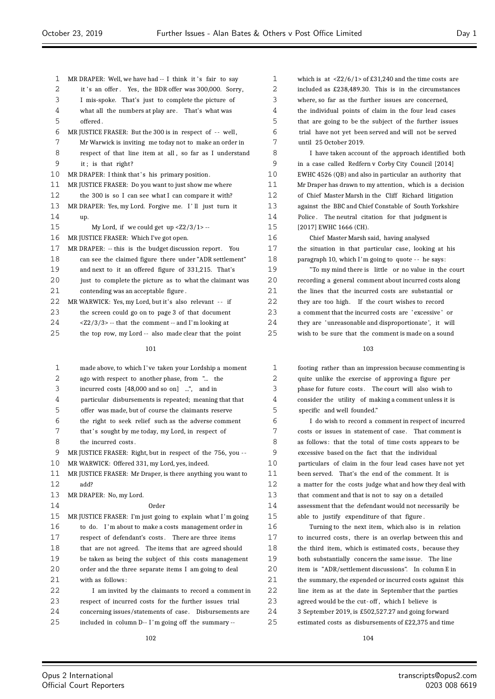| 1  | MR DRAPER: Well, we have had -- I think it's fair to say           |  |  |  |  |  |  |
|----|--------------------------------------------------------------------|--|--|--|--|--|--|
| 2  | it's an offer. Yes, the BDR offer was 300,000. Sorry,              |  |  |  |  |  |  |
| 3  | I mis-spoke. That's just to complete the picture of                |  |  |  |  |  |  |
| 4  | what all the numbers at play are. That's what was                  |  |  |  |  |  |  |
| 5  | offered.                                                           |  |  |  |  |  |  |
| 6  | MR JUSTICE FRASER: But the 300 is in respect of -- well,           |  |  |  |  |  |  |
| 7  | Mr Warwick is inviting me today not to make an order in            |  |  |  |  |  |  |
| 8  | respect of that line item at all, so far as I understand           |  |  |  |  |  |  |
| 9  | it; is that right?                                                 |  |  |  |  |  |  |
| 10 | MR DRAPER: I think that's his primary position.                    |  |  |  |  |  |  |
| 11 | MR JUSTICE FRASER: Do you want to just show me where               |  |  |  |  |  |  |
| 12 | the 300 is so I can see what I can compare it with?                |  |  |  |  |  |  |
| 13 | MR DRAPER: Yes, my Lord. Forgive me. I'll just turn it             |  |  |  |  |  |  |
| 14 | up.                                                                |  |  |  |  |  |  |
| 15 | My Lord, if we could get up $\langle 22/3/1 \rangle$ --            |  |  |  |  |  |  |
| 16 | MR JUSTICE FRASER: Which I've got open.                            |  |  |  |  |  |  |
| 17 | MR DRAPER: -- this is the budget discussion report.<br>You         |  |  |  |  |  |  |
| 18 | can see the claimed figure there under "ADR settlement"            |  |  |  |  |  |  |
| 19 | and next to it an offered figure of 331,215. That's                |  |  |  |  |  |  |
| 20 | just to complete the picture as to what the claimant was           |  |  |  |  |  |  |
| 21 | contending was an acceptable figure.                               |  |  |  |  |  |  |
| 22 | MR WARWICK: Yes, my Lord, but it's also relevant -- if             |  |  |  |  |  |  |
| 23 | the screen could go on to page 3 of that document                  |  |  |  |  |  |  |
| 24 | $\langle 22/3/3 \rangle$ -- that the comment -- and I'm looking at |  |  |  |  |  |  |
| 25 | the top row, my Lord -- also made clear that the point             |  |  |  |  |  |  |
|    | 101                                                                |  |  |  |  |  |  |
| 1  | made above, to which I've taken your Lordship a moment             |  |  |  |  |  |  |
| 2  | ago with respect to another phase, from " the                      |  |  |  |  |  |  |
| 3  | incurred costs [48,000 and so on] ", and in                        |  |  |  |  |  |  |
| 4  | particular disbursements is repeated; meaning that that            |  |  |  |  |  |  |
| 5  | offer was made, but of course the claimants reserve                |  |  |  |  |  |  |
| 6  | the right to seek relief such as the adverse comment               |  |  |  |  |  |  |
| 7  | that's sought by me today, my Lord, in respect of                  |  |  |  |  |  |  |
| 8  | the incurred costs.                                                |  |  |  |  |  |  |
| 9  | MR JUSTICE FRASER: Right, but in respect of the 756, you --        |  |  |  |  |  |  |
| 10 | MR WARWICK: Offered 331, my Lord, yes, indeed.                     |  |  |  |  |  |  |
| 11 | MR JUSTICE FRASER: Mr Draper, is there anything you want to        |  |  |  |  |  |  |
| 12 | add?                                                               |  |  |  |  |  |  |
|    |                                                                    |  |  |  |  |  |  |

 MR DRAPER: No, my Lord. Order MR JUSTICE FRASER: I'm just going to explain what I 'm going to do. I 'm about to make a costs management order in respect of defendant's costs . There are three items 18 that are not agreed. The items that are agreed should be taken as being the subject of this costs management order and the three separate items I am going to deal with as follows: I am invited by the claimants to record a comment in respect of incurred costs for the further issues trial concerning issues/statements of case. Disbursements are

included in column D-- I 'm going off the summary --

 which is at <Z2/6/1> of £31,240 and the time costs are included as £238,489.30. This is in the circumstances where, so far as the further issues are concerned, the individual points of claim in the four lead cases that are going to be the subject of the further issues trial have not yet been served and will not be served until 25 October 2019. I have taken account of the approach identified both in a case called Redfern v Corby City Council [2014] EWHC 4526 (QB) and also in particular an authority that Mr Draper has drawn to my attention, which is a decision of Chief Master Marsh in the Cliff Richard litigation against the BBC and Chief Constable of South Yorkshire Police . The neutral citation for that judgment is [2017] EWHC 1666 (CH). Chief Master Marsh said, having analysed the situation in that particular case, looking at his paragraph 10, which I 'm going to quote - - he says: "To my mind there is little or no value in the court

 recording a general comment about incurred costs along the lines that the incurred costs are substantial or they are too high. If the court wishes to record a comment that the incurred costs are ' excessive ' or they are ' unreasonable and disproportionate ', it will wish to be sure that the comment is made on a sound

 footing rather than an impression because commenting is quite unlike the exercise of approving a figure per phase for future costs . The court will also wish to consider the utility of making a comment unless it is specific and well founded."

 I do wish to record a comment in respect of incurred costs or issues in statement of case. That comment is as follows: that the total of time costs appears to be excessive based on the fact that the individual particulars of claim in the four lead cases have not yet been served. That's the end of the comment. It is a matter for the costs judge what and how they deal with that comment and that is not to say on a detailed assessment that the defendant would not necessarily be able to justify expenditure of that figure .

 Turning to the next item, which also is in relation to incurred costs , there is an overlap between this and 18 the third item, which is estimated costs, because they both substantially concern the same issue. The line item is "ADR/settlement discussions". In column E in 21 the summary, the expended or incurred costs against this line item as at the date in September that the parties agreed would be the cut- off , which I believe is 3 September 2019, is £502,527.27 and going forward estimated costs as disbursements of £22,375 and time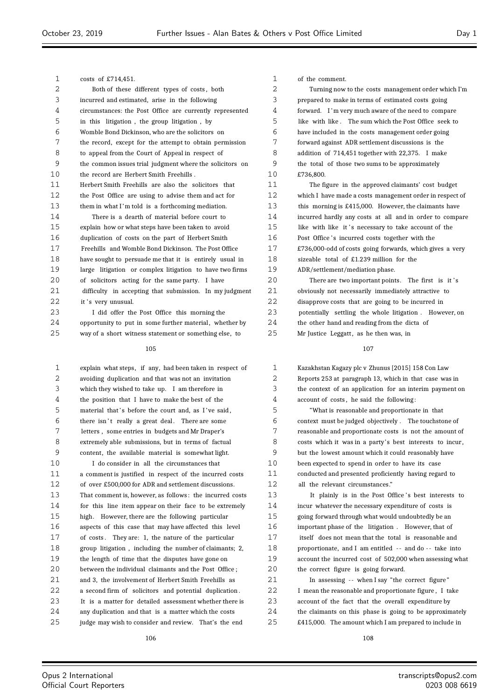$\equiv$ 

| 1  | costs of £714,451.                                       | 1  | of the comment.                                          |
|----|----------------------------------------------------------|----|----------------------------------------------------------|
| 2  | Both of these different types of costs, both             | 2  | Turning now to the costs management order which I'm      |
| 3  | incurred and estimated, arise in the following           | 3  | prepared to make in terms of estimated costs going       |
| 4  | circumstances: the Post Office are currently represented | 4  | forward. I'm very much aware of the need to compare      |
| 5  | in this litigation, the group litigation, by             | 5  | like with like. The sum which the Post Office seek to    |
| 6  | Womble Bond Dickinson, who are the solicitors on         | 6  | have included in the costs management order going        |
| 7  | the record, except for the attempt to obtain permission  | 7  | forward against ADR settlement discussions is the        |
| 8  | to appeal from the Court of Appeal in respect of         | 8  | addition of 714,451 together with 22,375. I make         |
| 9  | the common issues trial judgment where the solicitors on | 9  | the total of those two sums to be approximately          |
| 10 | the record are Herbert Smith Freehills.                  | 10 | £736,800.                                                |
| 11 | Herbert Smith Freehills are also the solicitors that     | 11 | The figure in the approved claimants' cost budget        |
| 12 | the Post Office are using to advise them and act for     | 12 | which I have made a costs management order in respect of |
| 13 | them in what I'm told is a forthcoming mediation.        | 13 | this morning is £415,000. However, the claimants have    |
| 14 | There is a dearth of material before court to            | 14 | incurred hardly any costs at all and in order to compare |
| 15 | explain how or what steps have been taken to avoid       | 15 | like with like it's necessary to take account of the     |
| 16 | duplication of costs on the part of Herbert Smith        | 16 | Post Office's incurred costs together with the           |
| 17 | Freehills and Womble Bond Dickinson. The Post Office     | 17 | £736,000-odd of costs going forwards, which gives a very |
| 18 | have sought to persuade me that it is entirely usual in  | 18 | sizeable total of £1.239 million for the                 |
| 19 | large litigation or complex litigation to have two firms | 19 | ADR/settlement/mediation phase.                          |
| 20 | of solicitors acting for the same party. I have          | 20 | There are two important points. The first is it's        |
| 21 | difficulty in accepting that submission. In my judgment  | 21 | obviously not necessarily immediately attractive to      |
| 22 | it's very unusual.                                       | 22 | disapprove costs that are going to be incurred in        |
| 23 | I did offer the Post Office this morning the             | 23 | potentially settling the whole litigation. However, on   |
| 24 | opportunity to put in some further material, whether by  | 24 | the other hand and reading from the dicta of             |
| 25 | way of a short witness statement or something else, to   | 25 | Mr Justice Leggatt, as he then was, in                   |
|    | 105                                                      |    | 107                                                      |
| 1  | explain what steps, if any, had been taken in respect of | 1  | Kazakhstan Kagazy plc v Zhunus [2015] 158 Con Law        |
| 2  | avoiding duplication and that was not an invitation      | 2  | Reports 253 at paragraph 13, which in that case was in   |
| 3  | which they wished to take up. I am therefore in          | 3  | the context of an application for an interim payment on  |
| 4  | the position that I have to make the best of the         | 4  | account of costs, he said the following:                 |
| 5  | material that's before the court and, as I've said,      | 5  | "What is reasonable and proportionate in that            |
| 6  | there isn't really a great deal. There are some          | 6  | context must be judged objectively. The touchstone of    |
| 7  | letters, some entries in budgets and Mr Draper's         | 7  | reasonable and proportionate costs is not the amount of  |
| 8  | extremely able submissions, but in terms of factual      | 8  | costs which it was in a party's best interests to incur, |
| 9  | content, the available material is somewhat light.       | 9  | but the lowest amount which it could reasonably have     |
| 10 | I do consider in all the circumstances that              | 10 | been expected to spend in order to have its case         |
| 11 | a comment is justified in respect of the incurred costs  | 11 | conducted and presented proficiently having regard to    |
| 12 | of over £500,000 for ADR and settlement discussions.     | 12 | all the relevant circumstances."                         |
| 13 | That comment is, however, as follows: the incurred costs | 13 | It plainly is in the Post Office's best interests to     |
| 14 | for this line item appear on their face to be extremely  | 14 | incur whatever the necessary expenditure of costs is     |
| 15 | high. However, there are the following particular        | 15 | going forward through what would undoubtedly be an       |
| 16 | aspects of this case that may have affected this level   | 16 | important phase of the litigation. However, that of      |
| 17 | of costs. They are: 1, the nature of the particular      | 17 | itself does not mean that the total is reasonable and    |
| 18 | group litigation, including the number of claimants; 2,  | 18 | proportionate, and I am entitled -- and do -- take into  |
| 19 | the length of time that the disputes have gone on        | 19 | account the incurred cost of 502,000 when assessing what |
| 20 | between the individual claimants and the Post Office;    | 20 | the correct figure is going forward.                     |
| 21 | and 3, the involvement of Herbert Smith Freehills as     | 21 | In assessing -- when I say "the correct figure"          |
| 22 | a second firm of solicitors and potential duplication.   | 22 | I mean the reasonable and proportionate figure, I take   |
| 23 | It is a matter for detailed assessment whether there is  | 23 | account of the fact that the overall expenditure by      |
| 24 | any duplication and that is a matter which the costs     | 24 | the claimants on this phase is going to be approximately |
| 25 | judge may wish to consider and review. That's the end    | 25 | £415,000. The amount which I am prepared to include in   |
|    | 106                                                      |    | 108                                                      |
|    |                                                          |    |                                                          |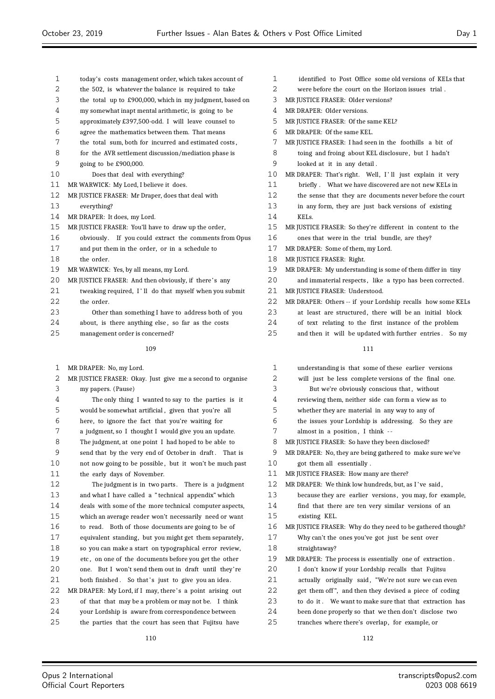| $\mathbf{1}$ | today's costs management order, which takes account of   | 1  | identified to Pos         |
|--------------|----------------------------------------------------------|----|---------------------------|
| 2            | the 502, is whatever the balance is required to take     | 2  | were before the c         |
| 3            | the total up to £900,000, which in my judgment, based on | 3  | MR JUSTICE FRASER:        |
| 4            | my somewhat inapt mental arithmetic, is going to be      | 4  | MR DRAPER: Older ve       |
| 5            | approximately £397,500-odd. I will leave counsel to      | 5  | MR JUSTICE FRASER:        |
| 6            | agree the mathematics between them. That means           | 6  | MR DRAPER: Of the sa      |
| 7            | the total sum, both for incurred and estimated costs,    | 7  | MR JUSTICE FRASER:        |
| 8            | for the AVR settlement discussion/mediation phase is     | 8  | toing and froing          |
| 9            | going to be £900,000.                                    | 9  | looked at it in a         |
| 10           | Does that deal with everything?                          | 10 | MR DRAPER: That's ri      |
| 11           | MR WARWICK: My Lord, I believe it does.                  | 11 | briefly. What w           |
| 12           | MR JUSTICE FRASER: Mr Draper, does that deal with        | 12 | the sense that the        |
| 13           | everything?                                              | 13 | in any form, they         |
| 14           | MR DRAPER: It does, my Lord.                             | 14 | KEL <sub>s.</sub>         |
| 15           | MR JUSTICE FRASER: You'll have to draw up the order,     | 15 | MR JUSTICE FRASER:        |
| 16           | obviously. If you could extract the comments from Opus   | 16 | ones that were in         |
| 17           | and put them in the order, or in a schedule to           | 17 | MR DRAPER: Some of        |
| 18           | the order.                                               | 18 | MR JUSTICE FRASER:        |
| 19           | MR WARWICK: Yes, by all means, my Lord.                  | 19 | MR DRAPER: My unde        |
| 20           | MR JUSTICE FRASER: And then obviously, if there's any    | 20 | and immaterial rea        |
| 21           | tweaking required, I'll do that myself when you submit   | 21 | <b>MR JUSTICE FRASER:</b> |
| 22           | the order.                                               | 22 | MR DRAPER: Others -       |
| 23           | Other than something I have to address both of you       | 23 | at least are strue        |
| 24           | about, is there anything else, so far as the costs       | 24 | of text relating          |

management order is concerned?

#### 

- MR DRAPER: No, my Lord.
- MR JUSTICE FRASER: Okay. Just give me a second to organise my papers. (Pause) The only thing I wanted to say to the parties is it would be somewhat artificial , given that you're all here, to ignore the fact that you're waiting for a judgment, so I thought I would give you an update. The judgment, at one point I had hoped to be able to send that by the very end of October in draft . That is not now going to be possible , but it won't be much past the early days of November. The judgment is in two parts . There is a judgment and what I have called a " technical appendix" which deals with some of the more technical computer aspects, which an average reader won't necessarily need or want to read. Both of those documents are going to be of equivalent standing, but you might get them separately, so you can make a start on typographical error review, etc , on one of the documents before you get the other one. But I won't send them out in draft until they're 21 both finished. So that's just to give you an idea. 22 MR DRAPER: My Lord, if I may, there's a point arising out of that that may be a problem or may not be. I think your Lordship is aware from correspondence between the parties that the court has seen that Fujitsu have

| $\mathbf{1}$      | identified to Post Office some old versions of KELs that    |
|-------------------|-------------------------------------------------------------|
| 2                 | were before the court on the Horizon issues trial.          |
| 3                 | MR JUSTICE FRASER: Older versions?                          |
| 4                 | MR DRAPER: Older versions.                                  |
| 5                 | MR JUSTICE FRASER: Of the same KEL?                         |
| 6                 | MR DRAPER: Of the same KEL.                                 |
| 7                 | MR JUSTICE FRASER: I had seen in the foothills a bit of     |
| 8                 | toing and froing about KEL disclosure, but I hadn't         |
| 9                 | looked at it in any detail.                                 |
| 10                | MR DRAPER: That's right. Well, I'll just explain it very    |
| 11                | briefly. What we have discovered are not new KELs in        |
| $12 \overline{ }$ | the sense that they are documents never before the court    |
| 13                | in any form, they are just back versions of existing        |
| 14                | KEL <sub>S</sub>                                            |
| 15                | MR JUSTICE FRASER: So they're different in content to the   |
| 16                | ones that were in the trial bundle, are they?               |
| 17                | MR DRAPER: Some of them, my Lord.                           |
| 18                | MR JUSTICE FRASER: Right.                                   |
| 19                | MR DRAPER: My understanding is some of them differ in tiny  |
| 20                | and immaterial respects, like a typo has been corrected.    |
| 21                | MR JUSTICE FRASER: Understood.                              |
| 22                | MR DRAPER: Others -- if your Lordship recalls how some KELs |
| 23                | at least are structured, there will be an initial block     |
| 24                | of text relating to the first instance of the problem       |

25 and then it will be updated with further entries. So my

| 1  | understanding is that some of these earlier versions       |
|----|------------------------------------------------------------|
| 2  | will just be less complete versions of the final one.      |
| 3  | But we're obviously conscious that, without                |
| 4  | reviewing them, neither side can form a view as to         |
| 5  | whether they are material in any way to any of             |
| 6  | the issues your Lordship is addressing. So they are        |
| 7  | almost in a position, I think --                           |
| 8  | MR JUSTICE FRASER: So have they been disclosed?            |
| 9  | MR DRAPER: No, they are being gathered to make sure we've  |
| 10 | got them all essentially.                                  |
| 11 | MR JUSTICE FRASER: How many are there?                     |
| 12 | MR DRAPER: We think low hundreds, but, as I've said,       |
| 13 | because they are earlier versions, you may, for example,   |
| 14 | find that there are ten very similar versions of an        |
| 15 | existing KEL.                                              |
| 16 | MR JUSTICE FRASER: Why do they need to be gathered though? |
| 17 | Why can't the ones you've got just be sent over            |
| 18 | straightaway?                                              |
| 19 | MR DRAPER: The process is essentially one of extraction.   |
| 20 | I don't know if your Lordship recalls that Fujitsu         |
| 21 | actually originally said, "We're not sure we can even      |
| 22 | get them off", and then they devised a piece of coding     |
| 23 | to do it. We want to make sure that that extraction has    |
| 24 | been done properly so that we then don't disclose two      |
| 25 | tranches where there's overlap, for example, or            |
|    |                                                            |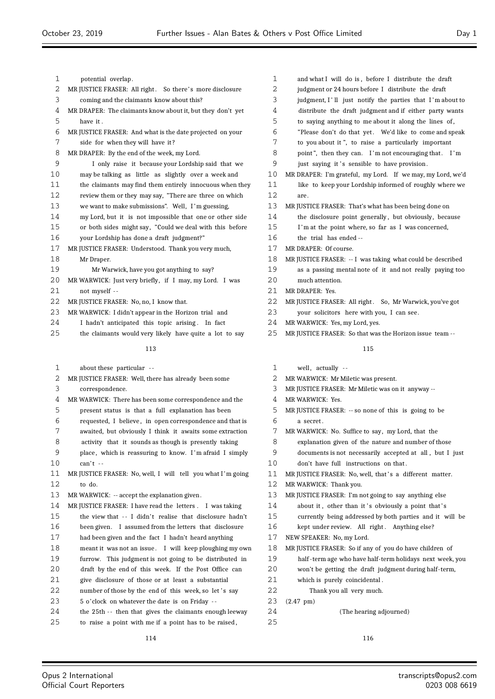| 1  | potential overlap.                                         |                  |
|----|------------------------------------------------------------|------------------|
| 2  | MR JUSTICE FRASER: All right. So there's more disclosure   |                  |
| 3  | coming and the claimants know about this?                  |                  |
| 4  | MR DRAPER: The claimants know about it, but they don't yet |                  |
| 5  | have it.                                                   |                  |
| 6  | MR JUSTICE FRASER: And what is the date projected on your  |                  |
| 7  | side for when they will have it?                           |                  |
| 8  | MR DRAPER: By the end of the week, my Lord.                |                  |
| 9  | I only raise it because your Lordship said that we         |                  |
| 10 | may be talking as little as slightly over a week and       | 1 <sub>1</sub>   |
| 11 | the claimants may find them entirely innocuous when they   | 1                |
| 12 | review them or they may say, "There are three on which     | 1                |
| 13 | we want to make submissions". Well, I'm guessing,          | 1                |
| 14 | my Lord, but it is not impossible that one or other side   | 1,               |
| 15 | or both sides might say, "Could we deal with this before   | 1                |
| 16 | your Lordship has done a draft judgment?"                  | 1 <sub>1</sub>   |
| 17 | MR JUSTICE FRASER: Understood. Thank you very much,        | $1^{\circ}$      |
| 18 | Mr Draper.                                                 | 1                |
| 19 | Mr Warwick, have you got anything to say?                  | 1                |
| 20 | MR WARWICK: Just very briefly, if I may, my Lord. I was    | 2 <sup>1</sup>   |
| 21 | not myself --                                              | $2^{\cdot}$      |
| 22 | MR JUSTICE FRASER: No, no, I know that.                    | $\overline{2}$ : |
| 23 | MR WARWICK: I didn't appear in the Horizon trial and       | $\overline{2}$   |
| 24 | I hadn't anticipated this topic arising. In fact           | 2.               |
| 25 | the claimants would very likely have quite a lot to say    | $\overline{2}$   |
|    | 113                                                        |                  |
| 1  | about these particular --                                  |                  |
| 2  | MR JUSTICE FRASER: Well, there has already been some       |                  |
| 3  | correspondence.                                            |                  |
| 4  | MR WARWICK: There has been some correspondence and the     |                  |
|    |                                                            |                  |

present status is that a full explanation has been

- requested, I believe , in open correspondence and that is
- awaited, but obviously I think it awaits some extraction activity that it sounds as though is presently taking
- place , which is reassuring to know. I 'm afraid I simply 10 can't --
- 11 MR JUSTICE FRASER: No, well, I will tell you what I'm going to do.
- 13 MR WARWICK: -- accept the explanation given.
- 14 MR JUSTICE FRASER: I have read the letters . I was taking 15 the view that -- I didn't realise that disclosure hadn't been given. I assumed from the letters that disclosure had been given and the fact I hadn't heard anything meant it was not an issue . I will keep ploughing my own furrow. This judgment is not going to be distributed in draft by the end of this week. If the Post Office can give disclosure of those or at least a substantial
- 22 number of those by the end of this week, so let's say
- 5 o'clock on whatever the date is on Friday -
- 24 the 25th -- then that gives the claimants enough leeway
- to raise a point with me if a point has to be raised ,

| $\mathbf 1$ | and what I will do is, before I distribute the draft       |
|-------------|------------------------------------------------------------|
| 2           | judgment or 24 hours before I distribute the draft         |
| 3           | judgment, I'll just notify the parties that I'm about to   |
| 4           | distribute the draft judgment and if either party wants    |
| 5           | to saying anything to me about it along the lines of,      |
| 6           | "Please don't do that yet. We'd like to come and speak     |
| 7           | to you about it", to raise a particularly important        |
| 8           | point", then they can. I'm not encouraging that. I'm       |
| 9           | just saying it's sensible to have provision.               |
| 10          | MR DRAPER: I'm grateful, my Lord. If we may, my Lord, we'd |
| 11          | like to keep your Lordship informed of roughly where we    |
| 12          | are.                                                       |
| 13          | MR JUSTICE FRASER: That's what has been being done on      |
| 14          | the disclosure point generally, but obviously, because     |
| 15          | I'm at the point where, so far as I was concerned,         |
| 16          | the trial has ended --                                     |
| 17          | MR DRAPER: Of course.                                      |
| 18          | MR JUSTICE FRASER: -- I was taking what could be described |
| 19          | as a passing mental note of it and not really paying too   |
| 20          | much attention.                                            |
| 21          | MR DRAPER: Yes.                                            |
| 22          | MR JUSTICE FRASER: All right. So, Mr Warwick, you've got   |
| 23          | your solicitors here with you, I can see.                  |

- MR WARWICK: Yes, my Lord, yes.
- MR JUSTICE FRASER: So that was the Horizon issue team --

#### 

1 well, actually -- MR WARWICK: Mr Miletic was present. MR JUSTICE FRASER: Mr Miletic was on it anyway -- MR WARWICK: Yes. MR JUSTICE FRASER: -- so none of this is going to be a secret . MR WARWICK: No. Suffice to say, my Lord, that the explanation given of the nature and number of those documents is not necessarily accepted at all , but I just don't have full instructions on that . 11 MR JUSTICE FRASER: No, well, that's a different matter. MR WARWICK: Thank you. MR JUSTICE FRASER: I'm not going to say anything else 14 about it, other than it's obviously a point that's currently being addressed by both parties and it will be 16 kept under review. All right. Anything else? NEW SPEAKER: No, my Lord. MR JUSTICE FRASER: So if any of you do have children of half -term age who have half-term holidays next week, you won't be getting the draft judgment during half-term, which is purely coincidental . Thank you all very much. (2.47 pm) (The hearing adjourned)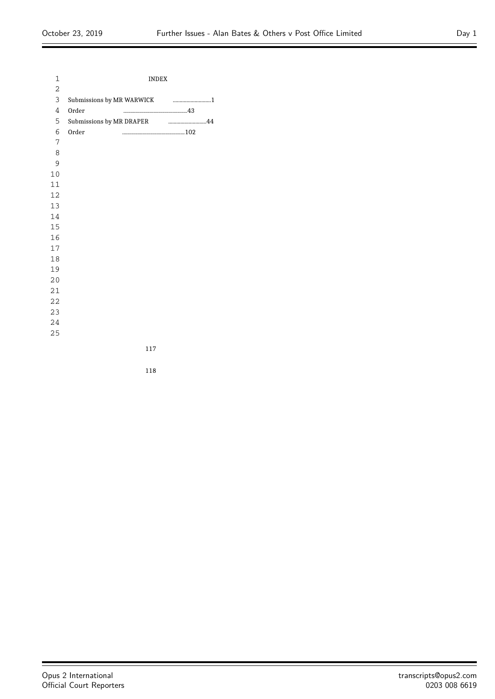$\equiv$ 

| 1  | <b>INDEX</b>                                      |  |
|----|---------------------------------------------------|--|
| 2  |                                                   |  |
| 3  |                                                   |  |
| 4  | Order                                             |  |
| 5  | Submissions by MR DRAPER And Manuscritting and A4 |  |
| 6  | Order                                             |  |
| 7  |                                                   |  |
| 8  |                                                   |  |
| 9  |                                                   |  |
| 10 |                                                   |  |
| 11 |                                                   |  |
| 12 |                                                   |  |
| 13 |                                                   |  |
| 14 |                                                   |  |
| 15 |                                                   |  |
| 16 |                                                   |  |
| 17 |                                                   |  |
| 18 |                                                   |  |
| 19 |                                                   |  |
| 20 |                                                   |  |
| 21 |                                                   |  |
| 22 |                                                   |  |
| 23 |                                                   |  |
| 24 |                                                   |  |
| 25 |                                                   |  |

 $\equiv$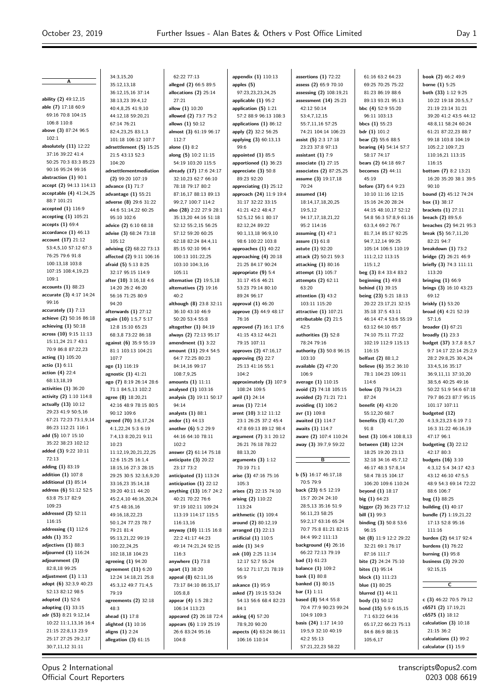**A**

**ability (2)** 49:12,15 **able (7)** 17:18 60:9 69:16 70:8 104:15 106:8 110:8 **above (3)** 87:24 96:5 102:1 **absolutely (11)** 12:22 37:16 39:22 41:4 50:25 70:3 83:3 85:23 90:16 95:24 99:16 **abstraction (1)** 90:1 **accept (2)** 94:13 114:13 **acceptable (4)** 41:24,25 88:7 101:21 **accepted (1)** 116:9 **accepting (1)** 105:21 **accepts (1)** 69:4 **accordance (1)** 46:13 **account (17)** 21:12 53:4,5,10 57:12 67:3 76:25 79:6 91:8 100:13,18 103:8 107:15 108:4,19,23  $109.1$ **accounts (1)** 88:23 **accurate (3)** 4:17 14:24 99:16 **accurately (1)** 7:13 **achieve (2)** 50:16 86:18 **achieving (1)** 50:18 **across (10)** 9:15 11:13 15:11,24 21:7 43:1 70:9 86:8 87:22,23 **acting (1)** 105:20 **actio (1)** 6:11 **action (4)** 22:4 68:13,18,19 **activities (1)** 36:20 **activity (2)** 1:10 114:8 **actually (13)** 10:12 29:23 41:9 50:5,16 67:21 72:23 73:1,9,14 86:23 112:21 116:1 **add (5)** 10:7 15:10 35:22 38:23 102:12 **added (3)** 9:22 10:11 72:13 **adding (1)** 83:19 **addition (1)** 107:8 **additional (1)** 85:14 **address (6)** 51:12 52:5 63:8 75:17 82:9 109:23 **addressed (2)** 52:11 116:15 **addressing (1)** 112:6 **adds (1)** 35:2 **adjectives (1)** 88:3 **adjourned (1)** 116:24 **adjournment (3)** 82:8,18 99:25 **adjustment (1)** 1:13 **adopt (6)** 32:3,9 40:23 52:13 82:12 98:5 **adopted (1)** 52:6 **adopting (1)** 33:15 **adr (53)** 8:21 9:12,14 10:22 11:1,13,16 16:4 21:15 22:8,13 23:9 25:17 27:25 29:2,17 30:7,11,12 31:11

34:3,15,20 35:12,13,18 36:12,15,16 37:14 38:13,23 39:4,12 40:4,8,25 41:9,10 44:12,18 59:20,21 67:14 76:21 82:4,23,25 83:1,3 101:18 106:12 107:7 **adrsettlement (5)** 15:25 21:5 43:13 52:3 104:20 **adrsettlementmediation (2)** 99:20 107:19 **advance (1)** 71:7 **advantage (1)** 55:21 **adverse (8)** 29:6 31:22 44:6 51:14,22 60:25 95:10 102:6 **advice (2)** 6:10 68:18 **advise (3)** 68:24 73:18 105:12 **advising (2)** 68:22 73:13 **affected (2)** 9:11 106:16 **afraid (5)** 5:13 8:25 32:17 95:15 114:9 **after (10)** 3:16,18 4:6 14:20 26:2 46:20 56:16 71:25 80:9 94:20 **afterwards (1)** 27:12 **again (10)** 1:5,7 5:17 12:8 15:10 65:23 68:3,8 73:22 86:18 **against (6)** 35:9 55:19 81:1 103:13 104:21 107:7 **age (1)** 116:19 **agnostic (1)** 41:21 **ago (7)** 8:19 26:14 28:6 71:1 84:5,13 102:2 **agree (8)** 18:20,21 42:16 48:9 78:15 80:5 90:12 109:6 **agreed (70)** 3:6,17,24 4:1,22,24 5:3 6:19 7:4,13 8:20,21 9:11 10:23 11:12,19,20,21,22,25 12:6 15:25 16:1,4 18:15,16 27:3 28:15 29:25 30:5 32:3,6,9,20 33:16,23 35:14,18 39:20 40:11 44:20 45:2,4,10 46:16,20,24 47:5 48:16,16 49:16,18,22,23 50:1,24 77:23 78:7 79:21 81:4 95:13,21,22 99:19 100:22,24,25 102:18,18 104:23 **agreeing (1)** 94:20 **agreement (11)** 6:20 12:24 14:18,21 25:8 45:3,12 49:7 71:4,5 79:19 **agreements (2)** 32:18 48:3 **ahead (1)** 17:8 **alighted (1)** 10:16 **aligns (1)** 2:24 **allegation (3)** 61:15

62:22 77:13 **alleged (2)** 66:5 89:5 **allocations (2)** 25:14 27:21 **allow (1)** 10:20 **allowed (2)** 73:7 75:2 **allows (1)** 50:12 **almost (3)** 61:19 96:17 112:7 **alone (1)** 8:2 **along (5)** 10:2 11:15 54:19 103:20 115:5 **already (17)** 17:6 24:17 32:10,23 62:7 66:10 78:18 79:17 80:2 87:16,17 88:13 89:13 99:2,7 100:7 114:2 **also (28)** 2:22 27:9 28:1 35:13,20 44:16 51:18 52:12 55:2,15 56:25 57:12 59:20 60:25 62:18 82:24 84:4,11 85:15 92:10 96:4 100:13 101:22,25 103:10 104:3,16 105:11 **alternative (2)** 19:5,18 **alternatives (2)** 19:16  $40:2$ **although (8)** 23:8 32:11 36:10 43:10 46:9 50:20 53:4 55:8 **altogether (1)** 84:19 **always (2)** 72:13 95:17 **amendment (1)** 3:22 **amount (11)** 29:4 54:5 64:7 72:25 80:23 84:14,16 99:17 108:7,9,25 **amounts (1)** 11:11 **analysed (1)** 103:16 **analysis (3)** 19:11 50:17 94:14 **analysts (1)** 88:1 **andor (1)** 44:13 **another (6)** 5:2 29:9 44:16 64:10 78:11 102:2 **answer (2)** 61:14 75:18 **anticipate (3)** 20:22 23:17 73:2 **anticipated (1)** 113:24 **anticipation (1)** 22:12 **anything (13)** 16:7 24:2 40:21 70:22 76:6 97:19 102:11 109:24 113:19 114:17 115:5 116:13,16 **anyway (10)** 11:15 16:8 22:2 41:17 44:23 49:14 74:21,24 92:15 116:3 **anywhere (1)** 73:8 **apart (1)** 38:20 **appeal (8)** 62:11,16 73:17 84:10 86:15,17  $105.88$ **appear (4)** 1:5 28:2 106:14 113:23 **appeared (2)** 26:18 72:4 **appears (6)** 1:19 25:19 26:6 83:24 95:16  $104.8$ 

**appendix (1)** 110:13 **apples (5)** 97:23,23,23,24,25 **applicable (1)** 95:2 **application (5)** 1:21 57:2 88:9 96:13 108:3 **applications (1)** 86:12 **apply (2)** 32:2 56:25 **applying (3)** 60:13,13 99:6 **appointed (1)** 85:5 **apportioned (1)** 36:23 **appreciate (3)** 50:8 89:23 92:20 **appreciating (1)** 25:12 **approach (24)** 11:9 19:4 31:17 32:22 33:15 41:21 42:2 48:4,7 52:5,12 56:1 80:17 82:12,24 89:22 90:1,13,18 96:9,10 98:6 100:22 103:8 **approaches (1)** 40:22 **approaching (4)** 20:18 21:25 84:17 90:24 **appropriate (9)** 5:4 31:17 45:6 46:21 53:23 79:14 80:10 89:24 96:17 **approval (1)** 46:20 **approve (3)** 44:9 48:17 76:16 **approved (7)** 16:1 17:6 41:15 43:12 44:21 79:15 107:11 **approves (2)** 47:16,17 **approving (5)** 22:7 25:13 41:16 55:1 104:2 **approximately (3)** 107:9 108:24 109:5 **april (1)** 24:14 **areas (1)** 72:14 **arent (10)** 3:12 11:12 23:1 26:25 37:2 45:4 47:8 69:13 89:12 98:4 **argument (7)** 3:1 20:12 26:21 76:18 78:22 88:13,20 **arguments (3)** 1:12 70:19 71:1 **arise (3)** 47:16 75:16 105:3 **arises (2)** 22:15 74:10 **arising (2)** 110:22 113:24 **arithmetic (1)** 109:4 **around (2)** 80:12,19 **arranged (1)** 22:13 **artificial (1)** 110:5 **aside (1)** 34:9 **ask (10)** 2:25 11:14 12:17 52:7 55:24 56:12 71:17,21 78:19  $05.9$ **askance (1)** 95:9 **asked (7)** 19:15 53:24 54:13 56:6 68:4 82:23 84:1 **asking (4)** 57:20 78:9,20 90:20 **aspects (4)** 63:24 86:11 106:16 110:14

**assertions (1)** 72:22 **assess (2)** 65:9 70:10 **assessing (2)** 108:19,21 **assessment (14)** 25:23 42:12 50:14 53:4,7,12,15 55:7,11,16 57:25 74:21 104:14 106:23 **assist (5)** 2:3 17:18 23:23 37:8 97:13 **assistant (1)** 7:9 **associate (1)** 27:15 **associates (2)** 87:25,25 **assume (3)** 19:17,18 70:24 **assumed (14)** 18:14,17,18,20,25 19:5,12 94:17,17,18,21,22 95:2 114:16 **assuming (1)** 47:1 **assure (1)** 61:8 **astute (1)** 92:20 **attack (2)** 50:21 59:3 **attacking (1)** 80:16 **attempt (1)** 105:7 **attempts (2)** 62:11 63:20 **attention (3)** 43:2 103:11 115:20 **attractive (1)** 107:21 **attributable (2)** 21:5  $A2 \cdot 5$ **authorities (3)** 52:8 78:24 79:16 **authority (3)** 50:8 96:15 103:10 **available (2)** 47:20 106:9 **average (1)** 110:15 **avoid (2)** 74:18 105:15 **avoided (2)** 71:21 72:1 **avoiding (1)** 106:2 **avr (1)** 109:8 **awaited (1)** 114:7 **awaits (1)** 114:7 **aware (2)** 107:4 110:24 **away (3)** 39:7,9 59:22 **B b (5)** 16:17 46:17,18 70:5 79:9 **back (23)** 6:5 12:19 15:7 20:24 24:10 28:5,13 35:16 51:9 56:11,23 58:25 59:2,17 63:16 65:24 70:7 75:8 81:21 82:15 84:4 99:2 111:13 **background (4)** 26:16 66:22 72:13 79:19 **bad (1)** 61:23 **balance (1)** 109:2 **bank (1)** 80:8 **banked (1)** 80:15 **bar (1)** 1:11 **based (8)** 54:4 55:8 70:4 77:9 90:23 99:24 104:9 109:3 **basis (24)** 1:17 14:10 19:5,9 32:10 40:19 42:2 55:13 57:21,22,23 58:22

69:25 70:25 75:22 81:23 86:19 88:6 89:13 93:21 95:13 **bbc (4)** 52:9 55:20 96:11 103:13 **bbcs (1)** 55:23 **bdr (1)** 101:2 **bear (2)** 55:6 88:5 **bearing (4)** 54:14 57:7 58:17 74:17 **bears (2)** 64:18 69:7 **becomes (2)** 44:11 45:19 **before (37)** 6:4 9:23 10:10 11:16 12:15 15:16 24:20 28:24 44:15 48:10,17 52:12 54:8 56:3 57:8,9 61:16 63:3,4 69:2 76:7 81:7,14 85:17 92:25 94:7,12,14 99:25 105:14 106:5 110:19 111:2,12 113:15 115:1,2 **beg (3)** 8:4 33:4 83:2 **beginning (1)** 49:8 **behind (1)** 39:15 **being (23)** 5:21 18:13 20:22 23:17,21 32:15 35:18 37:5 43:11 46:14 47:4 53:6 55:19 63:12 64:10 65:7 74:10 75:11 77:22 102:19 112:9 115:13 116:15 **belfast (2)** 88:1,2 **believe (6)** 35:2 36:10 78:1 104:23 109:11 114:6 **below (3)** 79:14,23 87:24 **benefit (4)** 43:20 55:12,20 68:7 **benefits (3)** 41:7,20 91:8 **best (3)** 106:4 108:8,13 **between (18)** 12:24 18:25 19:20 23:13 32:18 34:16 45:7,12 46:17 48:3 57:8,14 58:4 78:15 104:17 106:20 109:6 110:24 **beyond (1)** 18:17 **big (1)** 64:23 **bigger (2)** 36:23 77:12 **bill (1)** 99:3 **binding (3)** 50:8 53:6 96:15 **bit (8)** 11:9 12:2 29:22 32:21 69:1 76:17 87:16 111:7 **bite (2)** 24:24 75:10 **bites (1)** 95:14 **block (1)** 111:23 **blue (1)** 80:25 **blurred (1)** 44:11 **body (1)** 50:12 **bond (15)** 5:9 6:15,15 7:1 63:22 64:16 65:17,22 66:23 75:13 84:6 86:9 88:15 105:6,17

61:16 63:2 64:23

**book (2)** 46:2 49:9 **borne (1)** 5:25 **both (33)** 1:12 9:25 10:22 19:18 20:5,5,7 21:19 23:14 31:21 39:20 41:2 43:5 44:12 48:8,11 58:24 60:24 61:21 87:22,23 88:7 99:18 103:8 104:19 105:2,2 109:7,23 110:16,21 113:15 116:15 **bottom (7)** 8:2 13:21 16:20 35:20 38:1 39:5 90:10 **bound (2)** 45:12 74:24 **box (1)** 38:17 **brackets (1)** 27:11 **breach (2)** 89:5,6 **breaches (2)** 94:21 95:3 **break (5)** 56:7,11,20 82:21 94:7 **breakdown (1)** 73:2 **bridge (2)** 26:21 46:9 **briefly (3)** 74:3 111:11 113:20 **bringing (1)** 66:9 **brings (3)** 16:10 43:23 69:12 **briskly (1)** 53:20 **broad (4)** 4:21 52:19 57:1,6 **broader (1)** 67:21 **broadly (1)** 23:3 **budget (37)** 3:7,8 8:5,7 9:7 14:17 22:14 25:2,9 28:2 29:8,25 30:4,24 33:4,5,16 35:17 36:9,11,11 37:10,20 38:5,6 40:25 49:16 50:22 51:9 54:6 67:18 79:7 86:23 87:7 95:15 101:17 107:11 **budgeted (12)** 4:3,9,23,23 6:19 7:1 16:3 31:22 46:16,19 47:17 96:1 **budgeting (3)** 22:12 42:17 80:3 **budgets (16)** 3:10 4:3,12 5:4 34:17 42:3 43:12 46:10 47:5,5 48:9 54:3 69:14 72:22 88:6 106:7 **bug (1)** 88:25 **building (1)** 40:17 **bundle (7)** 1:19,21,22 17:13 52:8 95:16 111:16 **burden (2)** 64:17 92:4 **burdens (1)** 76:22 **burning (1)** 95:8 **business (3)** 29:20 92:15,15 **C c (3)** 46:22 70:5 79:12 **c6571 (2)** 17:19,21 **c6575 (1)** 18:12 **calculation (3)** 10:18

Opus 2 International Official Court Reporters

transcripts@opus2.com 0203 008 6619

21:15 36:2 **calculations (1)** 99:2 **calculator (1)** 15:9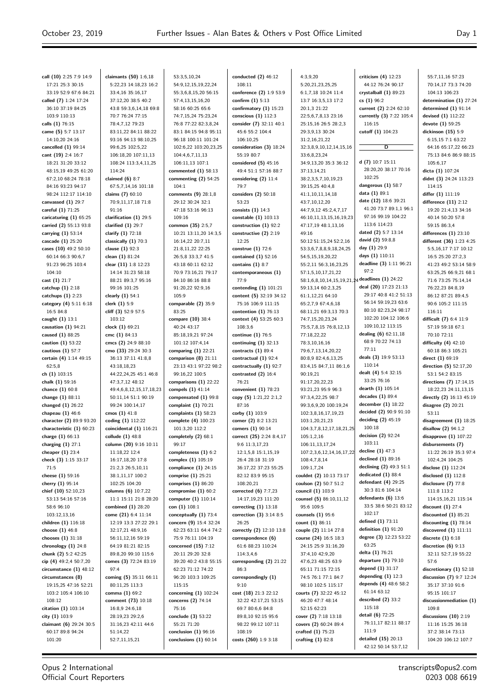55:7,11,16 57:23

**call (10)** 2:25 7:9 14:9 17:21 25:3 30:15 33:19 52:9 67:6 84:21 **called (7)** 1:24 17:24 36:10 37:19 84:25 103:9 110:13 **calls (1)** 76:15 **came (5)** 5:7 13:17 14:10,20 24:16 **cancelled (1)** 99:14 **cant (19)** 2:4 16:7 18:21 31:20 33:12 48:15,19 49:25 61:20 67:2,10 68:24 78:18 84:16 93:23 94:17 98:24 112:17 114:10 **canvassed (1)** 29:7 **careful (1)** 71:25 **caricaturing (1)** 65:25 **carried (2)** 55:13 93:8 **carrying (1)** 53:14 **cascade (1)** 25:20 **cases (10)** 49:2 50:10 60:14 66:3 90:6,7 91:23 96:25 103:4 104:10 **cast (1)** 21:7 **catchup (1)** 2:18 **catchups (1)** 2:23 **category (4)** 5:11 6:18 16:5 84:8 **caught (1)** 13:1 **causation (1)** 94:21 **caused (1)** 88:25 **caution (1)** 53:22 **cautious (1)** 57:7 **certain (4)** 1:14 49:15 62:5,8 **ch (1)** 103:15 **chalk (1)** 59:16 **chance (1)** 60:8 **change (1)** 88:11 **changed (1)** 26:22 **chapeau (1)** 46:6 **character (2)** 89:9 93:20 **characteristic (1)** 60:23 **charge (1)** 66:13 **charging (1)** 27:1 **cheaper (1)** 23:4 **check (3)** 1:15 33:17 71:5 **cheese (1)** 59:16 **cherry (1)** 95:14 **chief (10)** 52:10,23 53:13 54:16 57:16 58:6 96:10 103:12,13,16 **children (1)** 116:18 **choose (1)** 46:8 **chooses (1)** 31:18 **chronology (1)** 24:8 **chunk (2)** 5:2 42:25 **cip (4)** 49:2,4 50:7,20 **circumstance (1)** 48:12 **circumstances (8)** 19:15,25 47:16 52:21 103:2 105:4 106:10 108:12 **citation (1)** 103:14 **city (1)** 103:9 **claimant (6)** 29:24 30:5 60:17 89:8 94:24 101:20

**claimants (50)** 1:6,18 5:22,23 14:18,23 16:2 33:4,16 35:16,17 37:12,20 38:5 40:2 43:8 59:3,6,14,18 69:8 70:7 76:24 77:15 78:4,7,12 79:23 83:11,22 84:11 88:22 93:16 94:13 98:10,25 99:6,25 102:5,22 106:18,20 107:11,13 108:24 113:3,4,11,25 114:24 **claimed (6)** 8:7 67:5,7,14,16 101:18 **claims (7)** 60:10 70:9,11,17,18 71:8 91:16 **clarification (1)** 29:5 **clarified (1)** 29:7 **clarify (1)** 72:18 **classically (1)** 70:3 **clause (1)** 92:3 **clean (1)** 81:24 **clear (11)** 1:8 12:23 14:14 31:23 58:18 88:21 89:3,7 95:16 99:16 101:25 **clearly (1)** 54:1 **clerk (1)** 5:9 **cliff (3)** 52:9 57:5 103:12 **clock (1)** 69:21 **cmc (1)** 84:13 **cmcs (2)** 24:9 88:10 **cmo (33)** 29:24 30:3 36:13 37:11 41:8,8 43:18,18,23 44:22,24,25 45:1 46:8 47:3,7,12 48:12 49:4,6,8,12,15,17,18,23 50:11,14 51:1 90:19 99:24 100:14,17 **cmos (1)** 41:8 **coding (1)** 112:22 **coincidental (1)** 116:21 **collude (1)** 48:8 **column (20)** 9:16 10:11 11:18,22 12:4 16:17,18,20 17:8 21:2,3 26:5,10,11 38:1,11,17 100:2 102:25 104:20 **columns (6)** 10:7,22 11:1 15:11 21:8 28:20 **combined (1)** 28:20 **come (21)** 6:4 11:14 12:19 13:3 27:22 29:1 32:17,21 48:9,16 56:11,12,16 59:19 64:19 81:21 82:15 89:8,20 99:10 115:6 **comes (3)** 72:24 83:19 97:4 **coming (5)** 35:11 66:11 80:11,25 113:3 **comma (1)** 69:2 **comment (73)** 10:18 16:8,9 24:6,18 28:19,23 29:2,6 31:16,23 42:11 44:6 51:14,22 52:7,11,15,21

53:3,5,10,24 54:9,12,15,19,22,24 55:3,6,8,15,20 56:15 57:4,13,15,16,20 58:16 60:25 65:6 74:7,15,24 75:23,24 76:8 77:22 82:3,8,24 83:1 84:15 94:8 95:11 96:18 100:11 101:24 102:6,22 103:20,23,25 104:4,6,7,11,13 106:11,13 107:1 **commented (1)** 58:13 **commenting (2)** 54:25  $104.1$ **comments (9)** 28:1,8 29:12 30:24 32:1 47:18 53:16 96:13 109:16 **common (35)** 2:5,7 10:21 13:11,20 14:3,5 16:14,22 20:7,11 21:8,11,22 22:25 26:5,8 33:3,7 41:5 43:18 60:11 62:12 70:9 73:16,21 79:17 84:10 86:16 88:8 91:20,22 92:9,16 105:9 **comparable (2)** 35:9 83:25 **compare (10)** 38:4 40:24 43:17 85:18,19,21 97:24 101:12 107:4,14 **comparing (1)** 22:21 **comparison (8)** 21:11 23:13 43:1 97:22 98:2 99:16,22 100:5 **comparisons (1)** 22:22 **compels (1)** 41:14 **compensated (1)** 99:8 **complaint (1)** 70:21 **complaints (1)** 58:23 **complete (4)** 100:23 101:3,20 112:2 **completely (2)** 68:1 99:17 **completeness (1)** 6:2 **complex (1)** 105:19 **compliance (1)** 24:15 **comprise (1)** 25:21 **comprises (1)** 86:20 **compromise (1)** 60:2 **computer (1)** 110:14 **con (1)** 108:1 **conceptually (1)** 73:4 **concern (9)** 15:4 32:24 62:23 63:11 64:4 74:2 75:9 76:11 104:19 **concerned (15)** 7:12 20:11 29:20 32:8 39:20 40:2 43:8 55:15 62:23 71:12 74:22 96:20 103:3 109:25 115:15 **concerning (1)** 102:24 **concerns (2)** 74:14 75:16 **conclude (3)** 53:22 55:21 71:20 **conclusion (1)** 96:16 **conclusions (1)** 60:14

**conducted (2)** 46:12 108:11 **conference (2)** 1:9 53:9 **confirm (1)** 5:13 **confirmatory (1)** 15:23 **conscious (1)** 112:3 **consider (7)** 32:11 40:1 45:6 55:2 104:4 106:10,25 **consideration (3)** 18:24 55:19 80:7 **considered (5)** 45:16 49:4 51:1 57:16 88:7 **considering (2)** 11:4 79:7 **considers (2)** 50:18 53:23 **consists (1)** 14:3 **constable (1)** 103:13 **construction (1)** 92:2 **constructive (2)** 2:19 12:25 **construe (1)** 72:6 **contained (1)** 52:16 **contains (1)** 8:7 **contemporaneous (1)** 77:9 **contending (1)** 101:21 **content (5)** 32:19 34:12 75:16 106:9 111:15 **contention (1)** 76:13 **context (4)** 53:25 60:3 108:3,6 **continue (1)** 76:5 **continuing (1)** 32:13 **contracts (1)** 89:4 **contractual (1)** 92:4 **contractually (1)** 92:7 **contrasted (2)** 16:4 76:21 **convenient (1)** 78:23 **copy (5)** 1:21,22,2:1,2 87:16 **corby (1)** 103:9 **corner (2)** 8:2 13:21 **corners (1)** 90:14 **correct (25)** 2:24 8:4,17 9:6 11:3,17,23 12:1,5,8 15:1,15,19 26:4 28:18 31:19 36:17,22 37:23 55:25 82:12 83:9 95:15 108:20,21 **corrected (6)** 7:7,23 14:17,19,23 111:20 **correcting (1)** 13:18 **correction (3)** 3:14 8:5 26:25 **correctly (2)** 12:10 13:8 **correspondence (6)** 61:6 88:23 110:24 114:3,4,6 **corresponding (2)** 21:22 86:3 **correspondingly (1)** 9:10 **cost (18)** 21:3 22:12 32:22 42:17,21 53:15 69:7 80:6,6 84:8 89:8,10 92:15 95:6 98:22 99:12 107:11 108:19 **costs (260)** 1:9 3:18

 $4.39.20$ 5:20,21,23,25,25 6:1,7,18 10:24 11:4 13:7 16:3,5,13 17:2 20:1,3 21:22 22:5,6,7,8,13 23:16 25:15,16 26:5 28:2,3 29:3,9,13 30:24 31:2,16,21,22 32:3,8,9,10,12,14,15,16 33:6,8,23,24 34:9,13,20 35:3 36:12 37:13,14,21 38:2,3,5,7,10,19,23 39:15,25 40:4,8 41:1,10,11,14,18 43:7,10,12,20 44:7,9,12 45:2,4,7,17 46:10,11,13,15,16,19,23 47:17,19 48:1,13,16 49:16 50:12 51:15,24 52:2,16 53:3,6,7,8,8,9,18,24,25 54:5,15,19,20,22 55:2,11 56:3,16,23,25 57:1,5,10,17,21,22 58:1,6,8,10,14,15,19,21,24 59:13,14 60:2,3,25 61:1,12,21 64:10 65:2,7,9 67:4,6,18 68:11,21 69:3,13 70:3 74:7,15,20,23,24 75:5,7,8,15 76:8,12,13 77.19,22,22 78:3,10,16,16 79:6,7,13,14,20,22 80:8,9 82:4,6,13,25 83:4,15 84:7,11 86:1,6 90:19,21 91:17,20,22,23 93:21,23 95:9 96:3 97:3,4,22,25 98:7 99:3,6,9,20 100:19,24 102:3,8,16,17,19,23 103:1,20,21,23 104:3,7,8,12,17,18,21,25 105:1,2,16 106:11,13,17,24 107:2,3,6,12,14,16,17,22 108:4,7,8,14 109:1,7,24 **couldnt (2)** 10:13 73:17 **coulson (2)** 50:7 51:2 **council (1)** 103:9 **counsel (5)** 86:10,11,12 95:6 109:5 **counsels (1)** 95:6 **count (1)** 86:11 **couple (2)** 11:14 27:8 **course (24)** 16:5 18:3 24:15 25:9 31:16,20 37:4,10 42:9,20 47:6,23 48:25 63:9 65:11 71:15 72:15 74:5 76:1 77:1 84:7 98:10 102:5 115:17 **courts (7)** 32:22 45:12 46:20 47:7 48:14 52:15 62:23 **cover (2)** 7:18 13:18 **covers (2)** 60:24 89:4 **crafted (1)** 75:23 **crafting (1)** 82:8

**criticism (4)** 12:23 44:12 76:24 90:17 **crystalball (1)** 89:23 **cs (1)** 96:2 **current (2)** 2:24 62:10 **currently (3)** 7:22 105:4 116:15 **cutoff (1)** 104:23 **D d (7)** 10:7 15:11 28:20,20 38:17 70:16 102:25 **dangerous (1)** 58:7 **data (1)** 89:1 **date (12)** 18:6 39:21 41:20 73:7 89:1,1 96:1 97:16 99:19 104:22 113:6 114:23 **dated (2)** 5:7 13:14 **david (2)** 59:8,8 **day (1)** 29:9 **days (1)** 110:11 **deadline (3)** 1:11 96:21 97:2 **deadlines (1)** 24:22 **deal (20)** 17:23 21:13 29:17 40:8 41:2 51:13 56:14 59:19,23 63:6 80:10 82:23,24 98:17 102:20 104:12 106:6 109:10,12 113:15 **dealing (6)** 62:11,18 68:9 70:22 74:13 77:11 **deals (3)** 19:9 53:13 110:14 **dealt (4)** 5:4 32:15 33:25 76:16 **dearth (1)** 105:14 **decades (1)** 89:4 **december (1)** 18:22 **decided (2)** 90:9 91:10 **deciding (2)** 45:19 100:18 **decision (2)** 92:24 103:11 **decline (1)** 47:3 **declined (1)** 89:16 **declining (2)** 49:3 51:1 **dedicated (1)** 88:4 **defendant (4)** 29:25 30:3 81:6 104:14 **defendants (6)** 13:6 33:5 38:6 50:21 83:12 102:17 **defined (1)** 73:11 **definition (1)** 91:20 **degree (3)** 12:23 53:22 63:25 **delta (1)** 76:21 **departure (1)** 79:10 **depend (1)** 31:17 **depending (1)** 12:3 **depends (4)** 48:6 58:2 61:14 63:12 **described (2)** 33:2 115:18 **detail (6)** 72:25 76:11,17 82:11 88:17 111:9 **detailed (15)** 20:13 42:12 50:14 53:7,12

70:14,17 73:3 74:20 104:13 106:23 **determination (1)** 27:24 **determined (1)** 91:14 **devised (1)** 112:22 **devote (1)** 59:25 **dickinson (15)** 5:9 6:15,15 7:1 63:22 64:16 65:17,22 66:23 75:13 84:6 86:9 88:15 105:6,17 **dicta (1)** 107:24 **didnt (3)** 24:24 113:23 114:15 **differ (1)** 111:19 **difference (11)** 2:12 19:20 21:4,13 34:16 40:14 50:20 57:8 59:15 86:3,4 **differences (1)** 23:10 **different (36)** 1:23 4:25 5:5,16,17 7:17 10:12 16:5 25:20 27:2,3 41:23 49:2 53:14 58:9 63:25,25 66:9,21 68:1 71:6 73:25 75:14,14 76:22,23 84:8,19 86:12 87:21 89:4,5 90:6 105:2 111:15 116:11 **difficult (7)** 6:4 11:9 57:19 59:18 67:1 70:10 72:11 **difficulty (4)** 42:10 60:18 86:3 105:21 **direct (1)** 69:19 **direction (5)** 52:17,20 53:1 54:2 83:15 **directions (7)** 17:14,15 18:22,23 24:11,13,15 **directly (2)** 16:13 45:19 **disagree (2)** 20:21 53:11 **disagreement (1)** 18:25 **disallow (2)** 94:1,2 **disapprove (1)** 107:22 **disbursements (7)** 11:22 26:19 35:3 97:4 102:4,24 104:25 **disclose (1)** 112:24 **disclosed (1)** 112:8 **disclosure (7)** 77:8 111:8 113:2 114:15,16,21 115:14 **discount (1)** 27:4 **discounted (1)** 85:21 **discounting (1)** 78:14 **discovered (1)** 111:11 **discrete (1)** 6:18 **discretion (6)** 9:13 32:11 52:7,19 55:22 57:6 **discretionary (1)** 52:18 **discussion (7)** 9:7 12:24 35:17 37:10 91:6 95:15 101:17 **discussionmediation (1)** 109:8 **discussions (10)** 2:19 11:16 15:25 36:18 37:2 38:14 73:13 104:20 106:12 107:7

Opus 2 International Official Court Reporters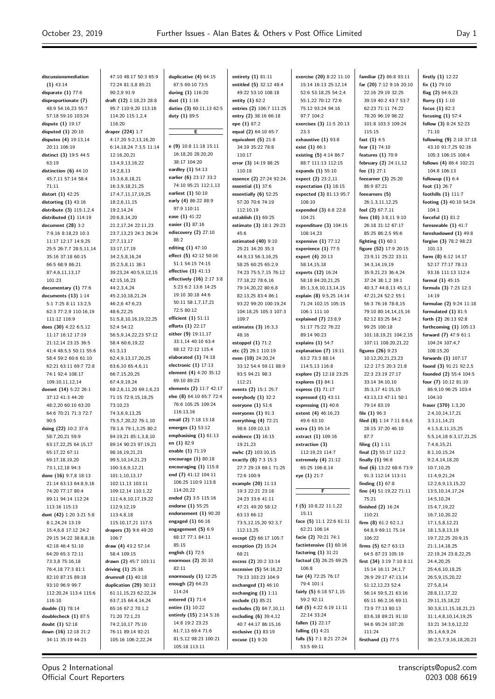$\overline{a}$ 

| discussionsmediation                        | 47:10 48:17 50:3 65:9                     | duplicative (4) 64:15                           | entirety $(1)$ 81:11                      | exercise (20) 8:22 11:10          | familiar (2) 86:8 93:11                       | firstly (1) 12:22                              |
|---------------------------------------------|-------------------------------------------|-------------------------------------------------|-------------------------------------------|-----------------------------------|-----------------------------------------------|------------------------------------------------|
| $(1)$ 43:14                                 | 72:24 81:3,8 85:21                        | 67:5 69:10 73:5                                 | entitled (5) 32:12 48:4                   | 15:14 16:13 25:12,14              | far (20) 7:12 9:16 20:10                      | fix $(1)$ 79:10                                |
| disparate $(1)$ 77:6                        | 90:2,9 91:9                               | during (1) 116:20                               | 49:22 53:10 108:18                        | 52:6 53:18,25 54:2,4              | 22:16 29:19 32:25                             | flag $(2)$ 64:6,23                             |
| disproportionate (7)                        | draft (12) 1:18,23 28:8                   | dust $(1) 1:16$                                 | entity $(1)$ 62:2                         | 55:1,22 70:12 72:6                | 39:19 40:2 43:7 53:7                          | flurry $(1) 1:10$                              |
| 48:9 54:16,23 55:7                          | 95:7 110:9,20 113:16                      | duties (3) 60:11,13 62:5                        | entries (2) 106:7 111:25                  | 75:12 93:24 94:16                 | 62:23 71:11 74:22                             | focus $(1)$ 82:3                               |
| 57:18 59:10 103:24                          | 114:20 115:1,2,4                          | duty (1) 89:5                                   | entry (2) 38:16 66:18                     | 97:7 104:2                        | 78:20 96:19 98:22                             | focusing $(1)$ 57:4                            |
| dispute (1) 19:17                           | 116:20                                    |                                                 | epe (1) 87:2                              | exercises (3) 11:5 20:13          | 101:8 103:3 109:24                            | follow (3) 8:24 52:23                          |
| disputed $(1)$ 20:10                        | draper (224) 1:7                          | Е                                               | equal (2) 64:10 65:7                      | 23:3                              | 115:15                                        | 71:10                                          |
| disputes (4) 19:13,14                       | 4:17,20 5:2,13,16,20                      |                                                 | equivalent $(5)$ 21:8                     | exhaustive $(1)$ 93:8             | fast $(1)$ 4:5                                | following (9) 2:18 37:18                       |
| 20:11 106:19                                | 6:14,18,24 7:3,5 11:14                    | e (9) 10:8 11:18 15:11                          | 34:19 35:22 78:8                          | exist $(1)$ 66:1                  | fear (1) 74:10                                | 43:10 91:7,25 92:16                            |
| distinct (3) 19:5 44:5                      | 12:16,20,21                               | 16:18,20 28:20,20<br>38:17 104:20               | 110:17                                    | existing (5) 4:14 86:7            | features (1) 70:9                             | 105:3 106:15 108:4                             |
| 63:19                                       | 13:4,9,13,16,22                           | eardley (1) 54:13                               | error (3) 14:19 88:25                     | 88:7 111:13 112:15                | february (2) 24:11,12                         | follows (4) 86:4 102:21                        |
| distinction $(6)$ 44:10                     | 14:2,8,13                                 | earlier (6) 23:17 33:2                          | 110:18                                    | expands (1) 55:10                 | fee $(1)$ 27:1                                | 104:8 106:13                                   |
| 45:7,11 57:14 58:4                          | 15:3,6,8,18,21                            | 74:10 95:21 112:1,13                            | essence (2) 27:24 92:24                   | expect (2) 23:2,11                | feeearner (3) 25:20                           | followup $(1)$ 6:4                             |
| 71:11                                       | 16:3,9,18,21,25                           | earliest (1) 50:10                              | essential $(1)$ 37:6                      | expectation $(1)$ 18:15           | 86:9 87:21                                    | foot $(1)$ 26:7                                |
| distort (1) 42:25<br>distorting $(1)$ 43:16 | 17:4,7,11,17,19,25<br>18:2,6,11,15        | early (4) 86:22 88:9                            | essentially (6) 52:25<br>57:20 70:6 74:19 | expected (3) 81:13 95:7<br>108:10 | feeearners (5)<br>26:1,3,11,12,25             | foothills (1) 111:7<br>footing (3) 40:10 54:24 |
| distribute (3) 115:1,2,4                    | 19:2,14,24                                | 97:9 110:11                                     | 112:10.19                                 | expended (3) 6:8 22:8             | feel (2) 67:7,11                              | 104:1                                          |
| distributed $(1)$ 114:19                    | 20:6,8,14,20                              | ease (1) 41:22                                  | establish (1) 69:25                       | 104:21                            | fees (10) 3:8,11 9:10                         | forceful $(1)$ 81:2                            |
| document (28) 3:2                           | 21:2,17,24 22:11,23                       | easier (1) 87:16                                | estimate (3) 18:1 29:23                   | expenditure (3) 104:15            | 26:18 31:12 67:17                             | foreseeable $(1)$ 41:7                         |
| 7:9,16 8:18,23 10:3                         | 23:7,13,23 24:3 26:24                     | ediscovery $(2)$ 27:10                          | 45:6                                      | 108:14,23                         | 85:25 86:2,5 95:6                             | foreshadowed (1) 49:8                          |
| 11:17 12:17 14:9,25                         | 27:7,13,17                                | 88:2                                            | estimated (40) 9:10                       | expensive $(1)$ 77:12             | fighting $(1)$ 60:1                           | forgive (3) 78:2 98:23                         |
| 25:5 26:7,7 28:5,11,14                      | 33:17,17,19                               | editing (1) 47:10                               | 25:21 34:20 35:3                          | experience $(1)$ 77:5             | figure (52) 17:9 20:15                        | 101:13                                         |
| 35:16 37:18 60:15                           | 34:2,5,8,16,24                            | effect $(5)$ 42:12 50:16                        | 44:9,13 56:3,16,25                        | expert (4) 20:13                  | 23:9,11 25:22 33:11                           | form $(8)$ 6:12 14:17                          |
| 66:5 68:9 86:21                             | 35:2,5,8,11 36:1                          | 51:1 54:15 74:15                                | 58:25 60:25 65:2,9                        | 58:14,15,18                       | 34:3,14,19,19                                 | 52:17 77:17 78:13                              |
| 87:4,6,11,13,17                             | 39:23,24 40:5,9,12,15                     | effective $(1)$ 41:13                           | 74:23 75:5,7,15 76:12                     | experts (12) 16:24                | 35:9,21,23 36:4,24                            | 93:16 111:13 112:4                             |
| 101:23                                      | 42:15,16,23                               | effectively (16) 2:17 3:8                       | 77:18,22 78:6,16                          | 58:18 84:20,21,25                 | 37:24 38:1,2 39:1                             | formal $(1)$ 45:15                             |
| documentary (1) 77:6                        | 44:2,3,4,24                               | 5:23 6:2 13:6 14:25                             | 79:14,20,22 80:6,8                        | 85:1,3,6,10,13,14,15              | 40:3,7 44:8,13 45:1,1                         | formula (3) 7:23 12:3                          |
| documents $(13)$ 1:14                       | 45:2,10,18,21,24                          | 19:10 30:18 44:6                                | 82:13,25 83:4 86:1                        | explain (8) 9:5,25 14:14          | 47:21,24 52:2 55:1                            | 14:19                                          |
| 5:1 7:25 8:11 13:2,5                        | 46:2,6 47:6,23                            | 50:11 58:1,7,17,21                              | 93:22 99:20 100:19,24                     | 71:24 102:15 105:15               | 56:3 76:16 78:8,15                            | formulae (2) 9:24 11:18                        |
| 62:3 77:2,9 110:16,19                       | 48:6,22,25                                | 72:5 80:12                                      | 104:18,25 105:3 107:3                     | 106:1 111:10                      | 79:10 80:14,14,15,16                          | formulated $(1)$ 81:5                          |
| 111:12 116:9                                | 51:5,8,10,16,19,22,25                     | efficient $(1)$ 51:11                           | 109:7                                     | explained (7) 23:8,9              | 82:12 83:25 84:2                              | forth (2) 26:13 92:8                           |
| does (30) 4:22 6:5,12                       | 52:4 54:12                                | efforts (1) 22:17                               | estimates $(3)$ 16:3,3                    | 51:17 75:22 76:22                 | 99:25 100:18                                  | forthcoming $(1)$ 105:13                       |
| 11:17 16:12 17:19                           | 56:5,9,14,22,23 57:12                     | either (9) 19:11,17                             | 48:16                                     | 89:14 90:23                       | 101:18,19,21 104:2,15                         | forward (7) 47:9 61:1                          |
| 21:12,14 23:15 36:5                         | 58:4 60:6,19,22                           | 33:1,14 40:10 63:4                              | estoppel $(1)$ 71:2                       | explains $(1)$ 54:7               | 107:11 108:20,21,22                           | 104:24 107:4,7                                 |
| 41:4 48:5,5 50:11 55:6                      | 61:3,13                                   | 68:12 72:12 115:4                               | etc (2) 26:1 110:19                       | explanation (7) 19:11             | figures (26) 9:23                             | 108:15,20                                      |
| 58:4 59:2 60:6 61:10                        | 62:4,9,13,17,20,25                        | elaborated $(1)$ 74:18                          | even (10) 24:20,24                        | 63:2 73:3 88:14                   | 10:12,20,21,23,23                             | forwards (1) 107:17                            |
| 62:21 63:11 69:7 72:8                       | 63:6,10 65:4,6,11                         | electronic $(1)$ 17:13                          | 33:12 54:4 59:11 88:9                     | 114:5,13 116:8                    | 12:2 17:5 20:3 21:8                           | found (3) 91:21 92:2,5                         |
| 74:1 92:4 108:17                            | 66:7,15,20,25                             | element (4) 4:20 35:12                          | 93:5 94:21 98:3                           | explore (2) 12:18 23:25           | 22:3 23:19 27:17                              | founded (2) 55:4 104:5                         |
| 109:10,11,12,14                             | 67:4,9,19,24                              | 69:10 89:23                                     | 112:21                                    | explores $(1)$ 84:1               | 33:14 34:10,10                                | four (7) 10:12 81:10                           |
| doesnt (14) 5:22 26:1                       | 68:2,6,11,20 69:1,6,23                    | elements (2) 11:7 42:17                         | events (2) 15:1 25:7                      | express (1) 71:17                 | 35:3,17 41:15,15                              | 86:9,10 96:25 103:4                            |
| 37:12 41:3 44:20                            | 71:15 72:9,15,18,25                       | else (8) 64:10 65:7 72:4                        | everybody $(1)$ 32:2                      | expressed $(1)$ 43:11             | 43:13,13 47:11 50:1                           | 104:10                                         |
| 48:2,20 60:10 63:20                         | 73:10,23                                  | 76:6 105:25 109:24                              | everyone (1) 51:6                         | expressing $(1)$ 40:6             | 79:14 83:19                                   | fraser (370) 1:3,20                            |
| 64:6 70:21 71:3 72:7                        | 74:3,6,9,13,25                            | 116:13.16                                       | everyones $(1)$ 91:3                      | extent (4) 46:16,23               | file $(1)$ 96:3                               | 2:4,10,14,17,21                                |
| 90:5                                        | 75:5,7,20,22 76:1,10                      | email (2) 7:18 13:18                            | everything $(4)$ 72:21                    | 49:6 63:10                        | filed (8) 1:14 7:11 8:6,6                     | 3:3,11,14,21                                   |
| doing (22) 10:2 37:6                        | 78:1,6 79:1,3,25 80:2                     | emerges $(1)$ 53:12                             | 98:6 109:10,13                            | extra (1) 95:14                   | 28:15 37:20 46:10                             | 4:1,5,8,11,15,25                               |
| 58:7,20,21 59:9                             | 84:19,21 85:1,3,8,10                      | emphasising $(1)$ 61:13                         | evidence (3) 16:15                        | extract (1) 109:16                | 87:7                                          | 5:5,14,18 6:3,17,21,25                         |
| 63:17,22,25 64:15,17                        | 89:14 90:23 97:19,21                      | en (1) 82:9<br>enable (1) 71:19                 | 19:21,23                                  | extraction (3)                    | filing $(1)$ 1:11                             | 7:4,6,15,21                                    |
| 65:17,22 67:11                              | 98:16,19,21,23                            | encourage $(1)$ 80:18                           | ewhc (2) 103:10,15                        | 112:19,23 114:7                   | final (2) 55:17 112:2                         | 8:1,10,15,24                                   |
| 69:17,18,19,20                              | 99:5,10,14,21,23                          |                                                 | exactly (8) 7:3 15:3                      | extremely $(4)$ 21:12             | finally (1) 96:8                              | 9:2,4,14,18,20                                 |
| 73:1,12,18 94:3                             | 100:3,6,9,12,21                           | encouraging $(1)$ 115:8<br>end (7) 41:12 104:11 | 27:7 29:19 69:1 71:25                     | 65:25 106:8,14                    | find (6) 13:22 68:6 73:9                      | 10:7,10,25                                     |
| done (16) 9:7,8 18:13                       | 101:1,10,13,17                            | 106:25 110:9 113:8                              | 72:6 100:9                                | eye (1) 21:7                      | 91:3 112:14 113:11                            | 11:4,9,21,24                                   |
| 21:14 63:13 64:8,9,16                       | 102:11,13 103:11                          | 114:20,22                                       | example (20) 11:13                        | F                                 | finding $(1)$ 67:8<br>fine (4) 51:19,22 71:11 | 12:2,6,9,13,15,22                              |
| 74:20 77:17 80:4<br>89:11 94:14 112:24      | 109:12,14 110:1,22<br>111:4,6,10,17,19,22 | ended (2) 3:5 115:16                            | 19:3 22:21 23:18<br>24:23 33:6 41:11      |                                   | 75:21                                         | 13:5, 10, 14, 17, 24<br>14:5,10,24             |
| 113:16 115:13                               | 112:9,12,19                               | endorse (1) 55:25                               | 47:21 49:20 58:12                         | f (5) $10:8,22$ $11:1,22$         | finished (2) 16:24                            | 15:4,7,19,22                                   |
| dont (42) 1:20 3:21 5:8                     | 113:4,8,18                                | endorsement $(1)$ 90:20                         | 63:13 66:12                               | 15:11                             | 110:21                                        | 16:7,10,20,22                                  |
| 8:1,24,24 13:19                             | 115:10,17,21 117:5                        | engaged $(1)$ 66:16                             | 73:5,12,15,20 92:3,7                      | face (5) 11:1 22:6 61:11          | firm $(8)$ 61:2 62:1,1                        | 17:1,5,8,12,21                                 |
| 15:4,6,8 17:12 24:2                         | drapers (3) 9:6 49:20                     | engagement $(5)$ 6:9                            | 112:13,25                                 | 62:21 106:14                      | 64:8,9 69:11 75:14                            | 18:1,5,8,13,19                                 |
| 29:15 34:22 38:8,8,16                       | 106:7                                     | 68:17 77:1 84:11                                | except (2) 66:17 105:7                    | facie (2) 70:21 74:1              | 106:22                                        | 19:7,22,25 20:9,15                             |
| 42:18 46:4 51:10                            | draw (4) 43:2 57:14                       | 85:15                                           | exception $(2)$ 15:24                     | factintensive $(1)$ 60:16         | firms (5) 62:7 63:13                          | 21:1,14,18,25                                  |
| 64:20 65:3 72:11                            | 58:4 109:15                               | english (1) 72:5                                | 68:21                                     | factoring $(1)$ 31:21             | 64:5 87:23 105:19                             | 22:19,24 23:8,22,25                            |
| 73:3,8 75:16,18                             | drawn (2) 45:7 103:11                     | enormous $(2)$ 20:10                            | excess (2) 20:2 33:14                     | factual (3) 26:25 69:25           | first (34) 3:19 7:10 8:11                     | 24:4,20,25                                     |
| 76:4,18 77:3 81:1                           | driving $(1)$ 25:16                       | 82:11                                           | excessive (5) 54:16,22                    | 106:8                             | 15:14 16:11 24:1,7                            | 25:4,6,10,18,25                                |
| 82:10 87:15 89:18                           | drumroll $(1)$ 40:18                      | enormously $(1)$ 12:25                          | 79:13 103:23 104:9                        | fair (4) 72:25 76:17              | 26:9 29:17 47:13,14                           | 26:5,9,15,20,22                                |
| 93:10 96:9 99:7                             | duplication (29) 30:13                    | enough $(2)$ 64:23                              | exchanged $(1)$ 46:10                     | 79:4 101:1                        | 51:12,12,23 52:4                              | 27:5,8,14                                      |
| 112:20,24 113:4 115:6                       | 61:11,15,23 62:22,24                      | 114:24                                          | exchanging $(1)$ 1:11                     | fairly (5) 6:18 57:1,15           | 56:14 59:5,21 63:16                           | 28:8,11,17,22                                  |
| 116:10                                      | 63:7,15 64:4,14,24                        | entered (1) 71:4                                | exclude (1) 85:21                         | 59:2 92:11                        | 65:11 66:2,16 69:11                           | 29:11,15,18,22                                 |
| double (1) 78:14                            | 65:16 67:2 70:1,2                         | entire (1) 10:22                                | excludes (3) 84:7,10,11                   | fall (5) $4:22$ 6:19 11:11        | 73:9 77:13 80:13                              | 30:3,8,11,15,18,21,23                          |
| doublecheck (1) 87:5                        | 71:20 72:1,23                             | entirely (15) 2:14 5:16                         | excluding (6) 39:4,12                     | 22:14 33:24                       | 83:6,18 89:21 91:10                           | 31:1,4,8,10,14,19,25                           |
| doubt (1) 52:18                             | 74:2,10,17 75:10                          | 14:8 19:2 23:23                                 | 40:7 44:17 86:15,16                       | fallen $(1)$ 22:17                | 94:6 95:24 107:20                             | 33:21 34:3,6,12,22                             |
| down $(16)$ 12:18 21:2                      | 76:11 89:14 92:21                         | 61:7,13 69:4 71:6                               | exclusive (1) 83:19                       | falling $(1)$ 4:21                | 111:24                                        | 35:1,4,6,9,24                                  |
| 34:11 35:19 44:23                           | 105:16 106:2,22,24                        | 81:5,12 98:23 100:21                            | excuse (1) 9:20                           | falls (5) 7:1 8:21 27:24          | firsthand $(1)$ 77:5                          | 36:2,5,7,9,16,18,20,23                         |
|                                             |                                           | 105:18 113:11                                   |                                           | 53:5 69:11                        |                                               |                                                |

Opus 2 International Official Court Reporters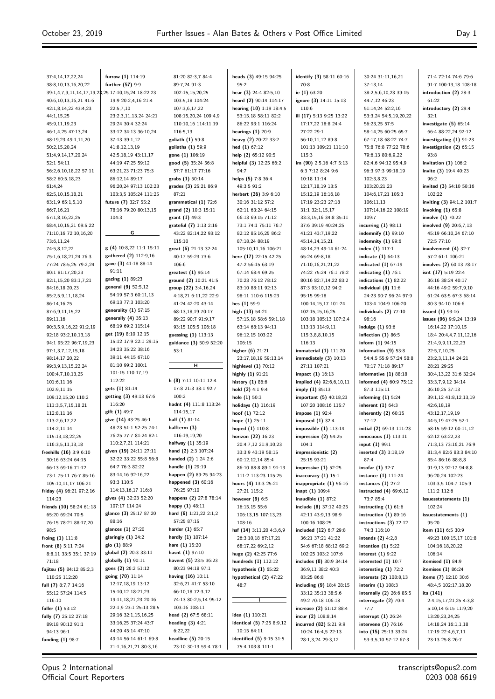53:15,18 58:11 82:2 86:22 93:1 116:24

95:2

94:7

49:3,5 91:2

| 37:4,14,17,22,24                                                                        | furrow (1) 114:19                                                                                                                                                                                                                                                                                                                  | 81:20 82:3,7 84:4                             |
|-----------------------------------------------------------------------------------------|------------------------------------------------------------------------------------------------------------------------------------------------------------------------------------------------------------------------------------------------------------------------------------------------------------------------------------|-----------------------------------------------|
| 38:8, 10, 13, 16, 20, 22                                                                | further (57) 9:9                                                                                                                                                                                                                                                                                                                   | 89:7,24 91:3                                  |
|                                                                                         | 39:1,4,7,9,11,14,17,19,23,25 17:10,15,24 18:22,23                                                                                                                                                                                                                                                                                  | 102:15,15,20,25                               |
| 40:6,10,13,16,21 41:6                                                                   | 19:9 20:2,4,16 21:4                                                                                                                                                                                                                                                                                                                | 103:5,18 104:24                               |
| 42:1,8,14,22 43:4,23                                                                    | 22:5,7,10                                                                                                                                                                                                                                                                                                                          | 107:3,6,17,22                                 |
| 44:1,15,25                                                                              | 23:2,3,11,13,24 24:21                                                                                                                                                                                                                                                                                                              | 108:15,20,24 109:4,9                          |
|                                                                                         |                                                                                                                                                                                                                                                                                                                                    |                                               |
| 45:9,11,19,23                                                                           | 29:24 30:4 32:24                                                                                                                                                                                                                                                                                                                   | 110:10,16 114:11,19                           |
| 46:1,4,25 47:13,24                                                                      | 33:12 34:13 36:10,24                                                                                                                                                                                                                                                                                                               | 116:5,13                                      |
| 48:19,23 49:1,11,20                                                                     | 37:13 39:1,12                                                                                                                                                                                                                                                                                                                      | goliath (1) 59:8                              |
| 50:2,15,20,24                                                                           | 41:8,12,13,19                                                                                                                                                                                                                                                                                                                      | goliaths (1) 59:9                             |
| 51:4,9,14,17,20,24                                                                      | 42:5,18,19 43:11,17                                                                                                                                                                                                                                                                                                                | gone (1) 106:19                               |
| 52:1 54:11                                                                              | 44:19 47:25 59:12                                                                                                                                                                                                                                                                                                                  | good (5) 35:24 56:8                           |
| 56:2,6,10,18,22 57:11                                                                   | 63:21,23 71:23 75:3                                                                                                                                                                                                                                                                                                                | 57:7 61:17 77:16                              |
| 58:2 60:5,18,23                                                                         | 86:12,14 89:17                                                                                                                                                                                                                                                                                                                     | grabs (1) 50:14                               |
| 61:4,24                                                                                 | 96:20,24 97:13 102:23                                                                                                                                                                                                                                                                                                              | grades (3) 25:21 86:9                         |
| 62:5,10,15,18,21                                                                        | 103:3,5 105:24 111:25                                                                                                                                                                                                                                                                                                              | 87:21                                         |
| 63:1,9 65:1,5,10                                                                        | future (7) 32:7 55:2                                                                                                                                                                                                                                                                                                               | grammatical $(1)$ 72:6                        |
| 66:7,16,21                                                                              | 78:16 79:20 80:13,15                                                                                                                                                                                                                                                                                                               | grand (2) 10:3 15:11                          |
| 67:1,8,16,22,25                                                                         | 104:3                                                                                                                                                                                                                                                                                                                              | grant (1) 49:3                                |
| 68:4,10,15,21 69:5,22                                                                   |                                                                                                                                                                                                                                                                                                                                    | grateful (7) 1:13 2:16                        |
| 71:10,16 72:10,16,20                                                                    | $\overline{G}$ and $\overline{G}$ and $\overline{G}$ and $\overline{G}$ and $\overline{G}$ and $\overline{G}$ and $\overline{G}$ and $\overline{G}$ and $\overline{G}$ and $\overline{G}$ and $\overline{G}$ and $\overline{G}$ and $\overline{G}$ and $\overline{G}$ and $\overline{G}$ and $\overline{G}$ and $\overline{G}$ and | 43:22 82:14,22 93:12                          |
| 73:6,11,24                                                                              |                                                                                                                                                                                                                                                                                                                                    | 115:10                                        |
| 74:5,8,12,22                                                                            | g (4) 10:8,22 11:1 15:11                                                                                                                                                                                                                                                                                                           | great (6) 21:13 32:24                         |
| 75:1,6,18,21,24 76:3                                                                    | gathered (2) 112:9,16                                                                                                                                                                                                                                                                                                              | 40:17 59:23 73:6                              |
| 77:24 78:5,25 79:2,24                                                                   | gave (3) 41:18 88:14                                                                                                                                                                                                                                                                                                               | 106:6                                         |
| 80:1 81:17,20,23                                                                        | 91:11                                                                                                                                                                                                                                                                                                                              | greatest (1) 96:14                            |
|                                                                                         | gazing (1) 89:23                                                                                                                                                                                                                                                                                                                   |                                               |
| 82:1,15,20 83:1,7,21                                                                    | general (9) 52:5,12                                                                                                                                                                                                                                                                                                                | ground (2) 10:21 41:5                         |
| 84:16,18,20,23                                                                          | 54:19 57:3 60:11,13                                                                                                                                                                                                                                                                                                                | group (22) 3:4,16,24                          |
| 85:2,5,9,11,18,24                                                                       |                                                                                                                                                                                                                                                                                                                                    | 4:18,21 6:11,22 22:9                          |
| 86:14,16,25                                                                             | 69:13 77:3 103:20                                                                                                                                                                                                                                                                                                                  | 41:24 42:20 43:14                             |
| 87:6,9,11,15,22                                                                         | generality $(1)$ 57:15                                                                                                                                                                                                                                                                                                             | 68:13,18,19 70:17                             |
| 89:11,16                                                                                | generally (4) 35:13                                                                                                                                                                                                                                                                                                                | 89:22 90:7 91:9,17                            |
| 90:3,5,9,16,22 91:2,19                                                                  | 68:19 69:2 115:14                                                                                                                                                                                                                                                                                                                  | 93:15 105:5 106:18                            |
| 92:18 93:2,10,13,18                                                                     | get (19) 8:10 12:15                                                                                                                                                                                                                                                                                                                | guessing $(1)$ 113:13                         |
| 94:1 95:22 96:7,19,23                                                                   | 15:12 17:9 22:1 29:15                                                                                                                                                                                                                                                                                                              | guidance (3) 50:9 52:20                       |
| 97:1,3,7,12,15,18                                                                       | 34:23 35:22 38:16                                                                                                                                                                                                                                                                                                                  | 53:1                                          |
| 98:14,17,20,22                                                                          | 39:11 44:15 67:10                                                                                                                                                                                                                                                                                                                  |                                               |
| 99:3,9,13,15,22,24                                                                      | 81:10 99:2 100:1                                                                                                                                                                                                                                                                                                                   | н                                             |
| 100:4,7,10,13,25                                                                        | 101:15 110:17,19                                                                                                                                                                                                                                                                                                                   |                                               |
| 101:6,11,16                                                                             | 112:22                                                                                                                                                                                                                                                                                                                             | h (8) 7:11 10:11 12:4                         |
|                                                                                         |                                                                                                                                                                                                                                                                                                                                    |                                               |
|                                                                                         | gets (1) 81:14                                                                                                                                                                                                                                                                                                                     | 17:8 21:3 38:1 92:7                           |
| 102:9,11,15                                                                             |                                                                                                                                                                                                                                                                                                                                    | 100:2                                         |
| 109:12,15,20 110:2                                                                      | getting (3) 49:13 67:6                                                                                                                                                                                                                                                                                                             |                                               |
| 111:3,5,7,15,18,21                                                                      | 116:20                                                                                                                                                                                                                                                                                                                             | hadnt (4) 111:8 113:24                        |
| 112:8,11,16                                                                             | gift (1) 49:7                                                                                                                                                                                                                                                                                                                      | 114:15,17                                     |
| 113:2,6,17,22                                                                           | give (14) 43:25 46:1                                                                                                                                                                                                                                                                                                               | half (1) 81:14                                |
| 114:2,11,14                                                                             | 48:23 51:1 52:25 74:1                                                                                                                                                                                                                                                                                                              | halfterm (3)                                  |
| 115:13,18,22,25                                                                         | 76:25 77:7 81:24 82:1                                                                                                                                                                                                                                                                                                              | 116:19,19,20                                  |
| 116:3,5,11,13,18                                                                        | 110:2,7,21 114:21                                                                                                                                                                                                                                                                                                                  | halfway (1) 35:19                             |
|                                                                                         | given (19) 24:11 27:11                                                                                                                                                                                                                                                                                                             | hand (2) 2:3 107:24                           |
| 30:16 63:24 64:15                                                                       | 32:22 33:22 55:8 56:8                                                                                                                                                                                                                                                                                                              | handed (2) 1:24 2:6                           |
| 66:13 69:16 71:12                                                                       | 64:7 76:3 82:22                                                                                                                                                                                                                                                                                                                    | handle (1) 29:19                              |
| 73:1 75:11 76:7 85:16                                                                   | 83:14,16 92:16,22                                                                                                                                                                                                                                                                                                                  | happen (2) 89:25 94:23                        |
| 105:10,11,17 106:21                                                                     | 93:3 110:5                                                                                                                                                                                                                                                                                                                         | happened (3) 60:16                            |
|                                                                                         | 114:13,16,17 116:8                                                                                                                                                                                                                                                                                                                 | 76:25 97:10                                   |
| 114:23                                                                                  | gives (4) 32:23 52:20                                                                                                                                                                                                                                                                                                              | happens (2) 27:8 78:14                        |
|                                                                                         | 107:17 114:24                                                                                                                                                                                                                                                                                                                      | happy (1) 48:11                               |
| 65:20 69:24 70:5                                                                        | glance (3) 25:17 87:20                                                                                                                                                                                                                                                                                                             | hard (6) 1:21,22 2:1,2                        |
| 76:15 78:21 88:17,20                                                                    | 88:16                                                                                                                                                                                                                                                                                                                              | 57:25 87:15                                   |
| freehills (16) 3:9 6:10<br>friday (4) 96:21 97:2,16<br>friends (10) 58:24 61:18<br>98:5 | glances (1) 27:20                                                                                                                                                                                                                                                                                                                  | harder $(1)$ 65:7                             |
|                                                                                         | glaringly $(1)$ 24:2                                                                                                                                                                                                                                                                                                               | hardly (1) 107:14                             |
| froing (1) 111:8                                                                        | glo (1) 88:9                                                                                                                                                                                                                                                                                                                       | hare (1) 15:20                                |
| front (8) 5:11 7:24                                                                     |                                                                                                                                                                                                                                                                                                                                    |                                               |
| 8:8,11 33:5 35:1 37:19                                                                  | global (2) 20:3 33:11                                                                                                                                                                                                                                                                                                              | hasnt (1) 97:10                               |
| 71:18                                                                                   | globally (1) 90:11                                                                                                                                                                                                                                                                                                                 | havent (5) 23:5 36:23                         |
| fujitsu (5) 84:12 85:2,3                                                                | goes (2) 26:2 51:12                                                                                                                                                                                                                                                                                                                | 80:23 94:18 97:1                              |
| 110:25 112:20                                                                           | going (70) 11:14                                                                                                                                                                                                                                                                                                                   | having (16) 10:11                             |
| full (7) 8:7,7 14:16                                                                    | 12:17,18,19 13:12                                                                                                                                                                                                                                                                                                                  | 32:6,21 41:7 53:10                            |
| 55:12 57:24 114:5                                                                       | 15:10,12 18:21,23                                                                                                                                                                                                                                                                                                                  | 66:10,18 72:3,12                              |
| 116:10                                                                                  | 19:11,18,21,23 20:16                                                                                                                                                                                                                                                                                                               | 74:13 80:2,5,14 95:12                         |
| fuller (1) 53:12                                                                        | 22:1,9 23:1 25:13 28:5                                                                                                                                                                                                                                                                                                             | 103:16 108:11                                 |
| fully (7) 25:12 27:18                                                                   | 29:16 32:1,15,16,25                                                                                                                                                                                                                                                                                                                | head (2) 67:5 68:11                           |
| 89:18 90:12 91:1                                                                        | 33:16,25 37:24 43:7                                                                                                                                                                                                                                                                                                                | heading $(3)$ 4:21                            |
| 94:13 96:1                                                                              | 44:20 45:14 47:10                                                                                                                                                                                                                                                                                                                  | 6:22,22                                       |
| funding (1) 98:7                                                                        | 49:14 56:14 61:1 69:8<br>71:1,16,21,21 80:3,16                                                                                                                                                                                                                                                                                     | headline $(5)$ 20:15<br>23:10 30:13 59:4 78:1 |

#### 81:20 82:3,7 84:4  $8:7.24$  91:3 102:15,15,20,25 03:5,18 104:24 17:3,6,17,22 109:44<br>109:44 110:10,16 114:11,19  $6.5,13$ **goliath (1)** 59:8 **goliaths (1)** 59:9 **gone (1)** 106:19 **good (5)** 35:24 56:8 57:7 61:17 77:16 **grabs (1)** 50:14 **grades (3)** 25:21 86:9  $^{7:21}$ **grammatical (1)** 72:6 **grand (2)** 10:3 15:11 **grant (1)** 49:3 **grateful (7)** 1:13 2:16 43:22 82:14,22 93:12  $15:10$ **great (6)** 21:13 32:24  $0:17$  59:23 73:6  $6.6$ **greatest (1)** 96:14 **ground (2)** 10:21 41:5 **group (22)** 3:4,16,24 4:18,21 6:11,22 22:9 41:24 42:20 43:14 8:13,18,10,70:17 89:22 90:7 91:9,17 93:15 105:5 106:18 **guessing (1)** 113:13 **guidance (3)** 50:9 52:20  $3:1$ **H h (8)** 7:11 10:11 12:4 17:8 21:3 38:1 92:7  $0:2$ **hadnt (4)** 111:8 113:24 114:15,17 **half (1)** 81:14 **halfterm (3)** 116:19,19,20 **halfway (1)** 35:19 **hand (2)** 2:3 107:24 **handed (2)** 1:24 2:6 **handle (1)** 29:19 **happen (2)** 89:25 94:23 **happened (3)** 60:16  $-25.97:10$ **happens (2)** 27:8 78:14 **happy (1)** 48:11 **hard (6)** 1:21,22 2:1,2  $7:2587:15$ **her (1)** 65:7 **hardly (1)** 107:14 **hare (1)** 15:20 **hasnt (1)** 97:10 **havent (5)** 23:5 36:23 80:23 94:18 97:1 **having (16)** 10:11  $2:6.21$  41:7 53:10 6:10.18 72:3.12 74:13 80:2,5,14 95:12 03:16 108:11 **head (2)** 67:5 68:11 **heads (3)** 49:15 94:25 **hear (3)** 24:4 82:5,10 **heard (2)** 90:14 114:17 **hearing (10)** 1:19 18:4,5 **hearings (1)** 20:9 **heavy (2)** 20:22 33:2 **hed (1)** 67:12 **help (2)** 65:12 90:5 **helpful (3)** 12:25 66:2 **helps (5)** 7:8 36:4 **herbert (26)** 3:9 6:10

30:16 31:12 57:2 62:11 63:24 64:15 66:13 69:15 71:12 73:1 74:1 75:11 76:7 82:12 85:16,25 86:2 87:18,24 88:19 105:10,11,16 106:21 **here (17)** 22:15 42:25 47:2 56:15 63:19 67:14 68:4 69:25 70:23 76:12 78:12 83:10 88:11 92:13 98:11 110:6 115:23 **hes (1)** 59:9 **high (13)** 54:21 57:15,18 58:6 59:1,18 63:14 68:13 94:11 96:12,15 103:22 106:15 **higher (6)** 21:21 23:17,18,19 59:13,14 **highlevel (1)** 70:12 **highly (1)** 91:21 **history (1)** 86:6 **hold (2)** 4:1 9:4 **hole (1)** 50:3 **holidays (1)** 116:19 **hoof (1)** 72:12 **hope (1)** 25:11 **hoped (1)** 110:8 **horizon (22)** 16:23 20:4,7,12 21:9,10,23 33:3,9 43:19 58:15 60:12,12,14 85:4 86:10 88:8 89:1 91:13 111:2 113:23 115:25 **hours (4)** 13:3 25:21 27:21 115:2 **however (9)** 6:5 16:15,15 55:6 106:13,15 107:13,23 108:16 **hsf (14)** 3:11,20 4:3,6,9 26:3,10,18 67:17,21 68:17,22 69:2,12 **huge (2)** 42:25 77:6 **hundreds (1)** 112:12 **hypothesis (1)** 65:22 **hypothetical (2)** 47:22 48:7 **I idea (1)** 110:21 **identical (5)** 7:25 8:9,12 10:15 64:11 **identified (5)** 9:15 31:5 75:4 103:8 111:1

**identify (3)** 58:11 60:16 70:8 **ie (1)** 63:20 **ignore (3)** 14:11 15:13 110:6 **ill (17)** 5:13 9:25 13:22 17:17,22 18:8 24:4 27:22 29:1 56:10,11,12 89:8 101:13 109:21 111:10 115:3 **im (90)** 2:5,16 4:7 5:13 6:3 7:12 8:24 9:6 10:18 11:14 12:17,18,19 13:5 15:12,19 16:16,18 17:19 23:23 27:18 31:1 32:1,15,17 33:3,15,16 34:8 35:11 37:6 39:19 40:24,25 41:21 43:7,19,22 45:14,14,15,21 48:14,23 49:14 61:24 65:24 69:8,18 71:10,16,21,21,22 74:22 75:24 76:1 78:2 80:16 82:7,14,22 83:2 87:3 93:10,12 94:2 95:15 99:18 100:14,15,17 101:24 102:15,15,16,25 103:18 105:13 107:2,4 113:13 114:9,11 115:3,8,8,10,15 116:13 **immaterial (1)** 111:20 **immediately (3)** 10:13 27:11 107:21 **impact (1)** 16:13 **implied (4)** 92:6,6,10,11 **imply (1)** 85:13 **important** (5) 40:18,23 107:20 108:16 115:7 **impose (1)** 92:4 **imposed (1)** 32:4 **impossible (1)** 113:14 **impression (2)** 54:25  $104.1$ **impressionistic (2)** 25:15 93:21 **impressive (1)** 52:25 **inaccuracy (1)** 15:1 **inappropriate (1)** 56:16 **inapt (1)** 109:4 **inaudible (1)** 87:2 **include (8)** 37:12 40:25 42:11 43:9,13 98:9 100:16 108:25 **included (12)** 6:7 29:8 36:21 37:21 41:22 54:6 67:18 68:12 69:2 102:25 103:2 107:6 **includes (8)** 30:9 34:14 36:9,11 38:2 40:3 83:25 86:8 **including (9)** 18:4 28:15 33:12 35:13 38:5,6 49:2 70:18 106:18 **increase (2)** 61:12 88:4 **incur (2)** 108:8,14 **incurred (82)** 5:21 9:9 10:24 16:4,5 22:13 28:1,3,24 29:3,12

30:24 31:11,16,21 37:13,14 38:2,5,6,10,23 39:15 44:7,12 46:23 51:14,24 52:2,16 53:3,24 54:5,19,20,22 56:23,25 57:5 58:14,25 60:25 65:7 67:17,18 68:22 74:7 75:8 76:8 77:22 78:6 79:6,13 80:6,9,22 82:4,6 94:12 95:4,9 96:3 97:3 99:18,19 102:3,8,23 103:20,21,23 104:6,17,21 105:3 106:11,13 107:14,16,22 108:19 109:7 **incurring (1)** 98:11 **indemnify (1)** 99:10 **indemnity (1)** 99:6 **index (1)** 117:1 **indicate (1)** 64:13 **indicated (1)** 67:19 **indicating (1)** 76:1 **indications (1)** 82:22 **individual (8)** 11:6 24:23 90:7 96:24 97:9 103:4 104:9 106:20 **individuals (2)** 77:10 98:16 **indulge (1)** 93:6 **inflection (1)** 86:5 **inform (1)** 94:15 **information (9)** 53:8 54:4,5 55:9 57:24 58:8 70:17 71:18 89:17 **informative (1)** 88:18 **informed (4)** 60:9 75:12 87:3 115:11 **informing (1)** 5:24 **inherent (1)** 64:3 **inherently (2)** 60:15 77:12 **initial (2)** 69:13 111:23 **innocuous (1)** 113:11 **input (1)** 99:1 **inserted (3)** 3:18,19 87:4 **insofar (1)** 32:7 **instance (1)** 111:24 **instances (1)** 27:2 **instructed (4)** 69:6,12 73:7 85:4 **instructing (1)** 61:6 **instruction (1)** 89:16 **instructions (3)** 72:12 74:3 116:10 **intends (2)** 4:2,8 **intention (1)** 5:22 **interest (1)** 9:22 **interested (1)** 10:7 **interesting (1)** 72:2 **interests (2)** 108:8,13 **interim (1)** 108:3 **internally (2)** 26:6 85:5 **interrogate (2)** 70:4 77:7 **interrupt (1)** 26:24 **intervene (1)** 76:16 **into (15)** 25:13 33:24 53:3,5,10 57:12 67:3

71:4 72:14 74:6 79:6 91:7 100:13,18 108:18 **introduction (2)** 28:3 61:22 **introductory (2)** 29:4 32:1 **investigate (5)** 65:14 66:4 88:22,24 92:12 **investigating (1)** 91:23 **investigation (2)** 65:15 93:8 **invitation (1)** 106:2 **invite (3)** 19:4 40:23 96:2 **invited (3)** 54:10 58:16 102:22 **inviting (3)** 94:1,2 101:7 **invoking (1)** 65:8 **involve (1)** 70:22 **involved (9)** 20:6,7,13 45:19 66:10,24 67:10 72:5 77:10 **involvement (4)** 32:7 57:2 61:1 106:21 **involves (2)** 60:13 78:17 **isnt (17)** 5:19 22:4 36:16 38:24 40:17 44:16 49:2 59:7,9,10 61:24 63:5 67:3 68:14 80:3 94:10 106:6 **issued (1)** 93:16 **issues (96)** 9:9,24 13:19 16:14,22 17:10,15 18:4 20:4,4,7,11,12,16 21:4,9,9,11,22,23 22:5,7,10,25 23:2,3,11,14 24:21 28:21 29:25 30:4,13,22 31:6 32:24 33:3,7,9,12 34:14 36:10,25 37:13 39:1,12 41:8,12,13,19 42:6,18,19 43:12,17,19,19 44:5,19 47:25 52:1 58:15 59:12 60:11,12 62:12 63:22,23 71:3,13 73:16,21 76:9 81:3,4 82:6 83:3 84:10 85:4 86:16 88:8,8 91:9,13 92:17 94:8,8 96:20,24 102:23 103:3,5 104:7 105:9 111:2 112:6 **issuesstatements (1)** 102:24 **issuestatements (1)** 95:20 **item (11)** 6:5 30:9 49:23 100:15,17 101:8 104:16,18,20,22 106:14 **itemised (1)** 84:9 **itemises (1)** 86:24 **items (7)** 12:10 30:6 48:4,5 102:17,18,20 **its (141)** 2:4,15,17,21,25 4:3,8 5:10,14 6:15 11:9,20 13:20,23,24,25 14:18,24 16:1,1,18 17:19 22:4,6,7,11 23:13 25:8 26:7

Opus 2 International Official Court Reporters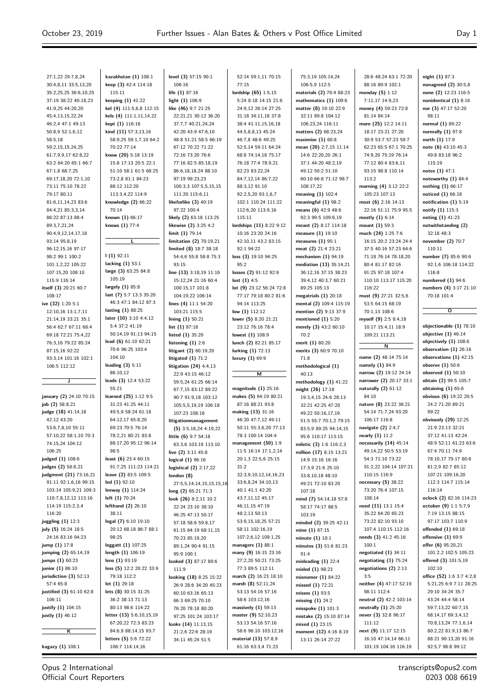| 27:1,22 29:7,8,24                           | kazakhstan (1) 108:1                           | level (3) 57:15 90:1                            | 52:14 59:1,11 70:15                         |
|---------------------------------------------|------------------------------------------------|-------------------------------------------------|---------------------------------------------|
| 30:4,8,11 33:5,13,20                        | keep (3) 42:4 114:18                           | 106:16                                          | 77:15                                       |
| 35:2,25,25 36:6,10,25                       | 115:11                                         | life (1) 87:16                                  | lordship (65) 1:5,15                        |
| 37:19 38:22 40:18,23                        | keeping $(1)$ 41:22                            | light (1) 106:9                                 | 5:24 8:18 14:15 21:6                        |
| 41:9,25 44:20,20                            | kel (4) 111:5,6,8 112:15                       | like $(46)$ 9:7 21:25                           | 24:9,12 26:14 27:25                         |
| 45:4,13,15,22,24                            | kels (4) 111:1,11,14,22                        | 22:21,21 30:12 36:20                            | 31:18 34:11,18 37:8                         |
| 46:2,4 47:1 49:13                           | kept (1) 116:16                                | 37:7,7 40:21,24,24                              | 38:4 41:11,15,16,18                         |
| 50:8,9 52:1,6,12<br>58:5,18                 | kind (11) 57:3,13,16<br>58:9,25 59:1,7,10 64:2 | 42:20 43:9 47:6,10<br>48:8 51:21 58:5 66:19     | 44:5,8,8,13 45:24<br>46:7,8 48:6 49:25      |
| 59:2,15,15,24,25                            | 70:22 77:14                                    | 67:12 70:22 71:22                               | 52:5,14 59:11 64:24                         |
| 61:7,9,9,17 62:8,22                         | know (20) 5:18 13:19                           | 72:16 73:20 76:6                                | 68:8 74:14,18 75:17                         |
| 63:2 64:20 65:1 66:7                        | 15:8 17:13 20:5 22:1                           | 77:16 82:5 85:18,19                             | 76:18 77:4 78:9,21                          |
| 67:1,8 68:7,25                              | 51:10 58:1 61:5 68:25                          | 86:6,18,18,24 88:10                             | 82:23 83:22,24                              |
| 69:17,18,20 72:1,10                         | 73:2,8 81:1 84:23                              | 97:19 99:23,23                                  | 84:7,12,14 86:7,22                          |
| 73:11 75:10 78:22                           | 88:12 112:20                                   | 100:3,3 107:5,5,15,15                           | 88:3,12 91:10                               |
| 79:17 80:11                                 | 113:3,4,22 114:9                               | 111:20 115:6,11                                 | 92:2,5,20 93:1,6,7                          |
| 81:6,11,14,23 83:6                          | knowledge $(2)$ 66:22                          | likeforlike $(3)$ 40:19                         | 102:1 110:24 111:22                         |
| 84:4,21 85:3,3,14                           | 70:14                                          | 97:22 100:4                                     | 112:6,20 113:9,16                           |
| 86:22 87:13 88:4                            | known $(1)$ 66:17                              | likely (2) 63:18 113:25                         | 115:11                                      |
| 89:3,7,21,24                                | knows (1) 77:4                                 | likewise (2) 3:25 4:2                           | lordships (11) 8:22 9:12                    |
| 90:4,9,12,14,17,18<br>93:14 95:8,19         | L                                              | limit (1) 79:14<br>limitation (2) 70:19,21      | 10:16 23:20 24:16<br>42:10,11 43:2 83:15    |
| 96:12,15,16 97:17                           |                                                | limited (8) 18:7 38:18                          | 92:1 94:22                                  |
| 98:2 99:1 100:2                             | $(1)$ 92:11                                    | 54:4,6 55:8 58:8 75:3                           | loss (3) 19:10 94:25                        |
| 101:1,2,22 105:22                           | lacking $(1)$ 53:1                             | 93:15                                           | 95:2                                        |
| 107:15,20 108:10                            | large (3) 63:25 84:8                           | line $(13)$ 3:18,19 11:16                       | losses (2) 91:12 92:9                       |
| 115:9 116:14                                | 105:19                                         | 15:12,24 21:16 60:4                             | lost(1) 4:5                                 |
| itself (3) 20:21 60:7                       | largely $(1)$ 85:8                             | 100:15,17 101:8                                 | lot (9) 23:12 56:24 72:8                    |
| 108:17                                      | last (7) 5:7 13:3 35:20                        | 104:19,22 106:14                                | 77:17 79:18 80:2 81:6                       |
| ive (32) 1:20 5:1                           | 46:3 47:1 84:12 87:3                           | lines $(4)$ 11:1 54:20                          | 94:14 113:25                                |
| 12:10,16 13:1,7,11                          | lasting (1) 88:25                              | 103:21 115:5                                    | low $(1) 112:12$                            |
| 21:14,19 33:21 35:1                         | later $(10)$ 3:10 4:4,12<br>5:4 37:2 41:19     | lining $(1)$ 50:21                              | lower (5) 8:20 21:21                        |
| 56:4 62:7 67:11 68:4<br>69:18 72:21 75:4,22 | 50:14,19 91:13 94:15                           | list $(1) 87:18$<br>listed $(1)$ 35:20          | 23:12 76:16 78:4                            |
| 76:3,16 79:22 85:24                         | lead (6) $61:1062:21$                          | listening $(1)$ 2:6                             | lowest $(1)$ 108:9<br>lunch (2) 82:21 85:17 |
| 87:15,16 92:22                              | 70:6 96:25 103:4                               | litigant (2) 60:19,20                           | lurking (1) 72:13                           |
| 93:3,14 101:16 102:1                        | 104:10                                         | litigated $(1)$ 71:2                            | luxury $(1)$ 69:9                           |
| 106:5 112:12                                | leading $(3)$ 5:11                             | litigation $(24)$ 4:4,13                        |                                             |
|                                             | 86:10,12                                       | 22:9 43:15 46:12                                | м                                           |
| J                                           | leads $(3)$ 12:4 53:22                         | 59:5,24 61:25 66:14                             |                                             |
|                                             | 55:21                                          | 67:7,15 83:12 89:22                             | magnitude $(1)$ 25:16                       |
| january (2) 24:10 70:15                     | learned (25) 1:12 9:5                          | 90:7 91:9,18 103:12                             | makes (5) 64:19 80:21                       |
| job (2) 58:8,21                             | 31:23 41:25 44:11<br>49:5,9 58:24 61:18        | 105:5,5,19,19 106:18                            | 87:16 88:21 93:8<br>making (13) 31:16       |
| judge (18) 41:14,18<br>42:12 43:20          | 64:12,17 65:8,20                               | 107:23 108:16                                   | 46:20 47:7,12 49:11                         |
| 53:6,7,8,10 55:11                           | 69:23 70:5 76:14                               | litigationmanagement<br>$(5)$ 3:5,16,24 4:19,22 | 50:11 55:3,6,20 77:13                       |
| 57:10,22 58:1,10 70:3                       | 78:2,21 80:21 83:8                             | little $(6)$ 9:7 54:18                          | 78:3 100:14 104:4                           |
| 74:15,24 104:12                             | 88:17,20 95:12 96:14                           | 63:3,6 103:19 113:10                            | management $(50)$ 1:9                       |
| 106:25                                      | 98:5                                           | live $(2)$ 3:11 45:8                            | 11:5 16:14 17:1,2,14                        |
| judged (1) 108:6                            | least (6) 23:4 60:15                           | logical (1) 96:16                               | 20:1,3 22:5,6 25:15                         |
| judges (2) 58:8,21                          | 91:7,25 111:23 114:21                          | logistical $(2)$ 2:17,22                        | 31:2                                        |
| judgment (21) 73:16,21                      | leave (2) 83:5 109:5                           | london (8)                                      | 32:3,9,10,12,14,16,23                       |
| 91:11 92:1,6,16 99:15                       | led $(1)$ 92:10                                | 27:5,5,14,14,15,15,15,16                        | 33:6,8,24 34:10,13                          |
| 103:14 105:9,21 109:3                       | leeway $(1)$ 114:24                            | long $(2)$ 65:21 71:3                           | 40:1 41:1 42:20                             |
| 110:7,8,12,12 113:16                        | left (1) 70:24                                 | look (26) 8:2,11 10:2                           | 43:7,11,12 45:17                            |
| 114:19 115:2,3,4<br>116:20                  | lefthand (2) 26:10<br>38:11                    | 22:24 23:10 38:10                               | 46:11,15 47:19<br>48:2,13 50:13             |
| juggling $(1)$ 12:3                         | legal (7) 6:10 19:10                           | 46:25 47:13 50:17                               | 53:9,15,18,25 57:21                         |
| july (5) 16:24 18:5                         | 20:12 68:18 86:7 88:1                          | 57:18 58:6 59:8,17<br>61:15 64:19 68:11,15      | 58:11 102:16,19                             |
| 24:16 83:16 94:23                           | 98:25                                          | 70:23 85:19,20                                  | 107:2,6,12 109:1,25                         |
| jump (1) 17:8                               | leggatt (1) 107:25                             | 89:1,24 90:4 91:15                              | managers $(1)$ 88:1                         |
| jumping (2) 65:14,19                        | length $(1)$ 106:19                            | 95:9 100:1                                      | many (9) 16:15 23:16                        |
| jumps (1) 60:23                             | lens (1) 93:19                                 | looked (3) 87:17 89:6                           | 27:2,20 50:21 73:25                         |
| junior (1) 86:10                            | less (5) 12:2 20:22 33:9                       | 111:9                                           | 77:3 89:5 112:11                            |
| jurisdiction $(3)$ 52:13                    | 79:18 112:2                                    | looking (18) 8:25 15:22                         | march (2) 16:23 18:10                       |
| 57:4 65:8                                   | let $(1)$ 29:18                                | 26:9 28:6 34:20 45:23                           | marsh $(8)$ 52:11,24                        |
| justified (3) 61:10 62:8                    | lets $(8)$ 30:15 31:25                         | 60:10 63:16 65:13                               | 53:13 54:16 57:16                           |
| 106:11                                      |                                                |                                                 |                                             |
| justify (1) 104:15                          | 36:2 38:13 71:13                               | 66:3 69:25 70:10                                | 58:6 103:12,16                              |
|                                             | 80:13 98:6 114:22                              | 76:20 78:18 80:20                               | massively $(1)$ 59:13                       |
| justly (1) 46:12                            | letter (13) 5:6,10,15,19                       | 97:25 101:24 103:17                             | master (9) 52:10,23                         |
| κ                                           | 67:20,22 72:3 83:23<br>84:6,9 88:14,15 93:7    | looks (14) 11:13,15<br>21:2,6 22:6 28:19        | 53:13 54:16 57:16<br>58:6 96:10 103:12,16   |

75:3,19 105:14,24 106:5,9 112:5 **materials (2)** 70:4 88:23 **mathematics (1)** 109:6 **matter (8)** 19:10 22:9 32:11 89:8 104:12 106:23,24 116:11 **matters (2)** 68:23,24 **maximise (1)** 60:8 **mean (20)** 2:7,15 11:14 14:6 22:20,20 26:1 37:1 44:20 48:2,19 49:12 50:2 51:10 60:10 66:8 71:12 98:7 108:17,22 **meaning (1)** 102:4 **meaningful (1)** 98:2 **means (6)** 42:9 48:6 92:3 99:5 109:6,19 **meant (2)** 8:17 114:18 **measure (1)** 19:10 **measures (1)** 95:1 **meat (2)** 21:4 23:21 **mechanism (1)** 94:19 **mediation (13)** 35:14,21 36:12,16 37:15 38:23 39:4,12 40:3,7 60:21 89:25 105:13 **megatrials (1)** 20:18 **mental (2)** 109:4 115:19 **mention (2)** 9:13 37:9 **mentioned (1)** 5:20 **merely (3)** 43:2 60:10 70:2 **merit (1)** 80:20 **merits (3)** 60:9 70:10 71:8 **methodological (1)** 40:13 **methodology (1)** 41:22 **might (26)** 17:18 19:3,4,15 24:6 28:13 32:21 42:25 47:20 49:22 50:16,17,19 51:5 55:7 70:1,2 79:15 83:5,9 89:25 94:14,15 95:6 110:17 113:15 **miletic (3)** 1:6 116:2,3 **million (17)** 8:15 13:21 14:9 15:16 16:16 17:3,9 21:6 25:10 33:8,10,18 48:10 49:21 72:10 83:20 107:18 **mind (7)** 54:14,18 57:8 58:17 74:17 88:5 103:19 **minded (2)** 39:25 42:11 **mine (1)** 87:15 **minute (1)** 10:1 **minutes (3)** 51:6 81:23 91:4 **misleading (1)** 22:4 **misled (1)** 98:23 **misnomer (1)** 84:22 **missed (1)** 72:21 **misses (1)** 93:5 **missing (1)** 24:2 **misspoke (1)** 101:3 **mistake (2)** 15:10 87:14 **mixed (1)** 23:15 **moment (12)** 4:16 8:19 13:11 26:14 27:22

28:6 48:24 63:1 72:20 88:16 89:9 102:1 **monday (5)** 1:12 7:11,17 14:9,23 **money (4)** 59:23 72:8 81:14 84:14 **more (25)** 12:2 14:11 18:17 23:21 27:20 30:9 53:7 57:23 59:7 62:23 65:5 67:1 70:25 74:9,20 75:19 76:14 77:12 80:4 83:6,11 93:15 98:8 110:14 113:2 **morning (4)** 3:12 22:2 105:23 107:13 **most (6)** 2:16 14:13 22:16 51:11 75:9 95:5 **mostly (1)** 6:14 **mount (1)** 59:3 **much (24)** 1:25 7:6 16:15 20:2 23:24 24:4 37:5 40:16 57:23 64:6 71:18 76:14 78:18,20 80:4 81:17 82:16 91:25 97:18 107:4 110:10 113:17 115:20 116:22 **must (9)** 27:21 32:5,6 53:5 64:15 68:19 70:1,13 108:6 **myself (9)** 2:5 8:4,18 10:17 15:4,11 18:9 109:21 113:21 **N name (2)** 48:14 75:14 **namely (1)** 84:9 **narrow (2)** 19:12 24:14 **narrower (2)** 20:17 33:1 **naturally (2)** 61:12 84:10 **nature (8)** 23:22 36:21 54:14 71:7,24 93:20 106:17 116:8 **navigate (2)** 2:4,7 **nearly (1)** 11:2 **necessarily (14)** 45:14 49:14,22 50:5 53:19 54:3 71:10 73:22 91:2,22 104:14 107:21 110:15 116:9 **necessary (5)** 38:22 73:20 76:4 107:15 108:14 **need (11)** 13:1 15:4 35:22 64:20 65:23 73:22 82:10 93:10 107:4 110:15 112:16 **needs (3)** 41:2 45:16 100:1 **negotiated (1)** 34:11 **negotiating (1)** 75:24 **negotiations (2)** 2:13 3:5 **neither (4)** 47:17 52:19 98:11 112:4 **neutral (2)** 42:2 103:14 **neutrally (1)** 25:20 **never (3)** 32:8 96:17 111:12 **next (9)** 11:17 12:15 16:10 47:14,14 66:11 101:19 104:16 116:19

**night (1)** 87:3 **nonagreed (2)** 30:5,8 **none (2)** 12:23 116:5 **nonidentical (1)** 8:16 **nor (3)** 47:17 52:20 98:11 **normal (1)** 89:22 **normally (1)** 97:8 **north (1)** 17:9 **note (6)** 43:10 45:3 49:8 83:18 96:2 115:19 **notes (1)** 47:1 **noteworthy (1)** 84:4 **nothing (1)** 66:17 **noticed (1)** 66:18 **notification (1)** 5:19 **notify (1)** 115:3 **noting (1)** 41:23 **notwithstanding (2)** 32:18 48:3 **november (2)** 70:7 110:11 **number (7)** 85:6 90:6 92:1,6 106:18 114:22 116:8 **numbered (1)** 94:6 **numbers (4)** 3:17 21:10 70:18 101:4

**O**

**objectionable (1)** 78:10 **objective (1)** 46:14 **objectively (1)** 108:6 **observation (1)** 26:16 **observations (1)** 42:15 **observe (1)** 50:6 **observed (1)** 50:10 **obtain (2)** 99:5 105:7 **obtaining (1)** 65:6 **obvious (6)** 19:22 20:5 24:2 71:20 89:21 99:22 **obviously (29)** 12:25 21:9 23:13 32:21 37:12 41:13 42:24 48:9 52:11 61:23 63:6 67:4 70:11 74:9 78:10,17 79:17 80:6 81:2,9 82:7 85:12 107:21 109:16,20 112:3 114:7 115:14 116:14 **oclock (2)** 82:16 114:23 **october (9)** 1:1 5:7,9 7:19 13:15 88:15 97:17 103:7 110:9 **offended (1)** 69:18 **offensive (1)** 69:9 **offer (6)** 95:20,21 101:2,2 102:5 105:23 **offered (3)** 101:5,19 102:10 **office (52)** 1:6 3:7 4:2,8 5:21,25 6:9 7:11 28:25 29:10 34:24 35:7 43:24 44:4 58:14 59:7,13,22 60:7,15 68:14,17 69:3,4,12 70:8,13,24 77:1,6,14 80:2,22 81:9,13 86:7 88:21 90:13,20 91:16 92:5,7 98:8 99:12

Opus 2 International Official Court Reporters

106:7 114:14,16

 $\overline{\phantom{a}}$ 

 $\mathbf{L}$ 

 $61:1663:3471:23$ 

**kagazy (1)** 108:1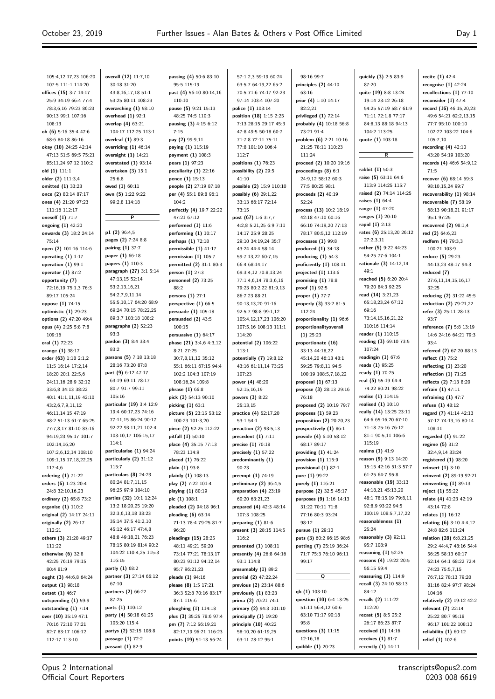105:4,12,17,23 106:20 107:5 111:1 114:20 **offices (15)** 3:7 14:17 25:9 34:19 66:4 77:4 78:3,6,16 79:23 86:23 90:13 99:1 107:16 108:13 **oh (6)** 5:16 35:4 47:6 68:6 84:18 86:16 **okay (10)** 24:25 42:14 47:13 51:5 69:5 75:21 85:11,24 97:12 110:2 **old (1)** 111:1 **older (2)** 111:3,4 **omitted (1)** 33:23 **once (2)** 80:14 87:17 **ones (4)** 21:20 97:23 111:16 112:17 **oneself (1)** 71:7 **ongoing (1)** 42:20 **onwards (3)** 18:2 24:14 75:14 **open (2)** 101:16 114:6 **operating (1)** 1:17 **operation (1)** 99:1 **operator (1)** 87:2 **opportunity (7)** 72:16,19 75:1,3 76:3 89:17 105:24 **oppose (1)** 74:15 **optimistic (1)** 29:23 **options (2)** 47:20 49:4 **opus (4)** 2:25 5:8 7:8 109:16 **oral (1)** 72:23 **orange (1)** 38:17 **order (63)** 1:18 2:1,2 11:5 16:14 17:2,14 18:20 20:1 22:5,6 24:11,16 28:9 32:12 33:6,8 34:13 38:22 40:1 41:1,11,19 42:10 43:2,6,7,9,11,12 46:11,14,15 47:19 48:2 51:13 61:7 65:25 77:7,8,17 81:10 83:16 94:19,23 95:17 101:7 102:14,16,20 107:2,6,12,14 108:10 109:1,15,17,18,22,25  $117.46$ **ordering (1)** 71:22 **orders (6)** 1:23 20:4 24:8 32:10,16,23 **ordinary (2)** 65:8 73:2 **organise (1)** 110:2 **original (2)** 14:17 24:11 **originally (2)** 26:17 112:21 **others (3)** 21:20 49:17 111:22 **otherwise (6)** 32:8 42:25 76:19 79:15 80:4 81:9 **ought (3)** 44:6,8 64:24 **output (1)** 98:18 **outset (1)** 46:7 **outspending (1)** 59:9 **outstanding (1)** 7:14 **over (10)** 35:19 47:1 70:16 72:10 77:21 82:7 83:17 106:12 112:17 113:10

**overall (12)** 11:7,10 30:18 31:20 43:8,16,17,18 51:1 53:25 80:11 108:23 **overarching (1)** 58:10 **overhead (1)** 92:1 **overlap (4)** 63:21 104:17 112:25 113:1 **overleaf (1)** 89:3 **overriding (1)** 46:14 **oversight (1)** 14:21 **overstated (1)** 93:14 **overtaken (3)** 15:1 25:6,8 **owed (1)** 60:11 **own (5)** 1:22 9:22 99:2,8 114:18 **P p1 (2)** 96:4,5 **pages (2)** 7:24 8:8 **pairing (1)** 37:7 **paper (1)** 66:18 **papers (1)** 110:3 **paragraph (27)** 3:1 5:14 47:13,15 52:14 53:2,13,16,21 54:2,7,9,11,14 55:5,10,17 64:20 68:9 69:24 70:15 78:22,25 89:3,7 103:18 108:2 **paragraphs (2)** 52:23 93:3 **pardon (3)** 8:4 33:4 83:2 **parsons (5)** 7:18 13:18 28:16 73:20 87:8 **part (9)** 6:12 47:17 63:19 69:11 78:17 80:7 91:7 99:11 105:16 **particular (19)** 3:4 12:9 19:4 60:17,23 74:16 77:11,15 86:24 90:17 92:22 93:11,21 102:4 103:10,17 106:15,17 114:1 **particularise (1)** 94:24 **particularly (2)** 31:12 115:7 **particulars (8)** 24:23 80:24 81:7,11,15 96:25 97:9 104:10 **parties (32)** 10:1 12:24 13:2 18:20,25 19:20 32:3,6,13,18 33:23 35:14 37:5 41:2,10 45:12 46:17 47:4,8 48:8 49:18,21 76:23 78:15 80:19 81:4 90:2 104:22 110:4,25 115:3 116:15 **partly (1)** 68:2 **partner (3)** 27:14 66:12 67:10 **partners (2)** 66:22 87:25 **parts (1)** 110:12 **party (4)** 50:18 61:25 105:20 115:4 **partys (2)** 52:15 108:8 **passage (1)** 72:2 **passant (1)** 82:9

**passing (4)** 50:6 83:10 95:5 115:19 **past (4)** 56:10 80:14,16 110:10 **pause (5)** 9:21 15:13 48:25 74:5 110:3 **pausing (3)** 4:15 6:12 7:15 **pay (2)** 99:9,11 **paying (1)** 115:19 **payment (1)** 108:3 **pears (1)** 97:23 **peculiarity (1)** 22:16 **pence (1)** 15:13 **people (2)** 27:19 87:18 **per (4)** 55:1 89:8 96:1  $104.2$ **perfectly (4)** 19:7 22:22 47:21 67:12 **performed (1)** 11:6 **performing (1)** 10:17 **perhaps (1)** 72:18 **permissible (1)** 41:17 **permission (1)** 105:7 **permitted (2)** 31:1 80:3 **person (1)** 27:3 **personnel (2)** 73:25 88:2 **persons (1)** 27:1 **perspective (1)** 66:5 **persuade (1)** 105:18 **persuaded (2)** 43:5 100:15 **persuasive (1)** 64:17 **phase (21)** 3:4,6 4:3,12 8:21 27:25 30:7,8,11,12 35:12 55:1 66:11 67:15 94:4 102:2 104:3 107:19 108:16,24 109:8 **phrase (1)** 66:8 **pick (2)** 54:13 90:10 **picking (1)** 63:1 **picture (5)** 23:15 53:12 100:23 101:3,20 **piece (2)** 52:25 112:22 **pitfall (1)** 50:10 **place (4)** 35:15 77:13 78:23 114:9 **placed (1)** 76:22 **plain (1)** 93:8 **plainly (1)** 108:13 **play (2)** 7:22 101:4 **playing (1)** 80:19 **plc (1)** 108:1 **pleaded (2)** 94:18 96:1 **pleading (6)** 63:14 71:13 78:4 79:25 81:7  $96.20$ **pleadings (15)** 28:25 48:11 49:21 59:20 73:14 77:21 78:13,17 80:23 91:12 94:12,14 95:7 96:21,23 **pleads (1)** 94:16 **please (8)** 1:5 17:21 36:3 52:8 70:16 83:17 87:1 115:6 **ploughing (1)** 114:18 **plus (3)** 35:25 78:6 97:4 **pm (7)** 7:12 56:19,21 82:17,19 96:21 116:23 **points (19)** 51:13 56:24

57:1,2,3 59:19 60:24 63:5,7 64:19,22 65:2 70:5 71:6 74:17 92:23 97:14 103:4 107:20 **police (1)** 103:14 **position (18)** 1:15 2:25 7:13 28:15 29:17 45:3 47:8 49:5 50:18 60:7 71:7,8 72:11 75:11 77:8 101:10 106:4 112:7 **positions (1)** 76:23 **possibility (2)** 29:5 41:10 **possible (2)** 15:9 110:10 **possibly (6)** 29:1,22 33:13 66:17 72:14 73:15 **post (67)** 1:6 3:7,7 4:2,8 5:21,25 6:9 7:11 14:17 25:9 28:25 29:10 34:19,24 35:7 43:24 44:4 58:14 59:7,13,22 60:7,15 66:4 68:14,17 69:3,4,12 70:8,13,24 77:1,4,6,14 78:3,6,16 79:23 80:2,22 81:9,13 86:7,23 88:21 90:13,13,20 91:16 92:5,7 98:8 99:1,12 105:4,12,17,23 106:20 107:5,16 108:13 111:1 114:20 **potential (2)** 106:22 113:1 **potentially (7)** 19:8,12 43:16 61:11,14 73:25 107:23 **power (4)** 48:20 52:15,16,19 **powers (3)** 8:22 25:13,15 **practice (4)** 52:17,20 53:1 54:1 **preaction (2)** 93:5,13 **precedent (1)** 7:11 **precise (1)** 70:18 **precisely (1)** 57:22 **predominantly (1)** 90:23 **preempt (1)** 74:19 **preliminary (2)** 96:4,5 **preparation (4)** 23:19 60:20 63:21,23 **prepared (4)** 42:3 48:14 107:3 108:25 **preparing (1)** 81:6 **present (3)** 28:15 114:5 116:2 **presented (1)** 108:11 **presently (4)** 26:8 64:16 93:1 114:8 **presumably (1)** 89:2 **pretrial (2)** 47:22,24 **previous (2)** 23:14 88:6 **previously (1)** 83:23 **prima (2)** 70:21 74:1 **primary (2)** 94:3 101:10 **principally (1)** 19:20 **principle (10)** 40:22 58:10,20 61:19,25 63:11 78:12 95:1

98:16 99:7 **principles (2)** 44:10 63:16 **prior (4)** 1:10 14:17  $82.2.21$ **privileged (1)** 72:14 **probably (4)** 10:18 56:8 73:21 91:4 **problem (6)** 2:21 10:16 21:25 78:11 110:23 111:24 **proceed (2)** 10:20 19:16 **proceedings (8)** 6:1 24:9,12 58:12 60:3 77:5 80:25 98:1 **proceeds (2)** 40:19 52:24 **process (13)** 10:2 18:19 42:18 47:10 60:16 66:10 74:19,20 77:13 78:17 80:5,12 112:19 **processes (1)** 99:8 **produced (1)** 34:18 **producing (1)** 54:3 **proficiently (1)** 108:11 **projected (1)** 113:6 **promising (1)** 78:8 **proof (1)** 92:5 **proper (1)** 77:7 **properly (3)** 33:2 81:5 112:24 **proportionality (1)** 96:6 **proportionalityoverall (1)** 25:23 **proportionate (16)** 33:13 44:18,22 45:14,20 46:13 48:1 59:25 79:8,11 94:5 100:19 108:5,7,18,22 **proposal (1)** 67:13 **propose (3)** 28:13 29:16 76:18 **proposed (2)** 10:19 79:7 **proposes (1)** 59:23 **proposition (2)** 20:20,23 **prospectively (1)** 86:1 **provide (4)** 6:10 58:12 68:17 89:17 **providing (1)** 41:24 **provision (1)** 115:9 **provisional (1)** 82:1 **pure (1)** 99:22 **purely (1)** 116:21 **purpose (2)** 32:5 45:17 **purposes (9)** 1:16 14:13 31:22 70:11 71:8 77:16 80:3 93:24  $98.12$ **pursue (1)** 29:10 **puts (3)** 60:2 96:15 98:6 **putting (7)** 25:19 36:24 71:7 75:3 76:10 96:11 99:17 **Q qb (1)** 103:10 **question (10)** 6:4 13:25 51:11 56:4,12 60:6 63:10 71:17 90:18 95:8 **questions (3)** 11:15 12:16,18

**quibble (1)** 20:23

**quickly (3)** 2:5 83:9 87:20 **quite (19)** 8:8 13:24 19:14 23:12 26:18 54:25 57:19 58:7 61:9 71:11 72:1,8 77:17 84:8,13 88:18 94:13 104:2 113:25 **quote (1)** 103:18 **R rabbit (1)** 50:3 **raise (5)** 63:11 64:6 113:9 114:25 115:7 **raised (2)** 74:14 114:25 **raises (1)** 64:4 **range (1)** 47:20 **ranges (1)** 20:10 **rapid (1)** 2:13 **rates (6)** 25:13,20 26:12 27:2,3,11 **rather (5)** 9:22 44:23 54:25 77:6 104:1 **rationale (3)** 14:12,14 49:1 **reached (5)** 6:20 20:4 79:20 84:3 92:25 **read (14)** 3:21,23 65:18,23,24 67:12 69:16 73:14,15,16,21,22 110:16 114:14 **reader (1)** 110:15 **reading (3)** 69:10 73:5 107:24 **readingin (1)** 67:6 **reads (1)** 95:25 **ready (1)** 70:25 **real (5)** 55:19 64:4 74:22 80:21 98:22 **realise (1)** 114:15 **realised (1)** 10:10 **really (14)** 13:25 23:11 64:6 65:16,20 67:10 71:18 75:16 76:12 81:1 90:5,11 106:6 115:19 **realms (1)** 41:9 **reason (9)** 9:13 14:20 15:15 42:16 51:3 57:7 61:25 64:7 95:8 **reasonable (19)** 33:13 44:18,21 45:13,20 48:1 78:15,19 79:8,11 92:8,9 93:22 94:5 100:19 108:5,7,17,22 **reasonableness (1)** 25:24 **reasonably (3)** 92:11 95:7 108:9 **reasoning (1)** 52:25 **reasons (4)** 19:22 20:5 56:15 59:4 **reassuring (1)** 114:9 **recall (3)** 24:10 58:13 84:12 **recalls (2)** 111:22 112:20 **recast (5)** 8:5 25:2 26:17 86:23 87:7 **received (1)** 14:16 **receives (1)** 81:7

**recently (1)** 14:11

**recite (1)** 42:4 **recognise (1)** 42:24 **recollections (1)** 77:10 **reconsider (1)** 47:4 **record (16)** 46:15,20,23 49:6 54:21 62:2,13,15 77:7 95:10 100:10 102:22 103:22 104:6 105:7,10 **recording (4)** 42:10 43:20 54:19 103:20 **records (4)** 46:6 54:9,12 71:5 **recover (6)** 68:14 69:3 98:10,15,24 99:7 **recoverability (1)** 98:14 **recoverable (7)** 58:19 68:13 90:18,21 91:17 95:1 97:25 **recovered (2)** 98:1,4 **red (2)** 64:6,23 **redfern (4)** 79:3,3 100:21 103:9 **reduce (5)** 29:23 44:13,23 48:17 94:3 **reduced (7)** 27:6,11,14,15,16,17 32:25 **reducing (2)** 31:22 45:5 **reduction (2)** 79:21,22 **refer (3)** 25:11 28:13 93:7 **reference (7)** 5:8 13:19 14:6 24:16 64:21 79:3 93:4 **referred (2)** 67:20 88:13 **reflect (1)** 75:2 **reflecting (1)** 23:20 **reflection (1)** 71:25 **reflects (2)** 7:13 8:20 **refrain (1)** 47:11 **refraining (1)** 47:7 **refuse (1)** 48:12 **regard (7)** 41:14 42:13 57:12 74:13,16 80:14 108:11 **regarded (1)** 91:22 **regime (5)** 31:2 32:4,9,14 33:24 **registered (1)** 98:20 **reinsert (1)** 3:10 **reinvent (2)** 89:19 92:21 **reinventing (1)** 89:13 **reject (1)** 55:22 **relate (4)** 41:23 42:19 43:14 72:8 **relates (1)** 16:12 **relating (6)** 3:10 4:4,12 24:8 82:6 111:24 **relation (28)** 6:8,21,25 29:2 44:4,7 48:16 54:4 56:25 58:13 60:17 62:14 64:1 68:22 72:4 74:23 75:5,7,15 76:7,12 78:13 79:20 81:16 82:4 97:7 98:24 104:16 **relatively (2)** 19:12 42:2 **relevant (7)** 22:14 25:22 80:7 95:18 96:17 101:22 108:12 **reliability (1)** 60:12 **relief (1)** 102:6

Opus 2 International Official Court Reporters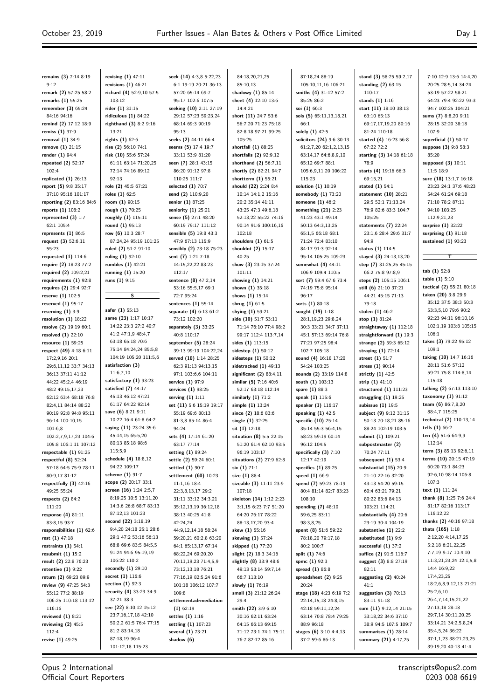**remains (3)** 7:14 8:19 9:12 **remark (2)** 57:25 58:2 **remarks (1)** 55:25 **remember (3)** 65:24 84:16 94:16 **remind (2)** 17:12 18:9 **remiss (1)** 37:9 **removal (1)** 34:9 **remove (1)** 21:15 **render (1)** 94:4 **repeated (2)** 52:17 102:4 **replicated (1)** 26:13 **report (5)** 9:8 35:17 37:10 95:16 101:17 **reporting (2)** 83:16 84:6 **reports (1)** 108:2 **represented (3)** 1:7 62:1 105:4 **represents (1)** 86:5 **request (3)** 52:6,11 55:23 **requested (1)** 114:6 **require (2)** 18:23 77:2 **required (2)** 109:2,21 **requirements (1)** 92:8 **requires (2)** 29:4 92:7 **reserve (1)** 102:5 **reserved (1)** 95:17 **reserving (1)** 3:9 **resolution (1)** 18:22 **resolve (2)** 19:19 60:1 **resolved (1)** 22:10 **resource (1)** 59:25 **respect (49)** 4:18 6:11 17:2,9,16 20:1 29:6,11,12 33:7 34:13 36:13 37:11 41:12 44:22 45:2,4 46:19 48:2 49:15,17,23 62:12 63:4 68:18 76:8 82:4,11 84:14 88:22 90:19 92:8 94:8 95:11 96:14 100:10,15 101:6,8 102:2,7,9,17,23 104:6 105:8 106:1,11 107:12 **respectable (1)** 91:25 **respectful (8)** 52:24 57:18 64:5 75:9 78:11 80:9,17 81:12 **respectfully (3)** 42:16 49:25 55:24 **respects (2)** 84:2 111:20 **response (4)** 81:11 83:8,15 93:7 **responsibilities (1)** 62:6 **rest (1)** 47:18 **restraints (1)** 54:1 **resubmit (1)** 15:2 **result (2)** 22:8 76:23 **retentive (1)** 9:22 **return (2)** 69:23 89:9 **review (9)** 47:25 54:3 55:12 77:2 88:19 106:25 110:18 113:12 116:16 **reviewed (1)** 8:21 **reviewing (2)** 45:5 112:4 **revise (1)** 49:25 **revising (1)** 47:11 **revisions (1)** 46:21 **richard (4)** 52:9,10 57:5 103:12 **rider (1)** 31:15 **ridiculous (1)** 84:22 **righthand (3)** 8:2 9:16 13:21 **rights (1)** 62:6 **rise (2)** 56:10 74:1 **risk (10)** 55:6 57:24 61:11 63:14 71:20,25 72:14 74:16 89:12 92:13 **role (2)** 45:5 67:21 **roles (1)** 62:5 **room (1)** 90:15 **rough (1)** 70:25 **roughly (1)** 115:11 **round (1)** 95:13 **row (6)** 10:3 28:7 87:24,24 95:19 101:25 **ruled (2)** 51:2 91:10 **ruling (1)** 92:10 **rumbles (1)** 42:21 **running (1)** 15:20 **runs (1)** 9:15 **S safer (1)** 55:13 **same (23)** 1:17 10:17 14:22 23:3 27:2 40:7 41:2 47:1,9 48:4,7 63:18 65:18 70:6 75:14 84:24,24 85:5,8 104:19 105:20 111:5,6 **satisfaction (3)** 11:6,7,10 **satisfactory (1)** 93:23 **satisfied (7)** 44:17 45:13 46:12 47:21 61:17 64:22 92:14 **save (6)** 8:21 9:11 10:22 16:4 61:8 64:2 **saying (11)** 23:24 35:6 45:14,15 65:5,20 80:13 85:18 98:6 115:5,9 **schedule (4)** 18:8,12 94:22 109:17 **scheme (1)** 91:7 **scope (2)** 20:17 33:1 **screen (16)** 1:24 2:5,7 8:10,25 10:5 13:11,20 14:3,6 26:8 68:7 83:13 87:12,13 101:23 **second (22)** 3:18,19 9:4,20 24:18 25:1 28:6 29:1 47:2 53:16 56:13 68:8 69:6 83:5 84:5,5 91:24 94:6 95:19,19 106:22 110:2 **secondly (1)** 29:10 **secret (1)** 116:6 **section (1)** 92:3 **security (4)** 33:23 34:9 37:21 38:3 **see (22)** 8:10,12 15:12 23:7,16,17,18 42:10 50:2,2 61:5 76:4 77:15 81:2 83:14,18 87:18,19 96:4 101:12,18 115:23 **seek (14)** 4:3,8 5:22,23 6:1 19:19 20:21 36:13 57:20 65:14 69:7 95:17 102:6 107:5 **seeking (10)** 2:11 27:19 29:12 57:23 59:23,24 68:14 69:3 90:19 95:13 **seeks (2)** 44:11 66:4 **seems (5)** 17:4 19:7 33:11 53:9 81:20 **seen (7)** 28:1 43:15 86:20 91:12 97:8 110:25 111:7 **selected (1)** 70:7 **send (2)** 110:9,20 **senior (1)** 87:25 **seniority (1)** 25:21 **sense (5)** 27:1 48:20 60:19 79:17 111:12 **sensible (5)** 19:8 43:3 47:9 67:13 115:9 **sensibly (2)** 73:18 75:23 **sent (7)** 1:21 7:18 14:15,22,22 83:23 112:17 **sentence (8)** 47:2,14 53:16 55:5,17 69:1 72:7 95:24 **sentences (1)** 55:14 **separate (4)** 6:13 61:2 73:12 102:20 **separately (3)** 33:25 40:8 110:17 **september (5)** 28:24 39:13 99:19 104:22,24 **served (10)** 1:14 28:25 62:3 91:13 94:13,15 97:1 103:6,6 104:11 **service (1)** 97:9 **services (1)** 98:25 **serving (1)** 1:11 **set (11)** 5:6 15:19 19:17 55:19 69:6 80:13 81:3,8 85:14 86:4 94:24 **sets (4)** 17:14 61:20 63:17 77:14 **setting (1)** 89:24 **settle (2)** 59:24 60:1 **settled (1)** 90:7 **settlement (60)** 10:23 11:1,16 18:4 22:3,8,13,17 29:2 31:11 33:12 34:3,21 35:12,13,19 36:12,18 38:13 40:25 41:8  $42.24,24$ 44:9,12,14,18 58:24 59:20,21 60:2,8 63:20 64:1 65:13,17 67:14 68:22,24 69:20,20 70:11,19,23 71:4,5,9 73:12,13,18 76:21 77:16,19 82:5,24 91:6 101:18 106:12 107:7 109:8 **settlementadrmediation (1)** 62:19 **settles (1)** 1:16 **settling (1)** 107:23 **several (1)** 73:21 **shadow (6)**

84:18,20,21,25 85:10,13 **shadowy (1)** 85:14 **sheet (4)** 12:10 13:6 14:4,21 **short (11)** 24:7 53:6 56:7,20 71:23 75:18 82:8,18 97:21 99:25 105:25 **shortfall (1)** 88:25 **shortfalls (2)** 92:9,12 **shorthand (2)** 56:7,11 **shortly (2)** 82:21 94:7 **shortterm (1)** 55:21 **should (22)** 2:24 8:4 10:14 14:1,2 15:16 20:2 35:14 41:11 43:25 47:3 49:6,18 52:13,22 55:22 74:16 90:14 91:6 100:16,16 102:18 **shoulders (1)** 61:5 **shouldnt (2)** 15:17 40:25 **show (3)** 23:15 37:24 101:11 **showing (1)** 14:21 **shown (1)** 35:18 **shows (1)** 15:14 **shrug (1)** 61:5 **shying (1)** 59:21 **side (10)** 51:7 53:11 71:14 76:10 77:4 98:2 99:17 112:4 113:7,14 **sides (1)** 113:15 **sidestep (1)** 50:12 **sidesteps (1)** 50:12 **sidetracked (1)** 49:13 **significant (2)** 88:4,11 **similar (5)** 7:16 40:6 52:17 63:18 112:14 **similarly (1)** 71:2 **simple (1)** 13:24 **since (2)** 18:6 83:6 **single (1)** 32:25 **sit (1)** 12:18 **situation (8)** 5:5 22:15 51:20 61:4 62:10 93:5 96:19 103:17 **situations (2)** 27:9 62:8 **six (1)** 71:1 **size (1)** 88:4 **sizeable (3)** 11:11 23:9 107:18 **skeleton (14)** 1:12 2:23 3:1,15 6:23 7:7 51:20 64:20 76:17 78:22 88:13,17,20 93:4 **skew (1)** 55:16 **skewing (1)** 57:24 **skipped (1)** 77:20 **slight (2)** 18:3 34:16 **slightly (8)** 33:9 48:6 49:13 53:14 59:7,14 66:7 113:10 **slowly (1)** 76:19 **small (3)** 21:12 26:24  $20.4$ **smith (22)** 3:9 6:10 30:16 62:11 63:24 64:15 66:13 69:15 71:12 73:1 74:1 75:11 76:7 82:12 85:16

87:18,24 88:19 105:10,11,16 106:21 **smiths (4)** 31:12 57:2 85:25 86:2 **soi (1)** 66:3 **sois (5)** 65:11,13,18,21 66:1 **solely (1)** 42:5 **solicitors (24)** 9:6 30:13 61:2,7,20 62:1,2,13,15 63:14,17 64:6,8,9,10 65:12 69:7 88:1 105:6,9,11,20 106:22 115:23 **solution (1)** 10:19 **somebody (1)** 73:20 **someone (1)** 46:2 **something (21)** 2:23 41:23 43:1 49:14 50:13 64:3,13,25 65:1,5 66:18 68:1 71:24 72:4 83:10 84:17 91:3 92:14 95:14 105:25 109:23 **somewhat (4)** 44:11 106:9 109:4 110:5 **sort (7)** 59:4 67:6 73:4 74:19 75:8 95:14 96:17 **sorts (1)** 80:18 **sought (19)** 1:18 28:1,19,23 29:8,24 30:3 33:21 34:7 37:11 45:1 57:13 69:14 76:8 77:21 97:25 98:4 102:7 105:18 **sound (4)** 16:18 17:20 54:24 103:25 **sounds (2)** 33:19 114:8 **south (1)** 103:13 **spare (1)** 88:3 **speak (1)** 115:6 **speaker (1)** 116:17 **speaking (1)** 42:5 **specific (10)** 25:14 35:14 55:3 56:4,15 58:23 59:19 60:14 96:12 104:5 **specifically (3)** 7:10 12:17 42:19 **specifics (1)** 89:25 **speed (1)** 66:9 **spend (7)** 59:23 78:19 80:4 81:14 82:7 83:23 108:10 **spending (7)** 48:10 59:6,25 83:11 98:3,8,25 **spent (8)** 51:6 59:22 78:18,20 79:17,18 80:2 100:7 **split (1)** 74:6 **spmc (1)** 92:3 **spread (1)** 86:8 **spreadsheet (2)** 9:25 20:24 **stage (18)** 4:23 6:19 7:2 22:14,15,18 24:8,15 42:18 59:11,12,24 63:14 70:8 78:4 79:25 88:9 96:18 **stages (6)** 3:10 4:4,13 37:2 59:6 86:13

**stand (3)** 58:25 59:2,17 **standing (2)** 63:15 110:17 **stands (1)** 1:16 **start (11)** 18:10 38:13 63:10 65:13 69:17,17,19,20 80:16 81:24 110:18 **started (4)** 16:23 56:8 67:22 72:2 **starting (3)** 14:18 61:18 78:9 **starts (4)** 19:16 66:3 69:15,21 **stated (1)** 54:1 **statement (10)** 28:21 29:5 52:1 71:13,24 76:9 82:6 83:3 104:7 105:25 **statements (7)** 22:24 23:1,6 28:4 29:6 31:7 94:9 **status (1)** 114:5 **stayed (3)** 24:13,13,20 **step (7)** 31:25,25 45:15 66:2 75:8 97:8,9 **steps (2)** 105:15 106:1 **still (6)** 21:10 37:21 44:21 45:15 71:13 79:18 **stolen (1)** 46:2 **stop (1)** 81:24 **straightaway (1)** 112:18 **straightforward (1)** 19:3 **strange (2)** 59:3 65:12 **straying (1)** 72:14 **street (1)** 51:7 **stress (1)** 90:14 **strictly (1)** 42:5 **strip (1)** 41:10 **structured (1)** 111:23 **struggling (1)** 19:25 **subissue (1)** 19:5 **subject (9)** 9:12 31:15 50:13 70:18,21 85:16 88:24 102:19 103:5 **submit (1)** 109:21 **subpostmaster (2)** 70:24 77:11 **subsequent (1)** 53:4 **substantial (15)** 20:9 21:10 22:16 32:20 43:13 54:20 59:15 60:4 63:21 79:21 80:22 83:6 84:13 103:21 114:21 **substantially (4)** 20:6 23:19 30:4 104:19 **substantive (1)** 22:2 **substituted (1)** 9:9 **successful (1)** 37:2 **suffice (2)** 91:5 116:7 **suggest (3)** 8:8 27:19 82:11 **suggesting (2)** 40:24 41:1 **suggestion (3)** 70:13 83:11 91:18 **sum (11)** 9:12,14 21:15 33:18,22 34:6 37:10 38:9 94:5 107:5 109:7 **summarises (1)** 28:14 **summary (21)** 4:17,25

7:10 12:9 13:6 14:4,20 20:25 28:5,14 34:24 53:19 57:22 58:21 64:23 79:4 92:22 93:3 94:7 102:25 104:21 **sums (7)** 8:8,20 9:11 28:15 32:20 38:18 107:9 **superficial (1)** 50:17 **suppose (3)** 9:8 58:3 85:20 **supposed (3)** 10:11 11:5 18:9 **sure (18)** 13:1,7 16:18 23:23 24:1 37:6 48:23 54:24 61:24 69:18 71:10 78:2 87:11 94:10 103:25 112:9,21,23 **surprise (1)** 32:22 **surprising (1)** 91:18 **sustained (1)** 93:23 **T tab (1)** 52:8 **table (1)** 5:10 **tactical (2)** 55:21 80:18 **taken (20)** 3:8 29:9 35:12 37:5 38:3 50:3 53:3,5,10 79:6 90:2 92:23 94:11 96:10,16 102:1,19 103:8 105:15 106:1 **takes (3)** 79:22 95:12 109:1 **taking (10)** 14:7 16:16 28:11 51:6 57:12 59:21 75:8 114:8,14 115:18 **talking (2)** 67:13 113:10 **taxonomy (1)** 91:12 **team (6)** 86:7,8,20 88:4,7 115:25 **technical (2)** 110:13,14 **tells (1)** 66:2 **ten (4)** 51:6 64:9,9 112:14 **term (3)** 85:13 92:6,11 **terms (10)** 20:15 47:19 60:20 73:1 84:23 92:6,10 98:14 106:8 107:3 **text (1)** 111:24 **thank (8)** 1:25 7:6 24:4 81:17 82:16 113:17 116:12,22 **thanks (2)** 40:16 97:18 **thats (165)** 1:18 2:12,20 4:14,17,25 5:2,18 6:21,22,25 7:7,19 9:17 10:4,10 11:3,21,23,24 12:1,5,8 14:4 16:9,22 17:4,23,25 18:2,6,8,9,12,13 21:21 25:2,6,10 26:4,7,14,15,21,22 27:13,18 28:18 29:7,14 30:11,20,25 33:14,21 34:2,5,8,24 35:4,5,24 36:22 37:1,1,23 38:21,23,25 39:19,20 40:13 41:4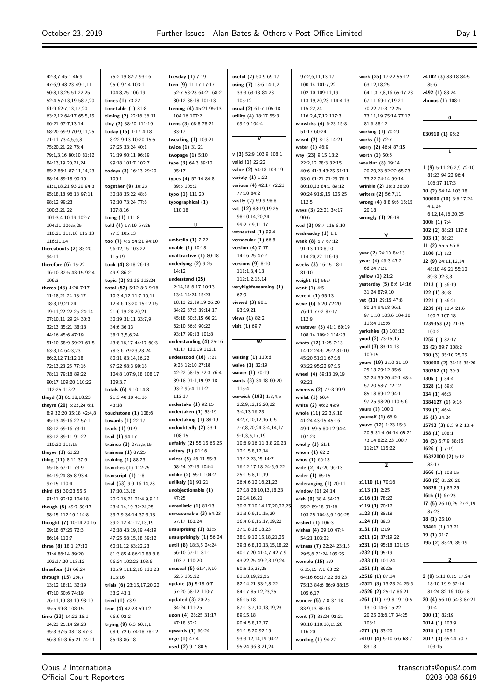$\equiv$ 

| 42:3,7 45:1 46:9        | 75:2,19 82:7 93:16        | tuesday $(1)$ 7:19         | useful (2) 50:9 69:17             | 97:2,6,11,13,17          | work (25) 17:22 55:12   | z4102 (3) 83:18 84:5    |
|-------------------------|---------------------------|----------------------------|-----------------------------------|--------------------------|-------------------------|-------------------------|
| 47:6,9 48:23 49:1,11    | 95:6 97:4 103:1           | turn (9) 11:17 17:17       | using (7) 13:6 14:1,2             | 100:14 101:7,22          | 63:12,18,25             | 85:6                    |
| 50:8,13,25 51:22,25     |                           |                            |                                   |                          |                         |                         |
|                         | 104:8,25 106:19           | 52:7 58:23 64:21 68:2      | 33:3 63:13 84:23                  | 102:10 109:11,19         | 64:1,3,7,8,16 65:17,23  | z492 (1) 83:24          |
| 52:4 57:13,19 58:7,20   | times $(1)$ 73:22         | 80:12 88:18 101:13         | 105:12                            | 113:19,20,23 114:4,13    | 67:11 69:17,19,21       | zhunus (1) 108:1        |
| 61:9 62:7,13,17,20      | timetable $(1)$ 81:8      | turning (4) 45:21 95:13    | usual (2) 61:7 105:18             | 115:22,24                | 70:22 71:3 72:25        |                         |
| 63:2,12 64:17 65:5,15   | timing (2) 22:16 36:11    | 104:16 107:2               | utility (4) 18:17 55:3            | 116:2,4,7,12 117:3       | 73:11,19 75:14 77:17    | 0                       |
| 66:21 67:7,13,14        | tiny (2) 38:20 111:19     | turns (3) 68:8 78:21       | 69:19 104:4                       | warwicks (4) 6:23 15:8   | 81:6 88:12              |                         |
|                         |                           |                            |                                   |                          |                         |                         |
| 68:20 69:9 70:9,11,25   | today (15) 1:17 4:18      | 83:17                      |                                   | 51:17 60:24              | working (1) 70:20       | 030919 (1) 96:2         |
| 71:11 73:4,5,6,8        | 8:22 9:13 10:20 15:5      | tweaking (1) 109:21        | $\overline{\mathsf{v}}$           | wasnt (2) 8:13 14:21     | works (1) 72:7          |                         |
| 75:20,21,22 76:4        | 27:25 33:24 40:1          | twice (1) 31:21            |                                   | water (1) 46:9           | worry (2) 46:4 87:15    |                         |
| 79:1,3,16 80:10 81:12   | 71:19 90:11 96:19         | twopage $(1)$ 5:10         | $\mathbf{v}$ (3) 52:9 103:9 108:1 | way (23) 9:15 13:2       | worth $(1)$ 50:6        | 1                       |
|                         | 99:18 101:7 102:7         |                            | valid (1) 22:22                   |                          |                         |                         |
| 84:13,19,20,21,24       |                           | type (3) 64:3 89:10        |                                   | 22:2,12 28:3 32:15       | wouldnt (8) 19:14       | 1 (9) 5:11 26:2,9 72:10 |
| 85:2 86:1 87:11,14,23   | todays (3) 16:13 29:20    | 95:17                      | value (2) 54:18 103:19            | 40:6 41:3 43:25 51:11    | 20:20,23 62:22 65:23    | 81:23 94:22 96:4        |
| 88:14 89:18 90:16       | 109:1                     | types (4) 57:14 84:8       | variety $(1)$ 1:22                | 53:6 61:21 71:23 76:1    | 73:22 74:14 99:14       |                         |
| 91:1,18,21 93:20 94:3   | together (9) 10:23        | 89:5 105:2                 | various (4) 42:17 72:21           | 80:10,13 84:1 89:12      | wrinkle (2) 18:3 38:20  | 106:17 117:3            |
|                         |                           |                            | 77:10 84:2                        | 90:24 91:9,15 105:25     |                         | 10 (2) 54:14 103:18     |
| 95:18,18 96:18 97:11    | 30:18 35:22 48:8          | typo (1) 111:20            |                                   |                          | writers (2) 56:7,11     | 100000 (10) 3:6,17,24   |
| 98:12 99:23             | 72:10 73:24 77:8          | typographical (1)          | vastly (2) 59:9 98:8              | 112:5                    | wrong (4) 8:8 9:6 15:15 | 4:1,24                  |
| 100:3,21,22             | 107:8,16                  | 110:18                     | vat (12) 83:19,19,25              | ways (3) 22:21 34:17     | 20:18                   |                         |
| 101:3,4,10,19 102:7     | toing $(1)$ 111:8         |                            | 98:10,14,20,24                    | 90:6                     | wrongly $(1)$ 26:18     | 6:12,14,16,20,25        |
|                         |                           | U                          | 99:2,7,9,11,17                    |                          |                         | 100 $k(1)$ 7:4          |
| 104:11 106:5,25         | told (4) 17:19 67:25      |                            |                                   | wed (3) 98:7 115:6,10    |                         | 102 (2) 88:21 117:6     |
| 110:21 111:10 115:13    | 77:3 105:13               |                            | vatneutral (1) 99:4               | wednesday $(1)$ 1:1      | Y                       |                         |
| 116:11.14               | too (7) 4:5 54:21 94:10   | umbrella $(1)$ 2:22        | vernacular $(1)$ 66:8             | week (8) 5:7 67:12       |                         | 103 (1) 88:23           |
| thereabouts (2) 83:20   | 96:12,15 103:22           | unable $(1)$ 10:18         | version $(4)$ 7:17                | 91:13 113:8,10           |                         | 11 (2) 55:5 56:8        |
|                         |                           | unattractive $(1)$ 80:18   | 14:16,25 47:2                     |                          | year (2) 24:10 84:13    | 1100 $(1)$ 1:2          |
| 94:11                   | 115:19                    |                            |                                   | 114:20,22 116:19         | years (4) 46:3 47:2     | 12 (9) 24:11,12,14      |
| therefore $(6)$ 15:22   | took (4) 8:18 26:13       | underlying $(2)$ 9:25      | versions $(9)$ 8:10               | weeks (3) 16:15 18:1     | 66:24 71:1              | 48:10 49:21 55:10       |
| 16:10 32:5 43:15 92:4   | 49:9 86:21                | 14:12                      | 111:1,3,4,13                      | 81:10                    |                         |                         |
| 106:3                   | topic (2) 81:16 113:24    | understand (25)            | 112:1,2,13,14                     | weight $(1)$ 55:7        | yellow (1) 21:2         | 89:3 92:3,3             |
|                         |                           | 2:14,18 6:17 10:13         | veryhighfeeearning (1)            |                          | yesterday (5) 8:6 14:16 | 1213 (1) 56:19          |
| theres (48) 4:20 7:17   | total (52) 5:12 8:3 9:16  |                            |                                   | went $(1)$ 4:5           | 31:24 87:9,10           | 122 (1) 36:8            |
| 11:18,21,24 13:17       | 10:3,4,12 11:7,10,11      | 13:4 14:24 15:23           | 67:9                              | werent (1) 65:13         | yet (11) 29:15 47:8     | 1221 (1) 56:21          |
| 18:3,19,21,24           | 12:4,6 13:20 15:12,15     | 18:13 22:19,19 26:20       | viewed (3) 90:1                   | weve (6) 6:20 72:20      |                         |                         |
| 19:11,22 22:25 24:14    | 21:6,19 28:20,21          | 34:22 37:5 39:14,17        | 93:19,21                          | 76:11 77:2 87:17         | 80:24 94:18 96:1        | 1239 (4) 12:4 21:6      |
| 27:10,11 29:24 30:3     | 30:19 31:11 33:7,9        | 45:18 50:3,15 60:21        | views (1) 82:2                    | 112:9                    | 97:1,10 103:6 104:10    | 100:7 107:18            |
|                         |                           |                            |                                   |                          | 113:4 115:6             | 1239353 (2) 21:15       |
| 32:13 35:21 38:18       | 34:6 36:13                | 62:10 66:8 90:22           | visit (1) 69:7                    | whatever (5) 41:1 60:19  | yorkshire (1) 103:13    | 100:2                   |
| 44:16 45:6 47:19        | 38:1,3,5,6,24             | 93:17 99:13 101:8          |                                   | 108:14 109:2 114:23      |                         |                         |
| 51:10 58:9 59:21 61:5   | 43:8,16,17 44:17 60:3     | understanding (4) 25:16    | $\overline{\mathsf{w}}$           | whats (12) 1:25 7:13     | youd (2) 73:15,16       | 1255 (1) 82:17          |
| 63:3,14 64:3,23         | 78:3,6 79:23,23,24        | 41:17 111:19 112:1         |                                   | 14:12 24:6 25:2 31:10    | youll (3) 83:14,18      | 13 (2) 89:7 108:2       |
|                         |                           | understood $(16)$ 7:21     | waiting (1) 110:6                 |                          | 109:15                  | 130 (3) 35:10,25,25     |
| 66:2,12 71:12,18        | 80:11 83:14,16,22         |                            |                                   | 45:20 51:11 67:16        | youre (19) 2:10 21:19   | 130000 (2) 34:15 35:20  |
| 72:13,23,25 77:16       | 97:22 98:3 99:18          | 9:23 12:10 27:18           | waive (1) 32:19                   | 93:22 95:22 97:15        | 25:13 29:12 35:6        |                         |
| 78:11 79:18 89:22       | 104:8 107:9,18 108:17     | 42:22 68:15 72:3 76:4      | waiver (1) 70:19                  | wheel (4) 89:13,19,19    |                         | 130262 (1) 39:9         |
| 90:17 109:20 110:22     | 109:3.7                   | 89:18 91:1,19 92:18        | wants (3) 34:18 60:20             | 92:21                    | 37:24 39:20 42:1 48:4   | 130k (1) 34:4           |
|                         |                           | 93:2 96:4 111:21           | 115:4                             |                          | 57:20 58:7 72:12        | 1328 (1) 89:8           |
| 112:25 113:2            | totals $(6)$ 9:10 14:8    |                            |                                   | whereas (2) 77:3 99:9    | 85:18 89:12 94:1        | 134 $(1)$ 46:3          |
| theyd (3) 65:18,18,23   | 21:3 40:10 41:16          | 113:17                     | warwick (193) 1:3,4,5             | whilst $(1)$ 60:4        | 97:25 98:20 110:5,6     | 1384127 (1) 9:16        |
| theyre (20) 5:23,24 6:1 | 43:18                     | undertake $(1)$ 92:15      | 2:2,9,12,16,20,22                 | white (2) 46:2 49:9      |                         |                         |
| 8:9 32:20 35:18 42:4,8  | touchstone $(1)$ 108:6    | undertaken $(1)$ 53:19     | 3:4,13,16,23                      | whole (11) 22:3,9,10     | yours (1) 100:1         | 139 (1) 46:4            |
|                         |                           | undertaking $(1)$ 88:19    | 4:2,7,10,12,16 6:5                |                          | yourself (1) 66:9       | 15 (1) 24:24            |
| 45:13 49:16,22 57:1     | towards $(1)$ 22:17       |                            |                                   | 41:24 43:15 45:16        | youve (12) 1:23 15:8    | 15793 (3) 8:3 9:2 10:4  |
| 68:12 69:16 73:11       | track (1) 91:9            | undoubtedly (2) 33:1       | 7:7,8,20,24 8:4,14,17             | 49:1 59:5 80:12 94:4     | 20:5 31:4 64:14 65:21   |                         |
| 83:12 89:11 91:22       | trail (1) 94:17           | 108:15                     | 9:1,3,5,17,19                     | 107:23                   |                         | 158 (1) 108:1           |
| 110:20 111:15           | trainee (3) 27:5,5,15     | unfairly (2) 55:15 65:25   | 10:6,9,16 11:3,8,20,23            | wholly $(1)$ 61:1        | 73:14 82:2,23 100:7     | 16 (3) 5:7,9 88:15      |
|                         |                           | unitary (1) 91:16          | 12:1,5,8,12,14                    |                          | 112:17 115:22           | 1626 (1) 7:19           |
| theyve $(1)$ 61:20      | trainees $(1)$ 87:25      |                            |                                   | whom $(1)$ 62:2          |                         | 16322000 (2) 5:12       |
| thing (11) 8:11 37:6    | training $(1)$ 88:23      | unless (5) 46:11 55:3      | 13:12,23,25 14:7                  | whos $(1)$ 66:13         |                         | 83:17                   |
| 65:18 67:11 73:9        | tranches $(1)$ 112:25     | 68:24 97:13 104:4          | 16:12 17:18 24:5,6,22             | wide (2) 47:20 96:13     | z                       |                         |
| 84:19,24 85:8 93:4      | transcript $(1)$ 1:8      | unlike (2) 55:1 104:2      | 25:1,5,8,11,19                    | wider (1) 85:15          |                         | 1666 (1) 103:15         |
| 97:15 110:4             | trial (53) 9:9 16:14,23   | unlikely $(1)$ 91:21       | 26:4,6,12,16,21,23                | wideranging $(1)$ 20:11  | z1110 (1) 70:16         | 168 (2) 85:20,20        |
|                         |                           |                            |                                   |                          | z113 (1) 2:25           | 16828 (1) 83:25         |
| third (5) 30:23 55:5    | 17:10,13,16               | unobjectionable (1)        | 27:18 28:10,13,18,23              | window $(1)$ 24:14       |                         | 16th $(1)$ 67:23        |
| 91:11 92:19 104:18      | 20:2,16,21 21:4,9,9,11    | 47:25                      | 29:14,16,21                       | wish (9) 38:4 54:23      | z116 (1) 78:22          |                         |
| though (5) 49:7 50:17   | 23:4,14,19 32:24,25       | unrealistic $(1)$ 81:13    | 30:2,7,10,14,17,20,22,25          | 55:2 89:18 91:16         | z119 (1) 70:12          | 17 (5) 26:10,25 27:2,19 |
| 98:15 112:16 114:8      | 33:7,9 34:14 37:3,13      | unreasonable $(3)$ 54:23   | 31:3,6,9,11,15,20                 | 103:25 104:3,6 106:25    | <b>z123 (1)</b> 88:18   | 87:23                   |
|                         |                           | 57:17 103:24               | 36:4,6,8,15,17,19,22              |                          | z124 (1) 89:3           | 18(1)25:10              |
| thought (7) 10:14 20:16 | 39:2,12 41:12,13,19       |                            |                                   | wished $(1)$ 106:3       |                         | 18401 (1) 13:21         |
| 29:18 67:25 72:3        | 42:18 43:19,19 44:19      | unsurprising $(1)$ 81:5    | 37:1,8,16,18,23                   | wishes (4) 29:10 47:4    | z131 (1) 1:19           |                         |
| 86:14 110:7             | 47:25 58:15,18 59:12      | unsurprisingly $(1)$ 56:24 | 38:1,9,12,15,18,21,25             | 54:21 103:22             | z211 (2) 37:19,22       | 19 (1) 91:7             |
| three (8) 18:1 27:10    | 60:11,12 63:22,23         | until $(8)$ 18:3,5 24:24   | 39:3,6,8,10,13,15,18,22           | witness (7) 22:24 23:1,5 | z231 (2) 95:18 101:15   | 195 (2) 83:20 85:19     |
| 31:4 86:14 89:20        | 81:3 85:4 86:10 88:8,8    | 56:10 67:11 81:1           | 40:17,20 41:4,7 42:7,9            | 29:5,6 71:24 105:25      | z232 (1) 95:19          |                         |
|                         |                           |                            |                                   |                          |                         | $\overline{2}$          |
| 102:17,20 113:12        | 96:24 102:23 103:6        | 103:7 110:20               | 43:22,25 49:2,3,19,24             | womble (15) 5:9          | z233 (1) 101:24         |                         |
| threefour $(1)$ 66:24   | 105:9 111:2,16 113:23     | unusual $(5)$ 61:4,9,10    | 50:5,16,23,25                     | 6:15,15 7:1 63:22        | z251 (1) 86:25          |                         |
| through $(15)$ 2:4,7    | 115:16                    | 62:6 105:22                | 81:18,19,22,25                    | 64:16 65:17,22 66:23     | z2516 (1) 87:14         | 2 (9) 5:11 8:15 17:24   |
| 13:12 18:11 32:19       | trials (6) 23:15,17,20,22 | update (5) 5:18 6:7        | 82:14,21 83:2,8,22                | 75:13 84:6 86:9 88:15    | z2521 (3) 13:23,24 25:5 | 18:10 19:9 52:14        |
|                         |                           |                            |                                   |                          |                         |                         |
| 47:10 50:6 74:19        | 33:2 43:1                 | 67:20 68:12 110:7          | 84:17 85:12,23,25                 | 105:6,17                 | z2526 (2) 25:17 86:21   | 81:24 82:16 106:18      |
|                         |                           |                            |                                   | wonder (5) 7:8 37:18     | z261 (11) 7:9 8:19 10:5 | 20 (4) 56:10 64:8 87:21 |
| 76:11,19 83:10 93:19    | tried (1) 73:9            | updated (3) 20:25          | 86:15,18                          |                          |                         |                         |
|                         |                           | 34:24 111:25               | 87:1,3,7,10,13,19,23              | 83:9,13 88:16            | 13:10 14:6 15:22        | 91:4                    |
| 95:5 99:8 108:15        | true (4) $42:23$ 59:12    |                            |                                   |                          |                         |                         |
| time (23) 14:22 18:1    | 66:6 92:2                 | upon (4) 28:25 31:17       | 89:15,18                          | wont (7) 33:24 92:21     | 20:25 28:6,17 34:25     | 200 (1) 82:19           |
| 24:23 25:14 29:23       | trying $(9)$ 6:3 60:1,1   | 47:18 62:2                 | 90:4,5,8,12,17                    | 98:10 110:10,15,20       | 103:1                   | 2014 (1) 103:9          |
| 35:3 37:5 38:18 47:3    | 68:6 72:6 74:18 78:12     | upwards (1) 66:24          | 91:1,5,20 92:19                   | 116:20                   | z271 (1) 33:20          | 2015 (1) 108:1          |
| 56:8 61:8 65:21 74:11   | 85:13 86:18               | urge (1) 47:4              | 93:3,12,14,19 94:2                | wording $(1)$ 94:22      | z4101 (4) 5:10 6:6 68:7 | 2017 (3) 65:24 70:7     |

# Opus 2 International Official Court Reporters